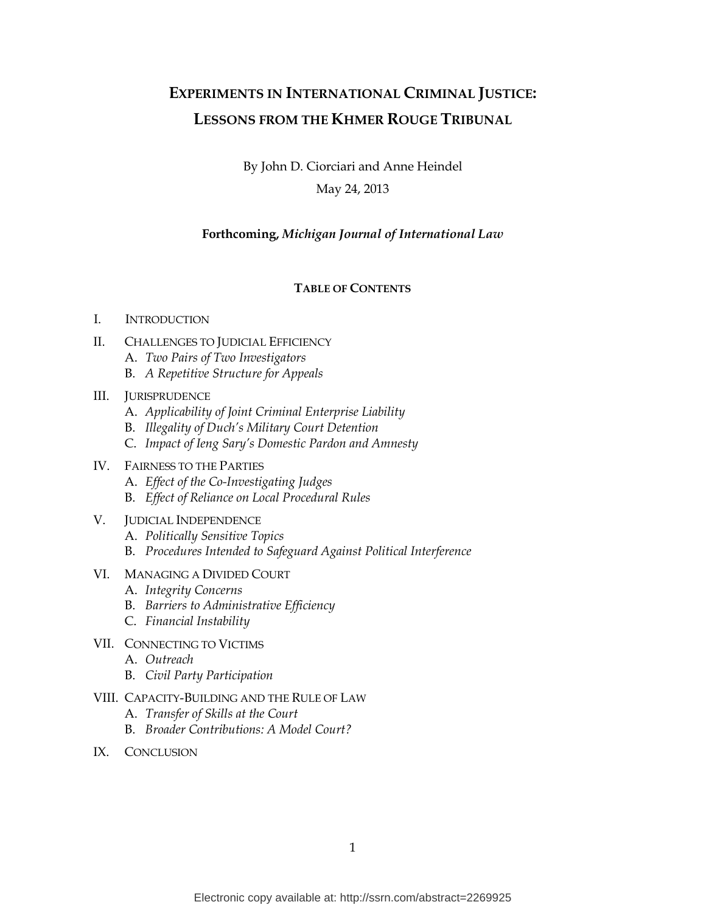# **EXPERIMENTS IN INTERNATIONAL CRIMINAL JUSTICE: LESSONS FROM THE KHMER ROUGE TRIBUNAL**

By John D. Ciorciari and Anne Heindel May 24, 2013

# **Forthcoming,** *Michigan Journal of International Law*

# **TABLE OF CONTENTS**

#### I. INTRODUCTION

- II. CHALLENGES TO JUDICIAL EFFICIENCY
	- A. *Two Pairs of Two Investigators*
	- B. *A Repetitive Structure for Appeals*

# III. JURISPRUDENCE

- A. *Applicability of Joint Criminal Enterprise Liability*
- B. *Illegality of Duch's Military Court Detention*
- C. *Impact of Ieng Sary's Domestic Pardon and Amnesty*
- IV. FAIRNESS TO THE PARTIES
	- A. *Effect of the Co-Investigating Judges*
	- B. *Effect of Reliance on Local Procedural Rules*
- V. JUDICIAL INDEPENDENCE
	- A. *Politically Sensitive Topics*
	- B. *Procedures Intended to Safeguard Against Political Interference*
- VI. MANAGING A DIVIDED COURT
	- A. *Integrity Concerns*
	- B. *Barriers to Administrative Efficiency*
	- C. *Financial Instability*
- VII. CONNECTING TO VICTIMS
	- A. *Outreach*
	- B. *Civil Party Participation*
- VIII. CAPACITY-BUILDING AND THE RULE OF LAW
	- A. *Transfer of Skills at the Court*
	- B. *Broader Contributions: A Model Court?*
- IX. CONCLUSION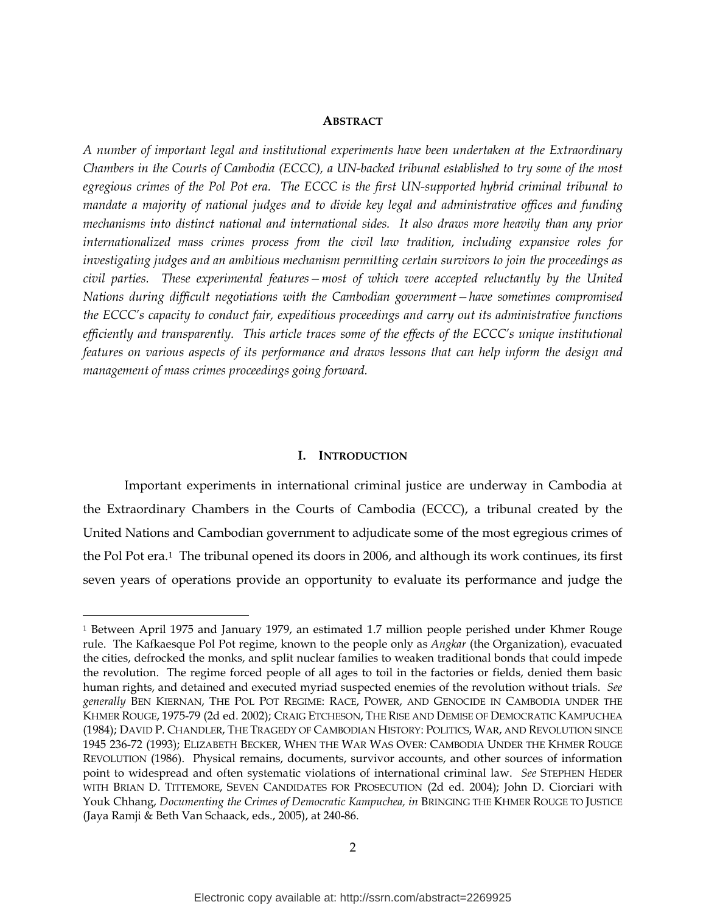## **ABSTRACT**

*A number of important legal and institutional experiments have been undertaken at the Extraordinary Chambers in the Courts of Cambodia (ECCC), a UN-backed tribunal established to try some of the most egregious crimes of the Pol Pot era. The ECCC is the first UN-supported hybrid criminal tribunal to mandate a majority of national judges and to divide key legal and administrative offices and funding mechanisms into distinct national and international sides. It also draws more heavily than any prior internationalized mass crimes process from the civil law tradition, including expansive roles for investigating judges and an ambitious mechanism permitting certain survivors to join the proceedings as civil parties. These experimental features—most of which were accepted reluctantly by the United Nations during difficult negotiations with the Cambodian government—have sometimes compromised the ECCC's capacity to conduct fair, expeditious proceedings and carry out its administrative functions efficiently and transparently. This article traces some of the effects of the ECCC's unique institutional features on various aspects of its performance and draws lessons that can help inform the design and management of mass crimes proceedings going forward.*

#### **I. INTRODUCTION**

Important experiments in international criminal justice are underway in Cambodia at the Extraordinary Chambers in the Courts of Cambodia (ECCC), a tribunal created by the United Nations and Cambodian government to adjudicate some of the most egregious crimes of the Pol Pot era.[1](#page-1-0) The tribunal opened its doors in 2006, and although its work continues, its first seven years of operations provide an opportunity to evaluate its performance and judge the

<span id="page-1-0"></span> <sup>1</sup> Between April 1975 and January 1979, an estimated 1.7 million people perished under Khmer Rouge rule. The Kafkaesque Pol Pot regime, known to the people only as *Angkar* (the Organization), evacuated the cities, defrocked the monks, and split nuclear families to weaken traditional bonds that could impede the revolution. The regime forced people of all ages to toil in the factories or fields, denied them basic human rights, and detained and executed myriad suspected enemies of the revolution without trials. *See generally* BEN KIERNAN, THE POL POT REGIME: RACE, POWER, AND GENOCIDE IN CAMBODIA UNDER THE KHMER ROUGE, 1975-79 (2d ed. 2002); CRAIG ETCHESON, THE RISE AND DEMISE OF DEMOCRATIC KAMPUCHEA (1984); DAVID P. CHANDLER, THE TRAGEDY OF CAMBODIAN HISTORY: POLITICS, WAR, AND REVOLUTION SINCE 1945 236-72 (1993); ELIZABETH BECKER, WHEN THE WAR WAS OVER: CAMBODIA UNDER THE KHMER ROUGE REVOLUTION (1986). Physical remains, documents, survivor accounts, and other sources of information point to widespread and often systematic violations of international criminal law. *See* STEPHEN HEDER WITH BRIAN D. TITTEMORE, SEVEN CANDIDATES FOR PROSECUTION (2d ed. 2004); John D. Ciorciari with Youk Chhang, *Documenting the Crimes of Democratic Kampuchea, in BRINGING THE KHMER ROUGE TO JUSTICE* (Jaya Ramji & Beth Van Schaack, eds., 2005), at 240-86.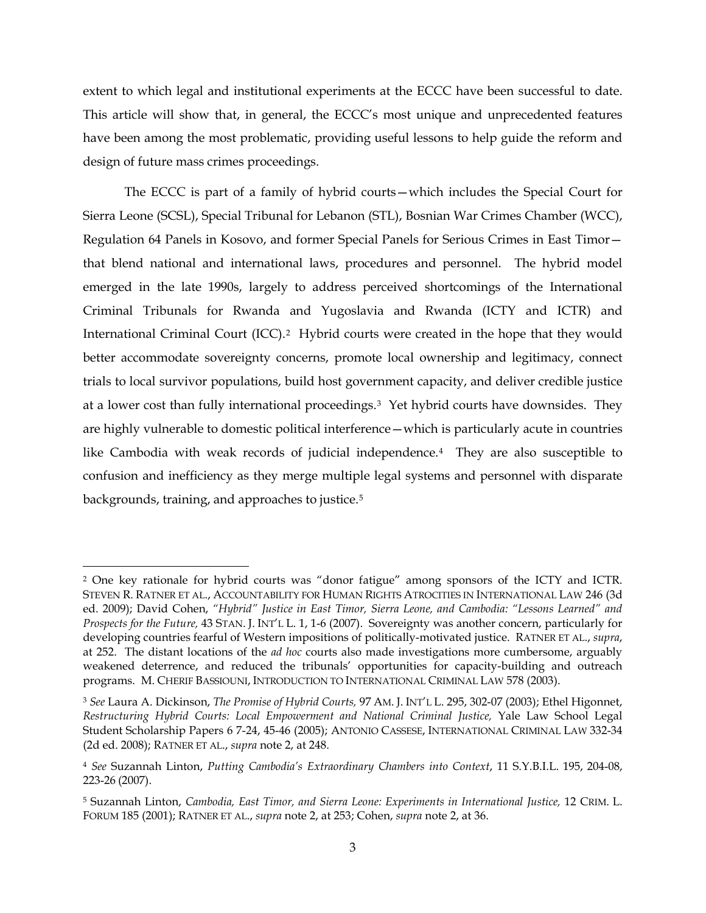extent to which legal and institutional experiments at the ECCC have been successful to date. This article will show that, in general, the ECCC's most unique and unprecedented features have been among the most problematic, providing useful lessons to help guide the reform and design of future mass crimes proceedings.

<span id="page-2-0"></span>The ECCC is part of a family of hybrid courts—which includes the Special Court for Sierra Leone (SCSL), Special Tribunal for Lebanon (STL), Bosnian War Crimes Chamber (WCC), Regulation 64 Panels in Kosovo, and former Special Panels for Serious Crimes in East Timor that blend national and international laws, procedures and personnel. The hybrid model emerged in the late 1990s, largely to address perceived shortcomings of the International Criminal Tribunals for Rwanda and Yugoslavia and Rwanda (ICTY and ICTR) and International Criminal Court (ICC).[2](#page-2-1) Hybrid courts were created in the hope that they would better accommodate sovereignty concerns, promote local ownership and legitimacy, connect trials to local survivor populations, build host government capacity, and deliver credible justice at a lower cost than fully international proceedings.<sup>3</sup> Yet hybrid courts have downsides. They are highly vulnerable to domestic political interference—which is particularly acute in countries like Cambodia with weak records of judicial independence.[4](#page-2-3) They are also susceptible to confusion and inefficiency as they merge multiple legal systems and personnel with disparate backgrounds, training, and approaches to justice.[5](#page-2-4)

<span id="page-2-5"></span><span id="page-2-1"></span> <sup>2</sup> One key rationale for hybrid courts was "donor fatigue" among sponsors of the ICTY and ICTR. STEVEN R. RATNER ET AL., ACCOUNTABILITY FOR HUMAN RIGHTS ATROCITIES IN INTERNATIONAL LAW 246 (3d ed. 2009); David Cohen, *"Hybrid" Justice in East Timor, Sierra Leone, and Cambodia: "Lessons Learned" and Prospects for the Future,* 43 STAN. J. INT'L L. 1, 1-6 (2007). Sovereignty was another concern, particularly for developing countries fearful of Western impositions of politically-motivated justice. RATNER ET AL., *supra*, at 252. The distant locations of the *ad hoc* courts also made investigations more cumbersome, arguably weakened deterrence, and reduced the tribunals' opportunities for capacity-building and outreach programs. M. CHERIF BASSIOUNI, INTRODUCTION TO INTERNATIONAL CRIMINAL LAW 578 (2003).

<span id="page-2-2"></span><sup>3</sup> *See* Laura A. Dickinson, *The Promise of Hybrid Courts,* 97 AM. J. INT'L L. 295, 302-07 (2003); Ethel Higonnet, *Restructuring Hybrid Courts: Local Empowerment and National Criminal Justice,* Yale Law School Legal Student Scholarship Papers 6 7-24, 45-46 (2005); ANTONIO CASSESE, INTERNATIONAL CRIMINAL LAW 332-34 (2d ed. 2008); RATNER ET AL., *supra* note [2,](#page-2-0) at 248.

<span id="page-2-3"></span><sup>4</sup> *See* Suzannah Linton, *Putting Cambodia's Extraordinary Chambers into Context*, 11 S.Y.B.I.L. 195, 204-08, 223-26 (2007).

<span id="page-2-4"></span><sup>5</sup> Suzannah Linton, *Cambodia, East Timor, and Sierra Leone: Experiments in International Justice,* 12 CRIM. L. FORUM 185 (2001); RATNER ET AL., *supra* note [2,](#page-2-0) at 253; Cohen, *supra* not[e 2,](#page-2-0) at 36.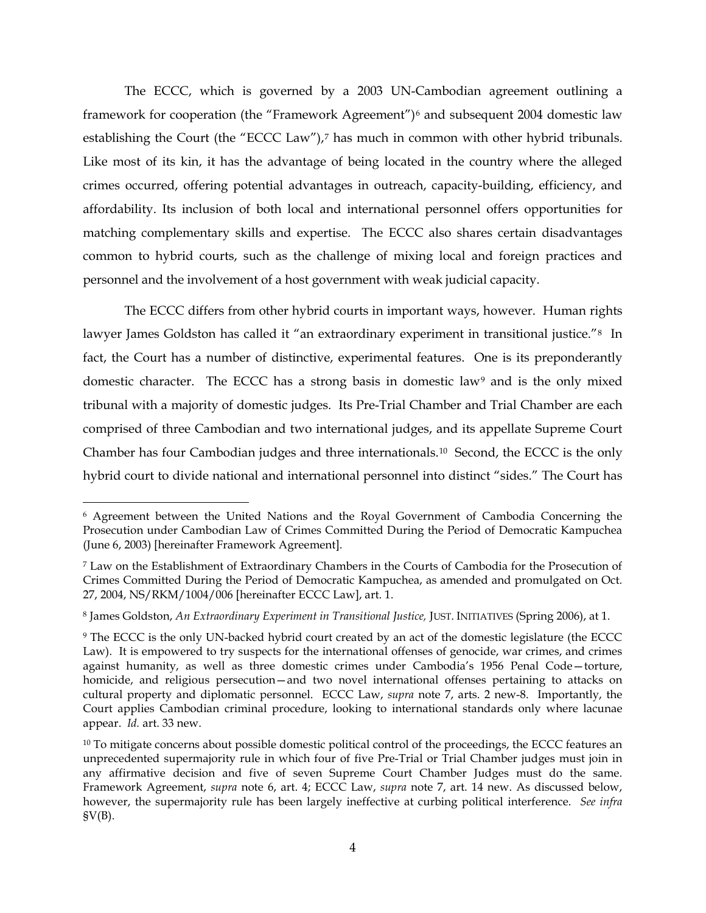<span id="page-3-1"></span><span id="page-3-0"></span>The ECCC, which is governed by a 2003 UN-Cambodian agreement outlining a framework for cooperation (the "Framework Agreement")<sup>[6](#page-3-2)</sup> and subsequent 2004 domestic law establishing the Court (the "ECCC Law"),<sup>[7](#page-3-3)</sup> has much in common with other hybrid tribunals. Like most of its kin, it has the advantage of being located in the country where the alleged crimes occurred, offering potential advantages in outreach, capacity-building, efficiency, and affordability. Its inclusion of both local and international personnel offers opportunities for matching complementary skills and expertise. The ECCC also shares certain disadvantages common to hybrid courts, such as the challenge of mixing local and foreign practices and personnel and the involvement of a host government with weak judicial capacity.

The ECCC differs from other hybrid courts in important ways, however. Human rights lawyer James Goldston has called it "an extraordinary experiment in transitional justice."<sup>[8](#page-3-4)</sup> In fact, the Court has a number of distinctive, experimental features. One is its preponderantly domestic character. The ECCC has a strong basis in domestic law<sup>[9](#page-3-5)</sup> and is the only mixed tribunal with a majority of domestic judges. Its Pre-Trial Chamber and Trial Chamber are each comprised of three Cambodian and two international judges, and its appellate Supreme Court Chamber has four Cambodian judges and three internationals.[10](#page-3-6) Second, the ECCC is the only hybrid court to divide national and international personnel into distinct "sides." The Court has

<span id="page-3-7"></span><span id="page-3-2"></span> <sup>6</sup> Agreement between the United Nations and the Royal Government of Cambodia Concerning the Prosecution under Cambodian Law of Crimes Committed During the Period of Democratic Kampuchea (June 6, 2003) [hereinafter Framework Agreement].

<span id="page-3-3"></span><sup>7</sup> Law on the Establishment of Extraordinary Chambers in the Courts of Cambodia for the Prosecution of Crimes Committed During the Period of Democratic Kampuchea, as amended and promulgated on Oct. 27, 2004, NS/RKM/1004/006 [hereinafter ECCC Law], art. 1.

<span id="page-3-4"></span><sup>8</sup> James Goldston, *An Extraordinary Experiment in Transitional Justice,* JUST. INITIATIVES (Spring 2006), at 1.

<span id="page-3-5"></span><sup>9</sup> The ECCC is the only UN-backed hybrid court created by an act of the domestic legislature (the ECCC Law). It is empowered to try suspects for the international offenses of genocide, war crimes, and crimes against humanity, as well as three domestic crimes under Cambodia's 1956 Penal Code—torture, homicide, and religious persecution—and two novel international offenses pertaining to attacks on cultural property and diplomatic personnel. ECCC Law, *supra* note [7,](#page-3-0) arts. 2 new-8. Importantly, the Court applies Cambodian criminal procedure, looking to international standards only where lacunae appear. *Id.* art. 33 new.

<span id="page-3-6"></span> $10$  To mitigate concerns about possible domestic political control of the proceedings, the ECCC features an unprecedented supermajority rule in which four of five Pre-Trial or Trial Chamber judges must join in any affirmative decision and five of seven Supreme Court Chamber Judges must do the same. Framework Agreement, *supra* note [6,](#page-3-1) art. 4; ECCC Law, *supra* note [7,](#page-3-0) art. 14 new. As discussed below, however, the supermajority rule has been largely ineffective at curbing political interference. *See infra*   $\text{S}V(B)$ .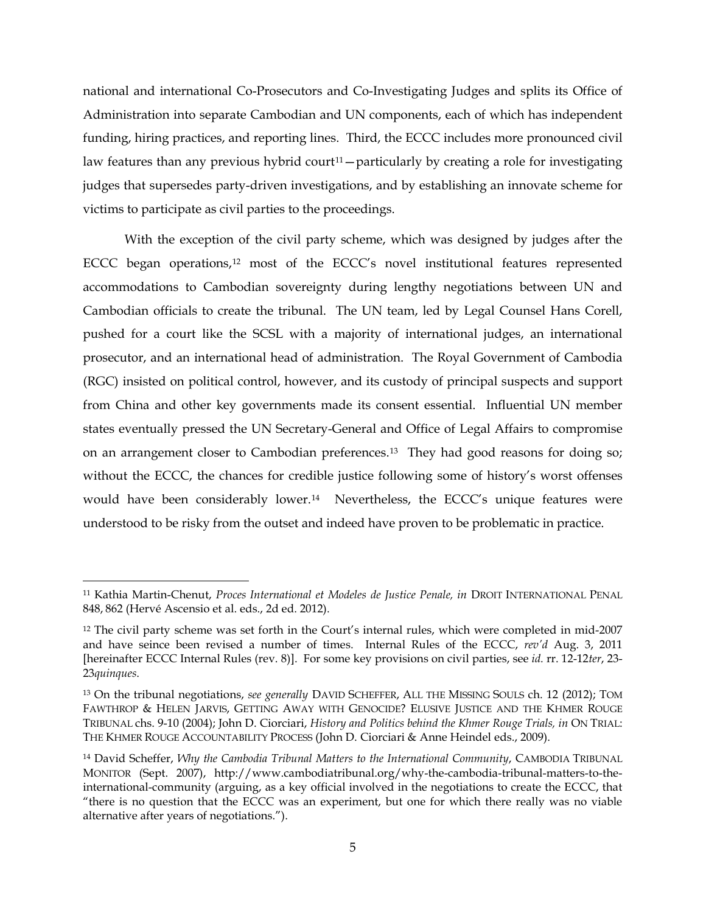national and international Co-Prosecutors and Co-Investigating Judges and splits its Office of Administration into separate Cambodian and UN components, each of which has independent funding, hiring practices, and reporting lines. Third, the ECCC includes more pronounced civil law features than any previous hybrid court<sup>11</sup> – particularly by creating a role for investigating judges that supersedes party-driven investigations, and by establishing an innovate scheme for victims to participate as civil parties to the proceedings.

<span id="page-4-4"></span>With the exception of the civil party scheme, which was designed by judges after the ECCC began operations,<sup>[12](#page-4-1)</sup> most of the ECCC's novel institutional features represented accommodations to Cambodian sovereignty during lengthy negotiations between UN and Cambodian officials to create the tribunal. The UN team, led by Legal Counsel Hans Corell, pushed for a court like the SCSL with a majority of international judges, an international prosecutor, and an international head of administration. The Royal Government of Cambodia (RGC) insisted on political control, however, and its custody of principal suspects and support from China and other key governments made its consent essential. Influential UN member states eventually pressed the UN Secretary-General and Office of Legal Affairs to compromise on an arrangement closer to Cambodian preferences.[13](#page-4-2) They had good reasons for doing so; without the ECCC, the chances for credible justice following some of history's worst offenses would have been considerably lower.<sup>[14](#page-4-3)</sup> Nevertheless, the ECCC's unique features were understood to be risky from the outset and indeed have proven to be problematic in practice.

<span id="page-4-0"></span><sup>&</sup>lt;sup>11</sup> Kathia Martin-Chenut, *Proces International et Modeles de Justice Penale, in DROIT INTERNATIONAL PENAL* 848, 862 (Hervé Ascensio et al. eds., 2d ed. 2012).

<span id="page-4-1"></span><sup>12</sup> The civil party scheme was set forth in the Court's internal rules, which were completed in mid-2007 and have seince been revised a number of times. Internal Rules of the ECCC, *rev'd* Aug. 3, 2011 [hereinafter ECCC Internal Rules (rev. 8)]. For some key provisions on civil parties, see *id.* rr. 12-12*ter*, 23- 23*quinques*.

<span id="page-4-2"></span><sup>13</sup> On the tribunal negotiations, *see generally* DAVID SCHEFFER, ALL THE MISSING SOULS ch. 12 (2012); TOM FAWTHROP & HELEN JARVIS, GETTING AWAY WITH GENOCIDE? ELUSIVE JUSTICE AND THE KHMER ROUGE TRIBUNAL chs. 9-10 (2004); John D. Ciorciari, *History and Politics behind the Khmer Rouge Trials, in* ON TRIAL: THE KHMER ROUGE ACCOUNTABILITY PROCESS (John D. Ciorciari & Anne Heindel eds., 2009).

<span id="page-4-3"></span><sup>14</sup> David Scheffer, *Why the Cambodia Tribunal Matters to the International Community*, CAMBODIA TRIBUNAL MONITOR (Sept. 2007), http://www.cambodiatribunal.org/why-the-cambodia-tribunal-matters-to-theinternational-community (arguing, as a key official involved in the negotiations to create the ECCC, that "there is no question that the ECCC was an experiment, but one for which there really was no viable alternative after years of negotiations.").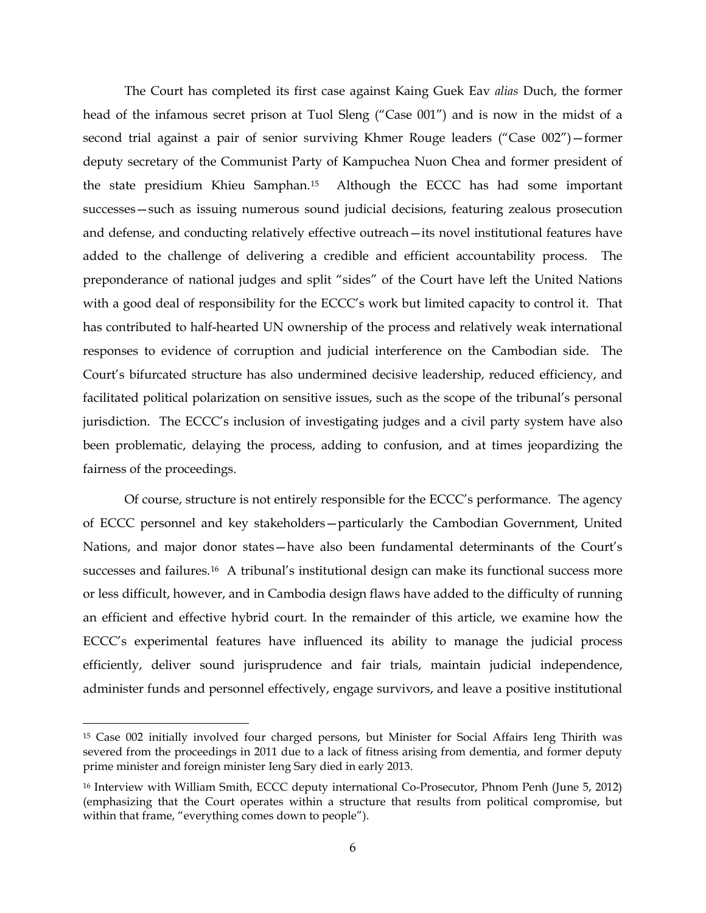The Court has completed its first case against Kaing Guek Eav *alias* Duch, the former head of the infamous secret prison at Tuol Sleng ("Case 001") and is now in the midst of a second trial against a pair of senior surviving Khmer Rouge leaders ("Case 002")—former deputy secretary of the Communist Party of Kampuchea Nuon Chea and former president of the state presidium Khieu Samphan.[15](#page-5-0) Although the ECCC has had some important successes—such as issuing numerous sound judicial decisions, featuring zealous prosecution and defense, and conducting relatively effective outreach—its novel institutional features have added to the challenge of delivering a credible and efficient accountability process. The preponderance of national judges and split "sides" of the Court have left the United Nations with a good deal of responsibility for the ECCC's work but limited capacity to control it. That has contributed to half-hearted UN ownership of the process and relatively weak international responses to evidence of corruption and judicial interference on the Cambodian side. The Court's bifurcated structure has also undermined decisive leadership, reduced efficiency, and facilitated political polarization on sensitive issues, such as the scope of the tribunal's personal jurisdiction. The ECCC's inclusion of investigating judges and a civil party system have also been problematic, delaying the process, adding to confusion, and at times jeopardizing the fairness of the proceedings.

<span id="page-5-2"></span>Of course, structure is not entirely responsible for the ECCC's performance. The agency of ECCC personnel and key stakeholders—particularly the Cambodian Government, United Nations, and major donor states—have also been fundamental determinants of the Court's successes and failures.<sup>16</sup> A tribunal's institutional design can make its functional success more or less difficult, however, and in Cambodia design flaws have added to the difficulty of running an efficient and effective hybrid court. In the remainder of this article, we examine how the ECCC's experimental features have influenced its ability to manage the judicial process efficiently, deliver sound jurisprudence and fair trials, maintain judicial independence, administer funds and personnel effectively, engage survivors, and leave a positive institutional

<span id="page-5-0"></span> <sup>15</sup> Case 002 initially involved four charged persons, but Minister for Social Affairs Ieng Thirith was severed from the proceedings in 2011 due to a lack of fitness arising from dementia, and former deputy prime minister and foreign minister Ieng Sary died in early 2013.

<span id="page-5-1"></span><sup>16</sup> Interview with William Smith, ECCC deputy international Co-Prosecutor, Phnom Penh (June 5, 2012) (emphasizing that the Court operates within a structure that results from political compromise, but within that frame, "everything comes down to people").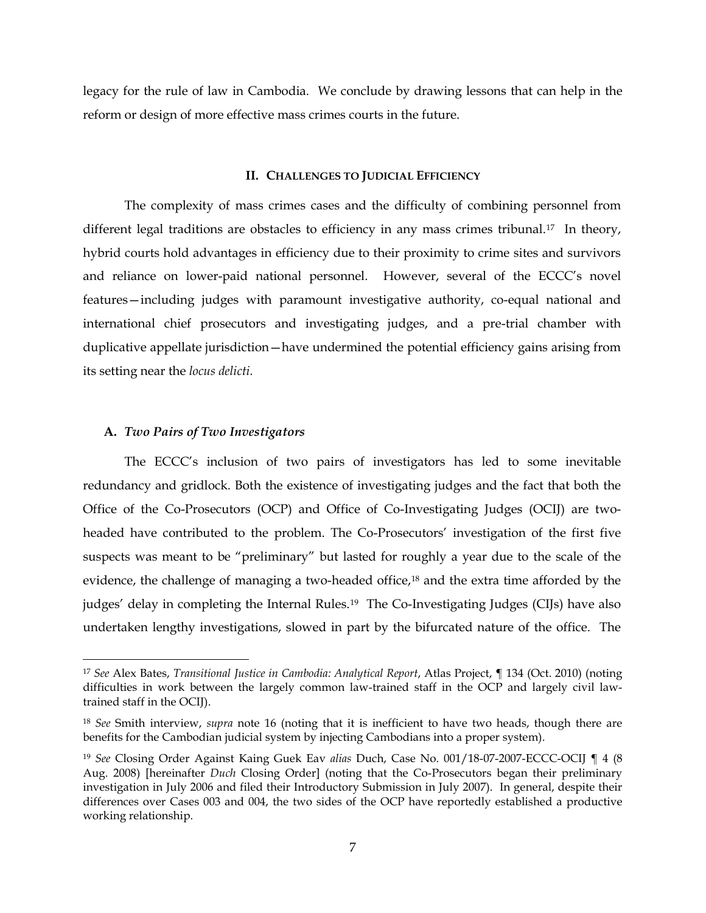legacy for the rule of law in Cambodia. We conclude by drawing lessons that can help in the reform or design of more effective mass crimes courts in the future.

#### <span id="page-6-3"></span>**II. CHALLENGES TO JUDICIAL EFFICIENCY**

The complexity of mass crimes cases and the difficulty of combining personnel from different legal traditions are obstacles to efficiency in any mass crimes tribunal.<sup>[17](#page-6-0)</sup> In theory, hybrid courts hold advantages in efficiency due to their proximity to crime sites and survivors and reliance on lower-paid national personnel. However, several of the ECCC's novel features—including judges with paramount investigative authority, co-equal national and international chief prosecutors and investigating judges, and a pre-trial chamber with duplicative appellate jurisdiction—have undermined the potential efficiency gains arising from its setting near the *locus delicti.*

#### **A.** *Two Pairs of Two Investigators*

The ECCC's inclusion of two pairs of investigators has led to some inevitable redundancy and gridlock. Both the existence of investigating judges and the fact that both the Office of the Co-Prosecutors (OCP) and Office of Co-Investigating Judges (OCIJ) are twoheaded have contributed to the problem. The Co-Prosecutors' investigation of the first five suspects was meant to be "preliminary" but lasted for roughly a year due to the scale of the evidence, the challenge of managing a two-headed office,<sup>[18](#page-6-1)</sup> and the extra time afforded by the judges' delay in completing the Internal Rules.<sup>19</sup> The Co-Investigating Judges (CIJs) have also undertaken lengthy investigations, slowed in part by the bifurcated nature of the office. The

<span id="page-6-4"></span><span id="page-6-0"></span> <sup>17</sup> *See* Alex Bates, *Transitional Justice in Cambodia: Analytical Report*, Atlas Project, ¶ 134 (Oct. 2010) (noting difficulties in work between the largely common law-trained staff in the OCP and largely civil lawtrained staff in the OCIJ).

<span id="page-6-1"></span><sup>18</sup> *See* Smith interview, *supra* note [16](#page-5-2) (noting that it is inefficient to have two heads, though there are benefits for the Cambodian judicial system by injecting Cambodians into a proper system).

<span id="page-6-2"></span><sup>19</sup> *See* Closing Order Against Kaing Guek Eav *alias* Duch, Case No. 001/18-07-2007-ECCC-OCIJ ¶ 4 (8 Aug. 2008) [hereinafter *Duch* Closing Order] (noting that the Co-Prosecutors began their preliminary investigation in July 2006 and filed their Introductory Submission in July 2007). In general, despite their differences over Cases 003 and 004, the two sides of the OCP have reportedly established a productive working relationship.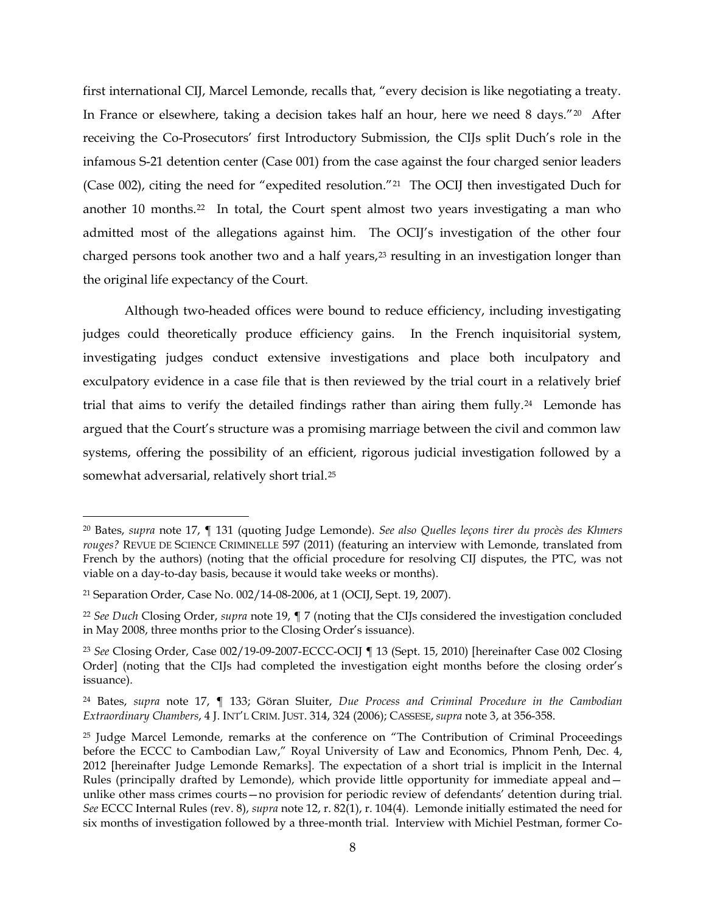<span id="page-7-8"></span>first international CIJ, Marcel Lemonde, recalls that, "every decision is like negotiating a treaty. In France or elsewhere, taking a decision takes half an hour, here we need 8 days."[20](#page-7-0) After receiving the Co-Prosecutors' first Introductory Submission, the CIJs split Duch's role in the infamous S-21 detention center (Case 001) from the case against the four charged senior leaders (Case 002), citing the need for "expedited resolution."[21](#page-7-1) The OCIJ then investigated Duch for another 10 months.<sup>22</sup> In total, the Court spent almost two years investigating a man who admitted most of the allegations against him. The OCIJ's investigation of the other four charged persons took another two and a half years,<sup>[23](#page-7-3)</sup> resulting in an investigation longer than the original life expectancy of the Court.

<span id="page-7-6"></span>Although two-headed offices were bound to reduce efficiency, including investigating judges could theoretically produce efficiency gains. In the French inquisitorial system, investigating judges conduct extensive investigations and place both inculpatory and exculpatory evidence in a case file that is then reviewed by the trial court in a relatively brief trial that aims to verify the detailed findings rather than airing them fully.<sup>24</sup> Lemonde has argued that the Court's structure was a promising marriage between the civil and common law systems, offering the possibility of an efficient, rigorous judicial investigation followed by a somewhat adversarial, relatively short trial.[25](#page-7-5)

<span id="page-7-7"></span><span id="page-7-0"></span> <sup>20</sup> Bates, *supra* note [17,](#page-6-3) ¶ 131 (quoting Judge Lemonde). *See also Quelles leçons tirer du procès des Khmers rouges?* REVUE DE SCIENCE CRIMINELLE 597 (2011) (featuring an interview with Lemonde, translated from French by the authors) (noting that the official procedure for resolving CIJ disputes, the PTC, was not viable on a day-to-day basis, because it would take weeks or months).

<span id="page-7-1"></span><sup>21</sup> Separation Order, Case No. 002/14-08-2006, at 1 (OCIJ, Sept. 19, 2007).

<span id="page-7-2"></span><sup>22</sup> *See Duch* Closing Order, *supra* note [19,](#page-6-4) ¶ 7 (noting that the CIJs considered the investigation concluded in May 2008, three months prior to the Closing Order's issuance).

<span id="page-7-3"></span><sup>23</sup> *See* Closing Order, Case 002/19-09-2007-ECCC-OCIJ ¶ 13 (Sept. 15, 2010) [hereinafter Case 002 Closing Order] (noting that the CIJs had completed the investigation eight months before the closing order's issuance).

<span id="page-7-4"></span><sup>24</sup> Bates, *supra* note [17,](#page-6-3) ¶ 133; Göran Sluiter, *Due Process and Criminal Procedure in the Cambodian Extraordinary Chambers*, 4 J. INT'L CRIM. JUST. 314, 324 (2006); CASSESE, *supra* note [3,](#page-2-5) at 356-358.

<span id="page-7-5"></span><sup>&</sup>lt;sup>25</sup> Judge Marcel Lemonde, remarks at the conference on "The Contribution of Criminal Proceedings before the ECCC to Cambodian Law," Royal University of Law and Economics, Phnom Penh, Dec. 4, 2012 [hereinafter Judge Lemonde Remarks]. The expectation of a short trial is implicit in the Internal Rules (principally drafted by Lemonde), which provide little opportunity for immediate appeal and unlike other mass crimes courts—no provision for periodic review of defendants' detention during trial. *See* ECCC Internal Rules (rev. 8), *supra* note [12,](#page-4-4) r. 82(1), r. 104(4). Lemonde initially estimated the need for six months of investigation followed by a three-month trial. Interview with Michiel Pestman, former Co-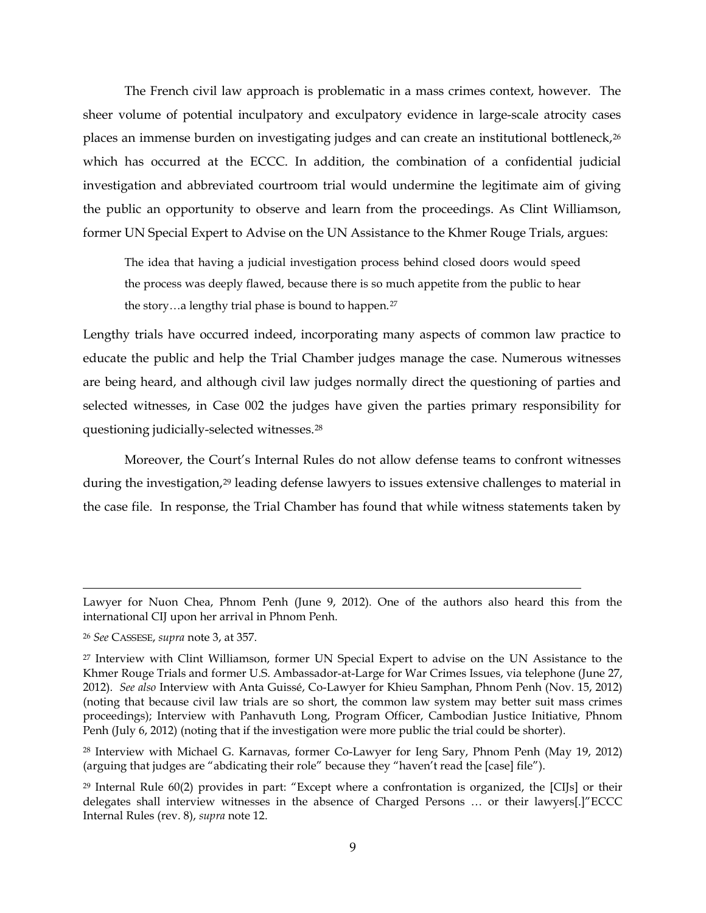The French civil law approach is problematic in a mass crimes context, however. The sheer volume of potential inculpatory and exculpatory evidence in large-scale atrocity cases places an immense burden on investigating judges and can create an institutional bottleneck,[26](#page-8-0) which has occurred at the ECCC. In addition, the combination of a confidential judicial investigation and abbreviated courtroom trial would undermine the legitimate aim of giving the public an opportunity to observe and learn from the proceedings. As Clint Williamson, former UN Special Expert to Advise on the UN Assistance to the Khmer Rouge Trials, argues:

<span id="page-8-5"></span>The idea that having a judicial investigation process behind closed doors would speed the process was deeply flawed, because there is so much appetite from the public to hear the story...a lengthy trial phase is bound to happen.<sup>[27](#page-8-1)</sup>

Lengthy trials have occurred indeed, incorporating many aspects of common law practice to educate the public and help the Trial Chamber judges manage the case. Numerous witnesses are being heard, and although civil law judges normally direct the questioning of parties and selected witnesses, in Case 002 the judges have given the parties primary responsibility for questioning judicially-selected witnesses.[28](#page-8-2)

<span id="page-8-4"></span>Moreover, the Court's Internal Rules do not allow defense teams to confront witnesses during the investigation,<sup>[29](#page-8-3)</sup> leading defense lawyers to issues extensive challenges to material in the case file. In response, the Trial Chamber has found that while witness statements taken by

 $\ddot{\phantom{a}}$ 

Lawyer for Nuon Chea, Phnom Penh (June 9, 2012). One of the authors also heard this from the international CIJ upon her arrival in Phnom Penh.

<span id="page-8-0"></span><sup>26</sup> *See* CASSESE, *supra* not[e 3,](#page-2-5) at 357.

<span id="page-8-1"></span><sup>27</sup> Interview with Clint Williamson, former UN Special Expert to advise on the UN Assistance to the Khmer Rouge Trials and former U.S. Ambassador-at-Large for War Crimes Issues, via telephone (June 27, 2012). *See also* Interview with Anta Guissé, Co-Lawyer for Khieu Samphan, Phnom Penh (Nov. 15, 2012) (noting that because civil law trials are so short, the common law system may better suit mass crimes proceedings); Interview with Panhavuth Long, Program Officer, Cambodian Justice Initiative, Phnom Penh (July 6, 2012) (noting that if the investigation were more public the trial could be shorter).

<span id="page-8-2"></span><sup>28</sup> Interview with Michael G. Karnavas, former Co-Lawyer for Ieng Sary, Phnom Penh (May 19, 2012) (arguing that judges are "abdicating their role" because they "haven't read the [case] file").

<span id="page-8-3"></span> $^{29}$  Internal Rule 60(2) provides in part: "Except where a confrontation is organized, the [CIJs] or their delegates shall interview witnesses in the absence of Charged Persons … or their lawyers[.]"ECCC Internal Rules (rev. 8), *supra* not[e 12.](#page-4-4)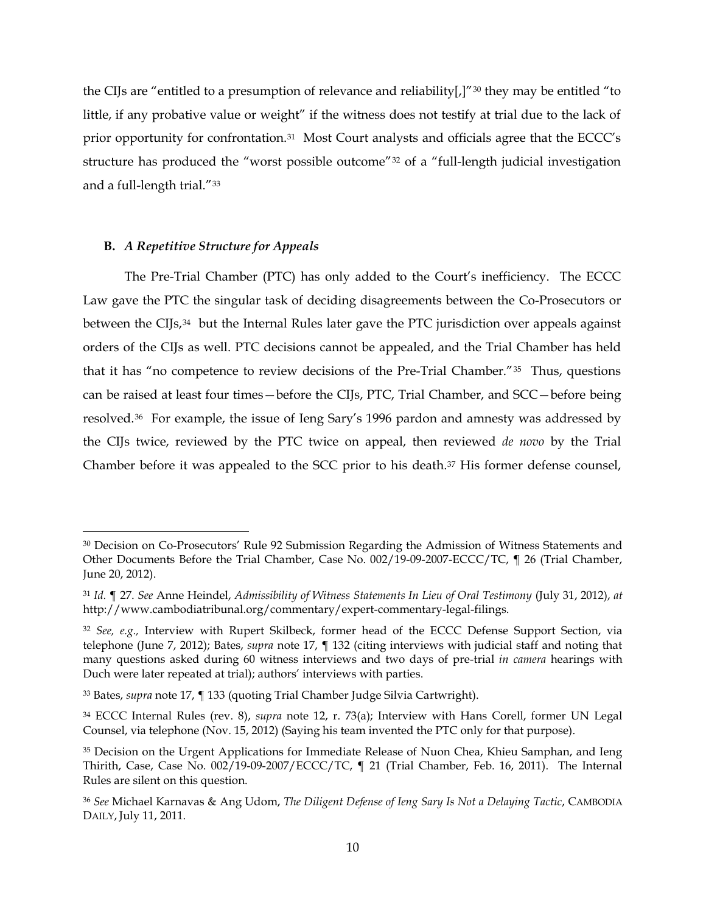the CIJs are "entitled to a presumption of relevance and reliability[,]"<sup>[30](#page-9-0)</sup> they may be entitled "to little, if any probative value or weight" if the witness does not testify at trial due to the lack of prior opportunity for confrontation.[31](#page-9-1) Most Court analysts and officials agree that the ECCC's structure has produced the "worst possible outcome"[32](#page-9-2) of a "full-length judicial investigation and a full-length trial."[33](#page-9-3)

## **B.** *A Repetitive Structure for Appeals*

The Pre-Trial Chamber (PTC) has only added to the Court's inefficiency. The ECCC Law gave the PTC the singular task of deciding disagreements between the Co-Prosecutors or between the CIJs,<sup>[34](#page-9-4)</sup> but the Internal Rules later gave the PTC jurisdiction over appeals against orders of the CIJs as well. PTC decisions cannot be appealed, and the Trial Chamber has held that it has "no competence to review decisions of the Pre-Trial Chamber."[35](#page-9-5) Thus, questions can be raised at least four times—before the CIJs, PTC, Trial Chamber, and SCC—before being resolved.[36](#page-9-6) For example, the issue of Ieng Sary's 1996 pardon and amnesty was addressed by the CIJs twice, reviewed by the PTC twice on appeal, then reviewed *de novo* by the Trial Chamber before it was appealed to the SCC prior to his death.[37](#page-9-7) His former defense counsel,

<span id="page-9-8"></span><span id="page-9-7"></span><span id="page-9-0"></span> <sup>30</sup> Decision on Co-Prosecutors' Rule 92 Submission Regarding the Admission of Witness Statements and Other Documents Before the Trial Chamber, Case No. 002/19-09-2007-ECCC/TC, ¶ 26 (Trial Chamber, June 20, 2012).

<span id="page-9-1"></span><sup>31</sup> *Id.* ¶ 27. *See* Anne Heindel, *Admissibility of Witness Statements In Lieu of Oral Testimony* (July 31, 2012), *at*  http://www.cambodiatribunal.org/commentary/expert-commentary-legal-filings.

<span id="page-9-2"></span><sup>32</sup> *See, e.g.,* Interview with Rupert Skilbeck, former head of the ECCC Defense Support Section, via telephone (June 7, 2012); Bates, *supra* note [17,](#page-6-3) ¶ 132 (citing interviews with judicial staff and noting that many questions asked during 60 witness interviews and two days of pre-trial *in camera* hearings with Duch were later repeated at trial); authors' interviews with parties.

<span id="page-9-3"></span><sup>33</sup> Bates, *supra* note [17,](#page-6-3) ¶ 133 (quoting Trial Chamber Judge Silvia Cartwright).

<span id="page-9-4"></span><sup>34</sup> ECCC Internal Rules (rev. 8), *supra* note [12,](#page-4-4) r. 73(a); Interview with Hans Corell, former UN Legal Counsel, via telephone (Nov. 15, 2012) (Saying his team invented the PTC only for that purpose).

<span id="page-9-5"></span><sup>&</sup>lt;sup>35</sup> Decision on the Urgent Applications for Immediate Release of Nuon Chea, Khieu Samphan, and Ieng Thirith, Case, Case No. 002/19-09-2007/ECCC/TC, ¶ 21 (Trial Chamber, Feb. 16, 2011). The Internal Rules are silent on this question.

<span id="page-9-6"></span><sup>36</sup> *See* Michael Karnavas & Ang Udom, *The Diligent Defense of Ieng Sary Is Not a Delaying Tactic*, CAMBODIA DAILY, July 11, 2011.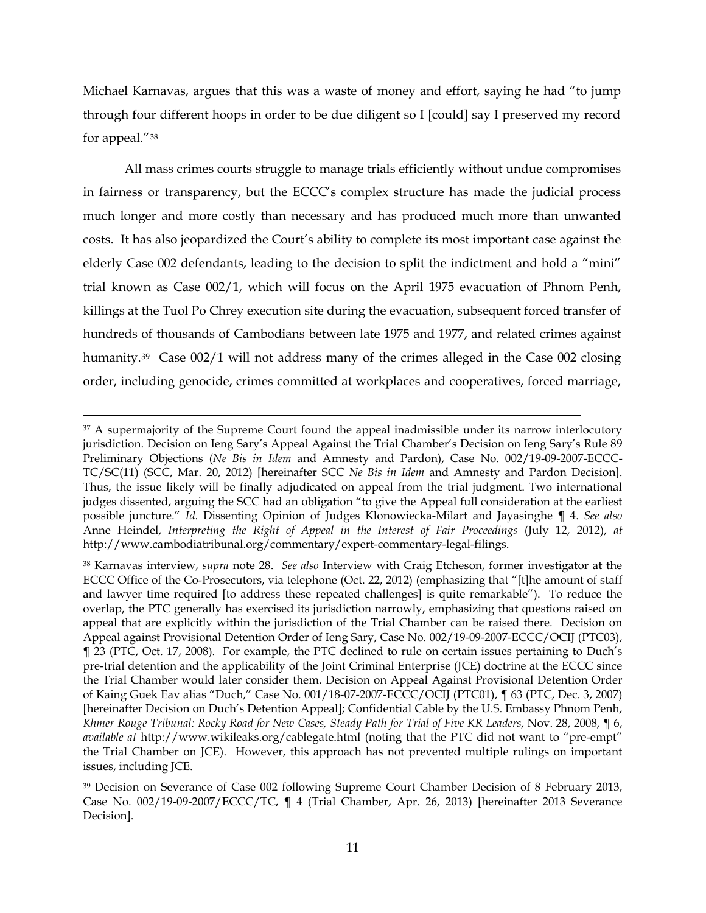Michael Karnavas, argues that this was a waste of money and effort, saying he had "to jump through four different hoops in order to be due diligent so I [could] say I preserved my record for appeal."[38](#page-10-0)

<span id="page-10-3"></span>All mass crimes courts struggle to manage trials efficiently without undue compromises in fairness or transparency, but the ECCC's complex structure has made the judicial process much longer and more costly than necessary and has produced much more than unwanted costs. It has also jeopardized the Court's ability to complete its most important case against the elderly Case 002 defendants, leading to the decision to split the indictment and hold a "mini" trial known as Case 002/1, which will focus on the April 1975 evacuation of Phnom Penh, killings at the Tuol Po Chrey execution site during the evacuation, subsequent forced transfer of hundreds of thousands of Cambodians between late 1975 and 1977, and related crimes against humanity.<sup>39</sup> Case 002/1 will not address many of the crimes alleged in the Case 002 closing order, including genocide, crimes committed at workplaces and cooperatives, forced marriage,

<span id="page-10-2"></span><sup>&</sup>lt;sup>37</sup> A supermajority of the Supreme Court found the appeal inadmissible under its narrow interlocutory jurisdiction. Decision on Ieng Sary's Appeal Against the Trial Chamber's Decision on Ieng Sary's Rule 89 Preliminary Objections (*Ne Bis in Idem* and Amnesty and Pardon), Case No. 002/19-09-2007-ECCC-TC/SC(11) (SCC, Mar. 20, 2012) [hereinafter SCC *Ne Bis in Idem* and Amnesty and Pardon Decision]. Thus, the issue likely will be finally adjudicated on appeal from the trial judgment. Two international judges dissented, arguing the SCC had an obligation "to give the Appeal full consideration at the earliest possible juncture." *Id.* Dissenting Opinion of Judges Klonowiecka-Milart and Jayasinghe ¶ 4. *See also*  Anne Heindel, *Interpreting the Right of Appeal in the Interest of Fair Proceedings* (July 12, 2012), *at*  http://www.cambodiatribunal.org/commentary/expert-commentary-legal-filings.

<span id="page-10-0"></span><sup>38</sup> Karnavas interview, *supra* note [28.](#page-8-4) *See also* Interview with Craig Etcheson, former investigator at the ECCC Office of the Co-Prosecutors, via telephone (Oct. 22, 2012) (emphasizing that "[t]he amount of staff and lawyer time required [to address these repeated challenges] is quite remarkable"). To reduce the overlap, the PTC generally has exercised its jurisdiction narrowly, emphasizing that questions raised on appeal that are explicitly within the jurisdiction of the Trial Chamber can be raised there. Decision on Appeal against Provisional Detention Order of Ieng Sary, Case No. 002/19-09-2007-ECCC/OCIJ (PTC03), ¶ 23 (PTC, Oct. 17, 2008). For example, the PTC declined to rule on certain issues pertaining to Duch's pre-trial detention and the applicability of the Joint Criminal Enterprise (JCE) doctrine at the ECCC since the Trial Chamber would later consider them. Decision on Appeal Against Provisional Detention Order of Kaing Guek Eav alias "Duch," Case No. 001/18-07-2007-ECCC/OCIJ (PTC01), ¶ 63 (PTC, Dec. 3, 2007) [hereinafter Decision on Duch's Detention Appeal]; Confidential Cable by the U.S. Embassy Phnom Penh, *Khmer Rouge Tribunal: Rocky Road for New Cases, Steady Path for Trial of Five KR Leaders*, Nov. 28, 2008, ¶ 6, *available at* http://www.wikileaks.org/cablegate.html (noting that the PTC did not want to "pre-empt" the Trial Chamber on JCE). However, this approach has not prevented multiple rulings on important issues, including JCE.

<span id="page-10-1"></span><sup>39</sup> Decision on Severance of Case 002 following Supreme Court Chamber Decision of 8 February 2013, Case No. 002/19-09-2007/ECCC/TC, ¶ 4 (Trial Chamber, Apr. 26, 2013) [hereinafter 2013 Severance Decision].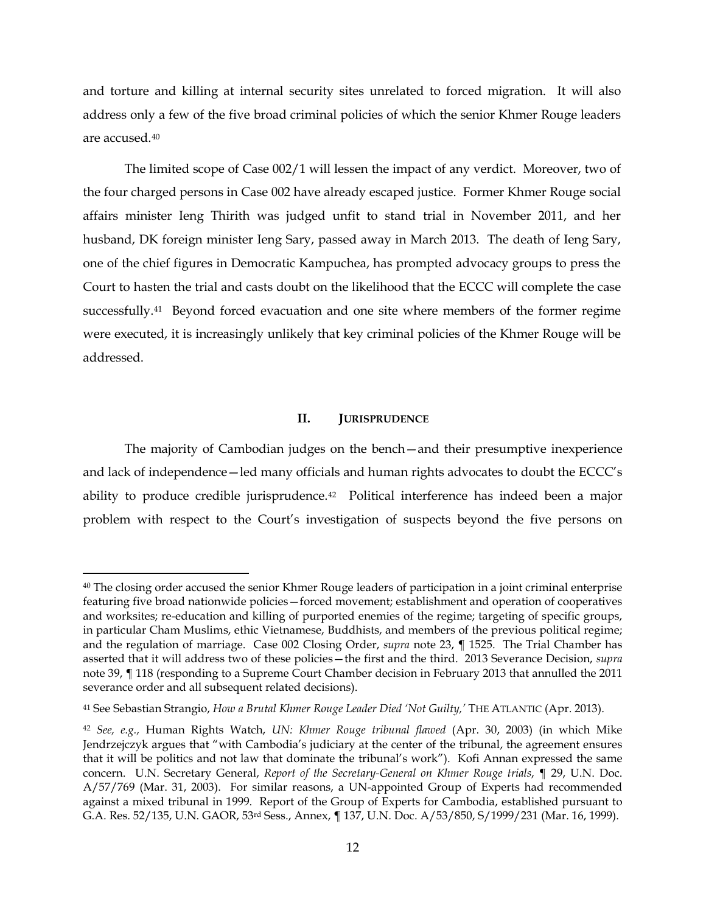and torture and killing at internal security sites unrelated to forced migration. It will also address only a few of the five broad criminal policies of which the senior Khmer Rouge leaders are accused.[40](#page-11-0)

The limited scope of Case 002/1 will lessen the impact of any verdict. Moreover, two of the four charged persons in Case 002 have already escaped justice. Former Khmer Rouge social affairs minister Ieng Thirith was judged unfit to stand trial in November 2011, and her husband, DK foreign minister Ieng Sary, passed away in March 2013. The death of Ieng Sary, one of the chief figures in Democratic Kampuchea, has prompted advocacy groups to press the Court to hasten the trial and casts doubt on the likelihood that the ECCC will complete the case successfully.<sup>41</sup> Beyond forced evacuation and one site where members of the former regime were executed, it is increasingly unlikely that key criminal policies of the Khmer Rouge will be addressed.

# **II. JURISPRUDENCE**

The majority of Cambodian judges on the bench—and their presumptive inexperience and lack of independence—led many officials and human rights advocates to doubt the ECCC's ability to produce credible jurisprudence.<sup>42</sup> Political interference has indeed been a major problem with respect to the Court's investigation of suspects beyond the five persons on

<span id="page-11-0"></span><sup>40</sup> The closing order accused the senior Khmer Rouge leaders of participation in a joint criminal enterprise featuring five broad nationwide policies—forced movement; establishment and operation of cooperatives and worksites; re-education and killing of purported enemies of the regime; targeting of specific groups, in particular Cham Muslims, ethic Vietnamese, Buddhists, and members of the previous political regime; and the regulation of marriage. Case 002 Closing Order, *supra* note [23,](#page-7-6) ¶ 1525. The Trial Chamber has asserted that it will address two of these policies—the first and the third. 2013 Severance Decision, *supra*  note [39,](#page-10-2) ¶ 118 (responding to a Supreme Court Chamber decision in February 2013 that annulled the 2011 severance order and all subsequent related decisions).

<span id="page-11-1"></span><sup>41</sup> See Sebastian Strangio, *How a Brutal Khmer Rouge Leader Died 'Not Guilty,'* THE ATLANTIC (Apr. 2013).

<span id="page-11-2"></span><sup>42</sup> *See, e.g.,* Human Rights Watch, *UN: Khmer Rouge tribunal flawed* (Apr. 30, 2003) (in which Mike Jendrzejczyk argues that "with Cambodia's judiciary at the center of the tribunal, the agreement ensures that it will be politics and not law that dominate the tribunal's work"). Kofi Annan expressed the same concern. U.N. Secretary General, *Report of the Secretary-General on Khmer Rouge trials*, ¶ 29, U.N. Doc. A/57/769 (Mar. 31, 2003). For similar reasons, a UN-appointed Group of Experts had recommended against a mixed tribunal in 1999. Report of the Group of Experts for Cambodia, established pursuant to G.A. Res. 52/135, U.N. GAOR, 53rd Sess., Annex, ¶ 137, U.N. Doc. A/53/850, S/1999/231 (Mar. 16, 1999).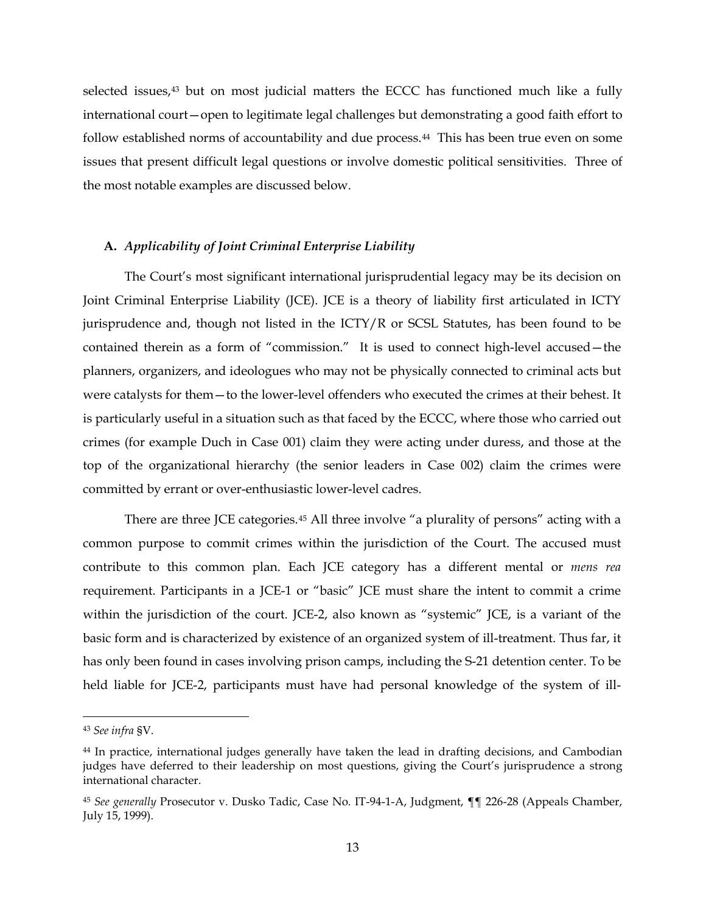selected issues,<sup>[43](#page-12-0)</sup> but on most judicial matters the ECCC has functioned much like a fully international court—open to legitimate legal challenges but demonstrating a good faith effort to follow established norms of accountability and due process.<sup>[44](#page-12-1)</sup> This has been true even on some issues that present difficult legal questions or involve domestic political sensitivities. Three of the most notable examples are discussed below.

## **A.** *Applicability of Joint Criminal Enterprise Liability*

The Court's most significant international jurisprudential legacy may be its decision on Joint Criminal Enterprise Liability (JCE). JCE is a theory of liability first articulated in ICTY jurisprudence and, though not listed in the ICTY/R or SCSL Statutes, has been found to be contained therein as a form of "commission." It is used to connect high-level accused—the planners, organizers, and ideologues who may not be physically connected to criminal acts but were catalysts for them—to the lower-level offenders who executed the crimes at their behest. It is particularly useful in a situation such as that faced by the ECCC, where those who carried out crimes (for example Duch in Case 001) claim they were acting under duress, and those at the top of the organizational hierarchy (the senior leaders in Case 002) claim the crimes were committed by errant or over-enthusiastic lower-level cadres.

There are three JCE categories.<sup>[45](#page-12-2)</sup> All three involve "a plurality of persons" acting with a common purpose to commit crimes within the jurisdiction of the Court. The accused must contribute to this common plan. Each JCE category has a different mental or *mens rea*  requirement. Participants in a JCE-1 or "basic" JCE must share the intent to commit a crime within the jurisdiction of the court. JCE-2, also known as "systemic" JCE, is a variant of the basic form and is characterized by existence of an organized system of ill-treatment. Thus far, it has only been found in cases involving prison camps, including the S-21 detention center. To be held liable for JCE-2, participants must have had personal knowledge of the system of ill-

<span id="page-12-0"></span> <sup>43</sup> *See infra* §V.

<span id="page-12-1"></span><sup>44</sup> In practice, international judges generally have taken the lead in drafting decisions, and Cambodian judges have deferred to their leadership on most questions, giving the Court's jurisprudence a strong international character.

<span id="page-12-2"></span><sup>45</sup> *See generally* Prosecutor v. Dusko Tadic, Case No. IT-94-1-A, Judgment, ¶¶ 226-28 (Appeals Chamber, July 15, 1999).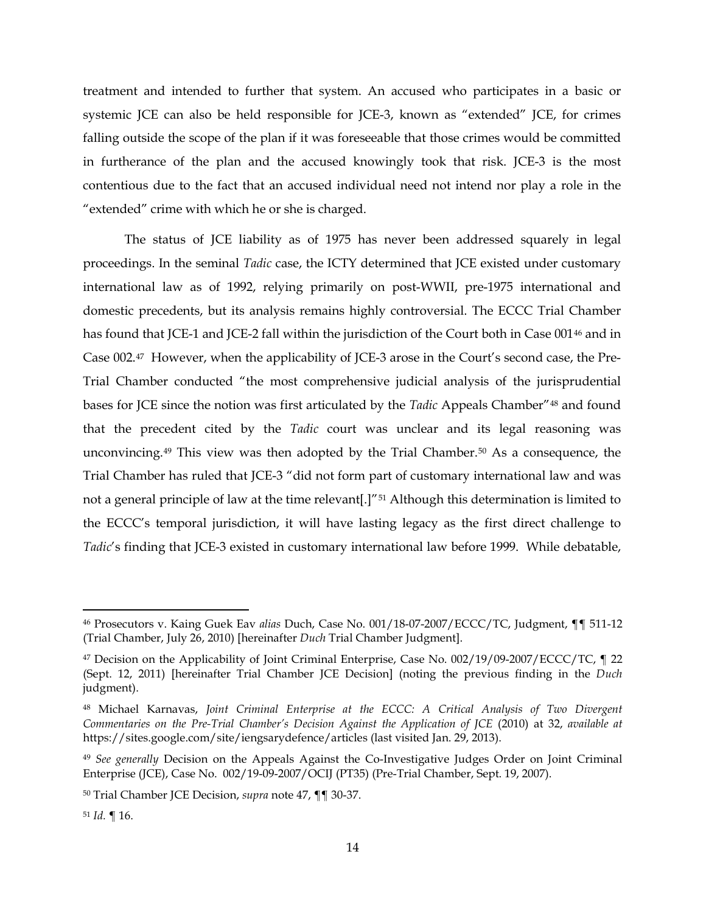treatment and intended to further that system. An accused who participates in a basic or systemic JCE can also be held responsible for JCE-3, known as "extended" JCE, for crimes falling outside the scope of the plan if it was foreseeable that those crimes would be committed in furtherance of the plan and the accused knowingly took that risk. JCE-3 is the most contentious due to the fact that an accused individual need not intend nor play a role in the "extended" crime with which he or she is charged.

<span id="page-13-7"></span><span id="page-13-0"></span>The status of JCE liability as of 1975 has never been addressed squarely in legal proceedings. In the seminal *Tadic* case, the ICTY determined that JCE existed under customary international law as of 1992, relying primarily on post-WWII, pre-1975 international and domestic precedents, but its analysis remains highly controversial. The ECCC Trial Chamber has found that JCE-1 and JCE-2 fall within the jurisdiction of the Court both in Case 001<sup>[46](#page-13-1)</sup> and in Case 002.[47](#page-13-2) However, when the applicability of JCE-3 arose in the Court's second case, the Pre-Trial Chamber conducted "the most comprehensive judicial analysis of the jurisprudential bases for JCE since the notion was first articulated by the *Tadic* Appeals Chamber"[48](#page-13-3) and found that the precedent cited by the *Tadic* court was unclear and its legal reasoning was unconvincing.[49](#page-13-4) This view was then adopted by the Trial Chamber.[50](#page-13-5) As a consequence, the Trial Chamber has ruled that JCE-3 "did not form part of customary international law and was not a general principle of law at the time relevant[.]"<sup>[51](#page-13-6)</sup> Although this determination is limited to the ECCC's temporal jurisdiction, it will have lasting legacy as the first direct challenge to *Tadic*'s finding that JCE-3 existed in customary international law before 1999. While debatable,

<span id="page-13-1"></span> <sup>46</sup> Prosecutors v. Kaing Guek Eav *alias* Duch, Case No. 001/18-07-2007/ECCC/TC, Judgment, ¶¶ 511-12 (Trial Chamber, July 26, 2010) [hereinafter *Duch* Trial Chamber Judgment].

<span id="page-13-2"></span><sup>47</sup> Decision on the Applicability of Joint Criminal Enterprise, Case No. 002/19/09-2007/ECCC/TC, 122 (Sept. 12, 2011) [hereinafter Trial Chamber JCE Decision] (noting the previous finding in the *Duch*  judgment).

<span id="page-13-3"></span><sup>48</sup> Michael Karnavas, *Joint Criminal Enterprise at the ECCC: A Critical Analysis of Two Divergent Commentaries on the Pre-Trial Chamber's Decision Against the Application of JCE* (2010) at 32, *available at*  https://sites.google.com/site/iengsarydefence/articles (last visited Jan. 29, 2013).

<span id="page-13-4"></span><sup>49</sup> *See generally* Decision on the Appeals Against the Co-Investigative Judges Order on Joint Criminal Enterprise (JCE), Case No. 002/19-09-2007/OCIJ (PT35) (Pre-Trial Chamber, Sept. 19, 2007).

<span id="page-13-5"></span><sup>50</sup> Trial Chamber JCE Decision, *supra* note [47,](#page-13-0) ¶¶ 30-37.

<span id="page-13-6"></span><sup>51</sup> *Id.* ¶ 16.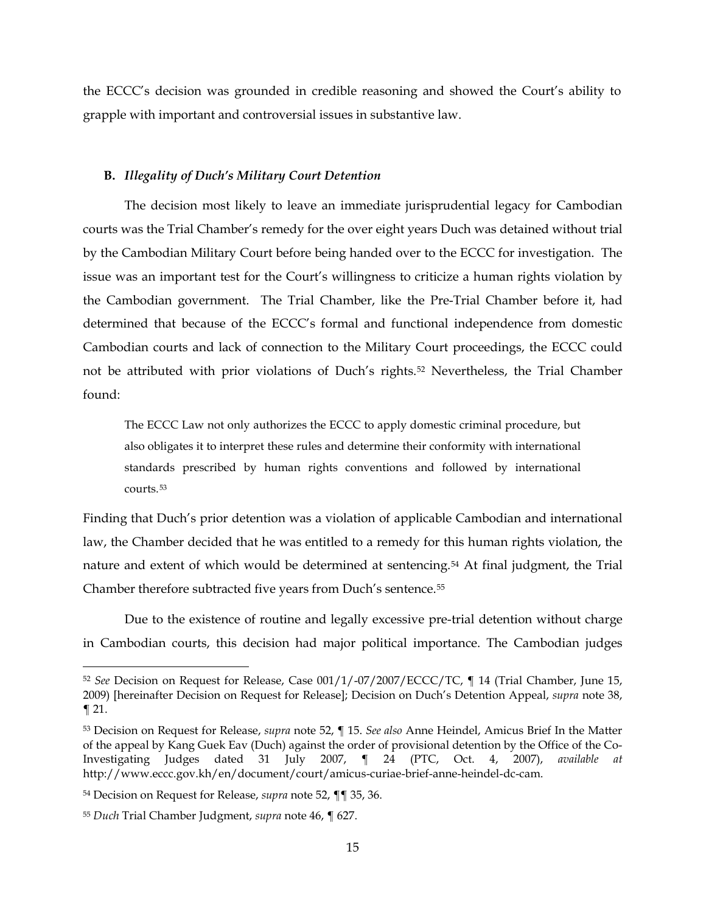the ECCC's decision was grounded in credible reasoning and showed the Court's ability to grapple with important and controversial issues in substantive law.

#### **B.** *Illegality of Duch's Military Court Detention*

The decision most likely to leave an immediate jurisprudential legacy for Cambodian courts was the Trial Chamber's remedy for the over eight years Duch was detained without trial by the Cambodian Military Court before being handed over to the ECCC for investigation. The issue was an important test for the Court's willingness to criticize a human rights violation by the Cambodian government. The Trial Chamber, like the Pre-Trial Chamber before it, had determined that because of the ECCC's formal and functional independence from domestic Cambodian courts and lack of connection to the Military Court proceedings, the ECCC could not be attributed with prior violations of Duch's rights.[52](#page-14-1) Nevertheless, the Trial Chamber found:

<span id="page-14-0"></span>The ECCC Law not only authorizes the ECCC to apply domestic criminal procedure, but also obligates it to interpret these rules and determine their conformity with international standards prescribed by human rights conventions and followed by international courts.[53](#page-14-2)

Finding that Duch's prior detention was a violation of applicable Cambodian and international law, the Chamber decided that he was entitled to a remedy for this human rights violation, the nature and extent of which would be determined at sentencing.[54](#page-14-3) At final judgment, the Trial Chamber therefore subtracted five years from Duch's sentence.[55](#page-14-4)

Due to the existence of routine and legally excessive pre-trial detention without charge in Cambodian courts, this decision had major political importance. The Cambodian judges

<span id="page-14-1"></span> <sup>52</sup> *See* Decision on Request for Release, Case 001/1/-07/2007/ECCC/TC, ¶ 14 (Trial Chamber, June 15, 2009) [hereinafter Decision on Request for Release]; Decision on Duch's Detention Appeal, *supra* note [38,](#page-10-3)  ¶ 21.

<span id="page-14-2"></span><sup>53</sup> Decision on Request for Release, *supra* note [52,](#page-14-0) ¶ 15. *See also* Anne Heindel, Amicus Brief In the Matter of the appeal by Kang Guek Eav (Duch) against the order of provisional detention by the Office of the Co-Investigating Judges dated 31 July 2007, ¶ 24 (PTC, Oct. 4, 2007), *available at*  http://www.eccc.gov.kh/en/document/court/amicus-curiae-brief-anne-heindel-dc-cam.

<span id="page-14-3"></span><sup>54</sup> Decision on Request for Release, *supra* note [52,](#page-14-0) ¶¶ 35, 36.

<span id="page-14-4"></span><sup>55</sup> *Duch* Trial Chamber Judgment, *supra* not[e 46,](#page-13-7) ¶ 627.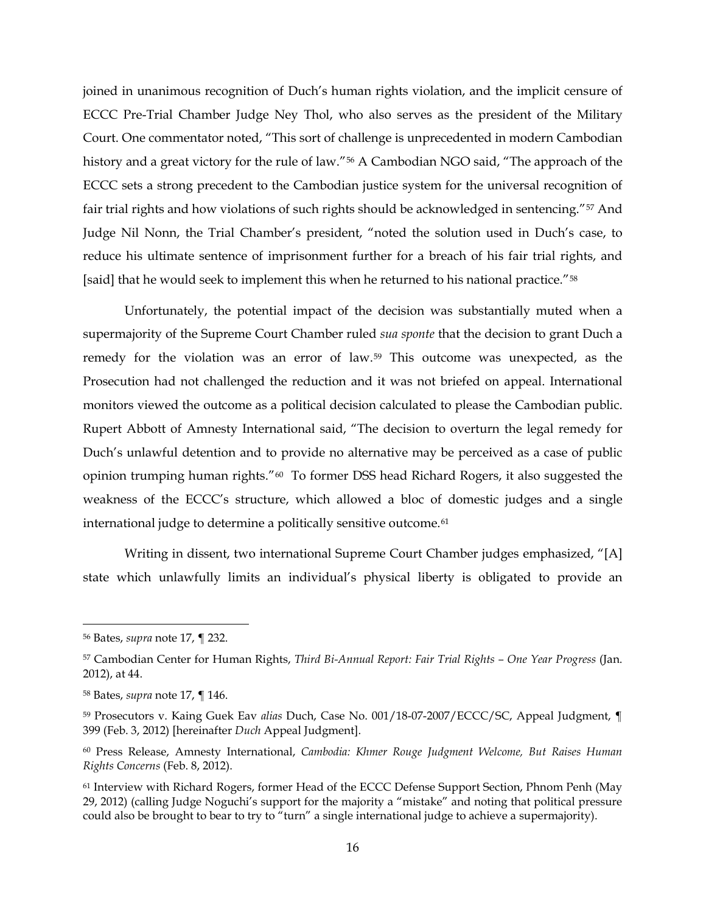joined in unanimous recognition of Duch's human rights violation, and the implicit censure of ECCC Pre-Trial Chamber Judge Ney Thol, who also serves as the president of the Military Court. One commentator noted, "This sort of challenge is unprecedented in modern Cambodian history and a great victory for the rule of law."<sup>[56](#page-15-0)</sup> A Cambodian NGO said, "The approach of the ECCC sets a strong precedent to the Cambodian justice system for the universal recognition of fair trial rights and how violations of such rights should be acknowledged in sentencing."[57](#page-15-1) And Judge Nil Nonn, the Trial Chamber's president, "noted the solution used in Duch's case, to reduce his ultimate sentence of imprisonment further for a breach of his fair trial rights, and [said] that he would seek to implement this when he returned to his national practice."<sup>[58](#page-15-2)</sup>

<span id="page-15-6"></span>Unfortunately, the potential impact of the decision was substantially muted when a supermajority of the Supreme Court Chamber ruled *sua sponte* that the decision to grant Duch a remedy for the violation was an error of law.[59](#page-15-3) This outcome was unexpected, as the Prosecution had not challenged the reduction and it was not briefed on appeal. International monitors viewed the outcome as a political decision calculated to please the Cambodian public. Rupert Abbott of Amnesty International said, "The decision to overturn the legal remedy for Duch's unlawful detention and to provide no alternative may be perceived as a case of public opinion trumping human rights."[60](#page-15-4) To former DSS head Richard Rogers, it also suggested the weakness of the ECCC's structure, which allowed a bloc of domestic judges and a single international judge to determine a politically sensitive outcome.<sup>[61](#page-15-5)</sup>

<span id="page-15-7"></span>Writing in dissent, two international Supreme Court Chamber judges emphasized, "[A] state which unlawfully limits an individual's physical liberty is obligated to provide an

<span id="page-15-0"></span> <sup>56</sup> Bates, *supra* note [17,](#page-6-3) ¶ 232.

<span id="page-15-1"></span><sup>57</sup> Cambodian Center for Human Rights, *Third Bi-Annual Report: Fair Trial Rights – One Year Progress* (Jan. 2012), at 44.

<span id="page-15-2"></span><sup>58</sup> Bates, *supra* note [17,](#page-6-3) ¶ 146.

<span id="page-15-3"></span><sup>59</sup> Prosecutors v. Kaing Guek Eav *alias* Duch, Case No. 001/18-07-2007/ECCC/SC, Appeal Judgment, ¶ 399 (Feb. 3, 2012) [hereinafter *Duch* Appeal Judgment].

<span id="page-15-4"></span><sup>60</sup> Press Release, Amnesty International, *Cambodia: Khmer Rouge Judgment Welcome, But Raises Human Rights Concerns* (Feb. 8, 2012).

<span id="page-15-5"></span><sup>61</sup> Interview with Richard Rogers, former Head of the ECCC Defense Support Section, Phnom Penh (May 29, 2012) (calling Judge Noguchi's support for the majority a "mistake" and noting that political pressure could also be brought to bear to try to "turn" a single international judge to achieve a supermajority).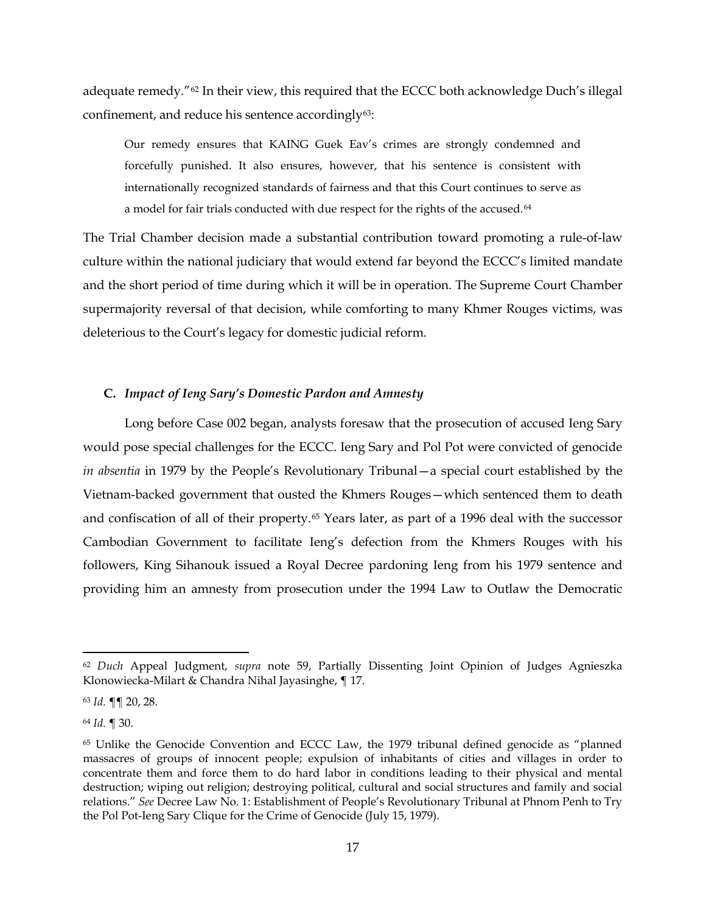adequate remedy."[62](#page-16-0) In their view, this required that the ECCC both acknowledge Duch's illegal confinement, and reduce his sentence accordingly<sup>63</sup>:

Our remedy ensures that KAING Guek Eav's crimes are strongly condemned and forcefully punished. It also ensures, however, that his sentence is consistent with internationally recognized standards of fairness and that this Court continues to serve as a model for fair trials conducted with due respect for the rights of the accused.<sup>[64](#page-16-2)</sup>

The Trial Chamber decision made a substantial contribution toward promoting a rule-of-law culture within the national judiciary that would extend far beyond the ECCC's limited mandate and the short period of time during which it will be in operation. The Supreme Court Chamber supermajority reversal of that decision, while comforting to many Khmer Rouges victims, was deleterious to the Court's legacy for domestic judicial reform.

# **C.** *Impact of Ieng Sary's Domestic Pardon and Amnesty*

Long before Case 002 began, analysts foresaw that the prosecution of accused Ieng Sary would pose special challenges for the ECCC. Ieng Sary and Pol Pot were convicted of genocide *in absentia* in 1979 by the People's Revolutionary Tribunal—a special court established by the Vietnam-backed government that ousted the Khmers Rouges—which sentenced them to death and confiscation of all of their property.[65](#page-16-3) Years later, as part of a 1996 deal with the successor Cambodian Government to facilitate Ieng's defection from the Khmers Rouges with his followers, King Sihanouk issued a Royal Decree pardoning Ieng from his 1979 sentence and providing him an amnesty from prosecution under the 1994 Law to Outlaw the Democratic

<span id="page-16-2"></span><sup>64</sup> *Id.* ¶ 30.

<span id="page-16-0"></span> <sup>62</sup> *Duch* Appeal Judgment, *supra* note [59,](#page-15-6) Partially Dissenting Joint Opinion of Judges Agnieszka Klonowiecka-Milart & Chandra Nihal Jayasinghe, ¶ 17.

<span id="page-16-1"></span><sup>63</sup> *Id.* ¶¶ 20, 28.

<span id="page-16-3"></span><sup>65</sup> Unlike the Genocide Convention and ECCC Law, the 1979 tribunal defined genocide as "planned massacres of groups of innocent people; expulsion of inhabitants of cities and villages in order to concentrate them and force them to do hard labor in conditions leading to their physical and mental destruction; wiping out religion; destroying political, cultural and social structures and family and social relations." *See* Decree Law No. 1: Establishment of People's Revolutionary Tribunal at Phnom Penh to Try the Pol Pot-Ieng Sary Clique for the Crime of Genocide (July 15, 1979).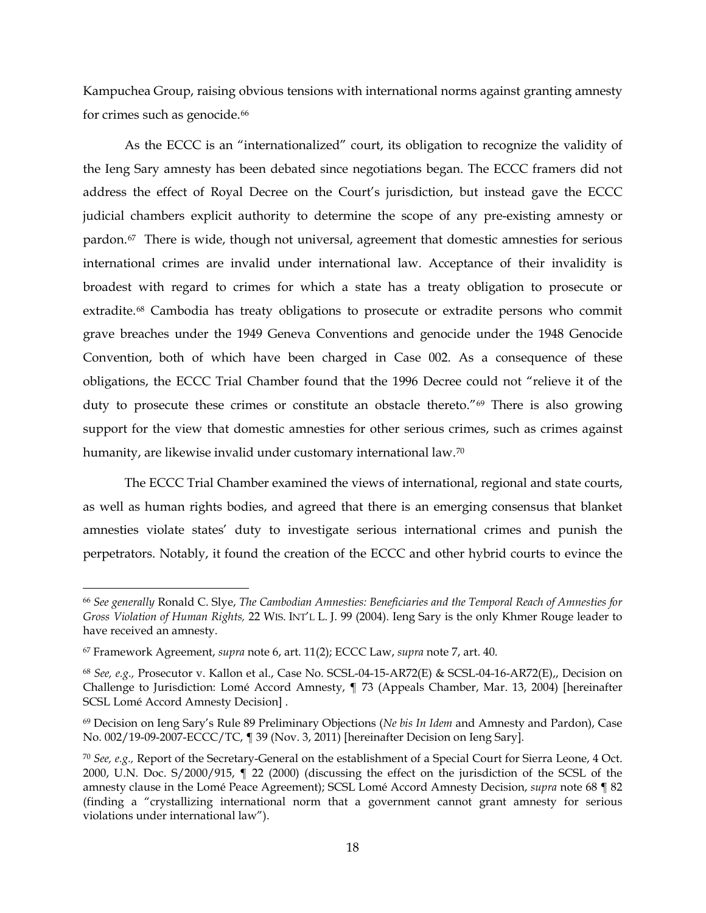Kampuchea Group, raising obvious tensions with international norms against granting amnesty for crimes such as genocide.<sup>[66](#page-17-1)</sup>

<span id="page-17-0"></span>As the ECCC is an "internationalized" court, its obligation to recognize the validity of the Ieng Sary amnesty has been debated since negotiations began. The ECCC framers did not address the effect of Royal Decree on the Court's jurisdiction, but instead gave the ECCC judicial chambers explicit authority to determine the scope of any pre-existing amnesty or pardon.[67](#page-17-2) There is wide, though not universal, agreement that domestic amnesties for serious international crimes are invalid under international law. Acceptance of their invalidity is broadest with regard to crimes for which a state has a treaty obligation to prosecute or extradite.[68](#page-17-3) Cambodia has treaty obligations to prosecute or extradite persons who commit grave breaches under the 1949 Geneva Conventions and genocide under the 1948 Genocide Convention, both of which have been charged in Case 002. As a consequence of these obligations, the ECCC Trial Chamber found that the 1996 Decree could not "relieve it of the duty to prosecute these crimes or constitute an obstacle thereto.["69](#page-17-4) There is also growing support for the view that domestic amnesties for other serious crimes, such as crimes against humanity, are likewise invalid under customary international law.<sup>[70](#page-17-5)</sup>

<span id="page-17-6"></span>The ECCC Trial Chamber examined the views of international, regional and state courts, as well as human rights bodies, and agreed that there is an emerging consensus that blanket amnesties violate states' duty to investigate serious international crimes and punish the perpetrators. Notably, it found the creation of the ECCC and other hybrid courts to evince the

<span id="page-17-1"></span> <sup>66</sup> *See generally* Ronald C. Slye, *The Cambodian Amnesties: Beneficiaries and the Temporal Reach of Amnesties for Gross Violation of Human Rights,* 22 WIS. INT'L L. J. 99 (2004). Ieng Sary is the only Khmer Rouge leader to have received an amnesty.

<span id="page-17-2"></span><sup>67</sup> Framework Agreement, *supra* note [6,](#page-3-1) art. 11(2); ECCC Law, *supra* note [7,](#page-3-0) art. 40.

<span id="page-17-3"></span><sup>68</sup> *See, e.g.,* Prosecutor v. Kallon et al., Case No. SCSL-04-15-AR72(E) & SCSL-04-16-AR72(E),, Decision on Challenge to Jurisdiction: Lomé Accord Amnesty, ¶ 73 (Appeals Chamber, Mar. 13, 2004) [hereinafter SCSL Lomé Accord Amnesty Decision] .

<span id="page-17-4"></span><sup>69</sup> Decision on Ieng Sary's Rule 89 Preliminary Objections (*Ne bis In Idem* and Amnesty and Pardon), Case No. 002/19-09-2007-ECCC/TC, ¶ 39 (Nov. 3, 2011) [hereinafter Decision on Ieng Sary].

<span id="page-17-5"></span><sup>70</sup> *See, e.g.,* Report of the Secretary-General on the establishment of a Special Court for Sierra Leone, 4 Oct. 2000, U.N. Doc. S/2000/915, ¶ 22 (2000) (discussing the effect on the jurisdiction of the SCSL of the amnesty clause in the Lomé Peace Agreement); SCSL Lomé Accord Amnesty Decision, *supra* note [68](#page-17-0) ¶ 82 (finding a "crystallizing international norm that a government cannot grant amnesty for serious violations under international law").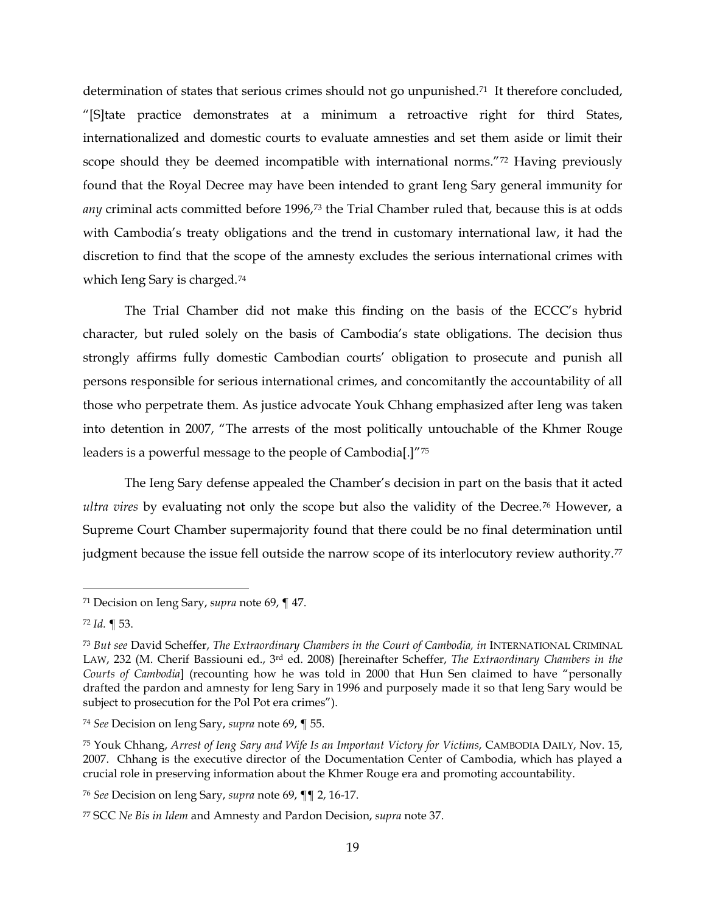determination of states that serious crimes should not go unpunished.<sup>71</sup> It therefore concluded, "[S]tate practice demonstrates at a minimum a retroactive right for third States, internationalized and domestic courts to evaluate amnesties and set them aside or limit their scope should they be deemed incompatible with international norms."<sup>[72](#page-18-1)</sup> Having previously found that the Royal Decree may have been intended to grant Ieng Sary general immunity for any criminal acts committed before 1996,<sup>[73](#page-18-2)</sup> the Trial Chamber ruled that, because this is at odds with Cambodia's treaty obligations and the trend in customary international law, it had the discretion to find that the scope of the amnesty excludes the serious international crimes with which Ieng Sary is charged.[74](#page-18-3)

The Trial Chamber did not make this finding on the basis of the ECCC's hybrid character, but ruled solely on the basis of Cambodia's state obligations. The decision thus strongly affirms fully domestic Cambodian courts' obligation to prosecute and punish all persons responsible for serious international crimes, and concomitantly the accountability of all those who perpetrate them. As justice advocate Youk Chhang emphasized after Ieng was taken into detention in 2007, "The arrests of the most politically untouchable of the Khmer Rouge leaders is a powerful message to the people of Cambodia[.]"[75](#page-18-4)

The Ieng Sary defense appealed the Chamber's decision in part on the basis that it acted *ultra vires* by evaluating not only the scope but also the validity of the Decree.[76](#page-18-5) However, a Supreme Court Chamber supermajority found that there could be no final determination until judgment because the issue fell outside the narrow scope of its interlocutory review authority.[77](#page-18-6)

<span id="page-18-0"></span> <sup>71</sup> Decision on Ieng Sary, *supra* note [69,](#page-17-6) ¶ 47.

<span id="page-18-1"></span><sup>72</sup> *Id.* ¶ 53.

<span id="page-18-2"></span><sup>73</sup> *But see* David Scheffer, *The Extraordinary Chambers in the Court of Cambodia, in* INTERNATIONAL CRIMINAL LAW, 232 (M. Cherif Bassiouni ed., 3rd ed. 2008) [hereinafter Scheffer, *The Extraordinary Chambers in the Courts of Cambodia*] (recounting how he was told in 2000 that Hun Sen claimed to have "personally drafted the pardon and amnesty for Ieng Sary in 1996 and purposely made it so that Ieng Sary would be subject to prosecution for the Pol Pot era crimes").

<span id="page-18-3"></span><sup>74</sup> *See* Decision on Ieng Sary, *supra* note [69,](#page-17-6) ¶ 55.

<span id="page-18-4"></span><sup>75</sup> Youk Chhang, *Arrest of Ieng Sary and Wife Is an Important Victory for Victims*, CAMBODIA DAILY, Nov. 15, 2007. Chhang is the executive director of the Documentation Center of Cambodia, which has played a crucial role in preserving information about the Khmer Rouge era and promoting accountability.

<span id="page-18-5"></span><sup>76</sup> *See* Decision on Ieng Sary, *supra* note [69,](#page-17-6) ¶¶ 2, 16-17.

<span id="page-18-6"></span><sup>77</sup> SCC *Ne Bis in Idem* and Amnesty and Pardon Decision, *supra* not[e 37.](#page-9-8)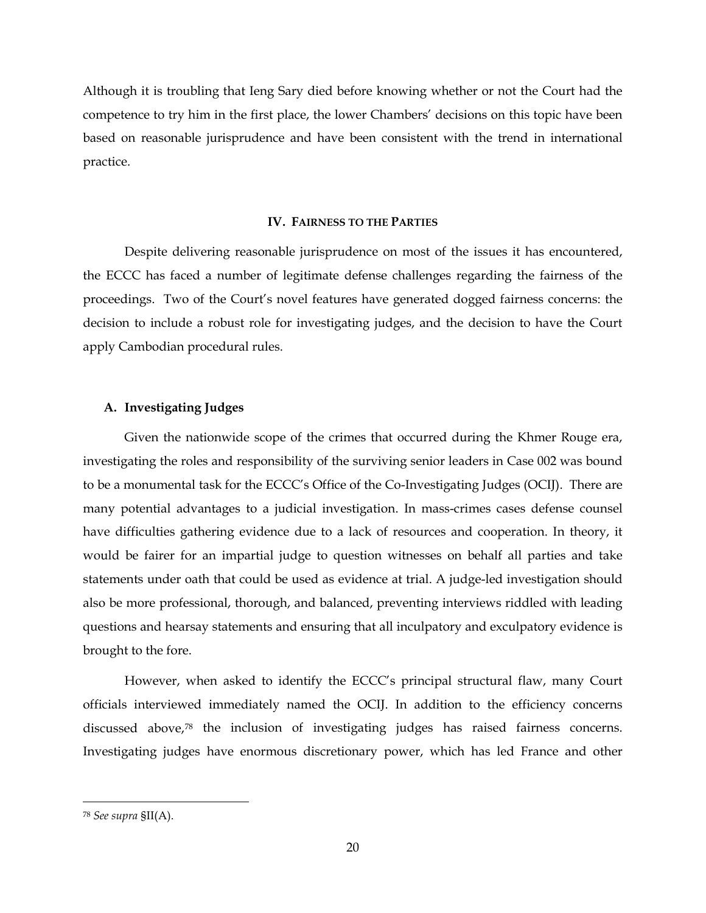Although it is troubling that Ieng Sary died before knowing whether or not the Court had the competence to try him in the first place, the lower Chambers' decisions on this topic have been based on reasonable jurisprudence and have been consistent with the trend in international practice.

#### **IV. FAIRNESS TO THE PARTIES**

Despite delivering reasonable jurisprudence on most of the issues it has encountered, the ECCC has faced a number of legitimate defense challenges regarding the fairness of the proceedings. Two of the Court's novel features have generated dogged fairness concerns: the decision to include a robust role for investigating judges, and the decision to have the Court apply Cambodian procedural rules.

## **A. Investigating Judges**

Given the nationwide scope of the crimes that occurred during the Khmer Rouge era, investigating the roles and responsibility of the surviving senior leaders in Case 002 was bound to be a monumental task for the ECCC's Office of the Co-Investigating Judges (OCIJ). There are many potential advantages to a judicial investigation. In mass-crimes cases defense counsel have difficulties gathering evidence due to a lack of resources and cooperation. In theory, it would be fairer for an impartial judge to question witnesses on behalf all parties and take statements under oath that could be used as evidence at trial. A judge-led investigation should also be more professional, thorough, and balanced, preventing interviews riddled with leading questions and hearsay statements and ensuring that all inculpatory and exculpatory evidence is brought to the fore.

However, when asked to identify the ECCC's principal structural flaw, many Court officials interviewed immediately named the OCIJ. In addition to the efficiency concerns discussed above[,78](#page-19-0) the inclusion of investigating judges has raised fairness concerns. Investigating judges have enormous discretionary power, which has led France and other

<span id="page-19-0"></span> <sup>78</sup> *See supra* §II(A).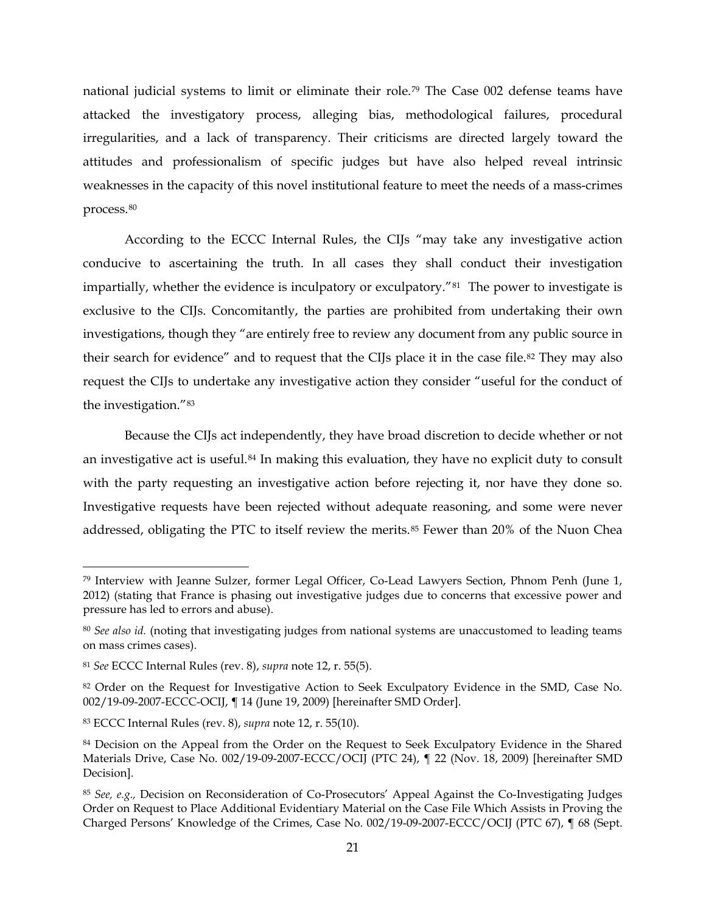<span id="page-20-9"></span>national judicial systems to limit or eliminate their role.[79](#page-20-0) The Case 002 defense teams have attacked the investigatory process, alleging bias, methodological failures, procedural irregularities, and a lack of transparency. Their criticisms are directed largely toward the attitudes and professionalism of specific judges but have also helped reveal intrinsic weaknesses in the capacity of this novel institutional feature to meet the needs of a mass-crimes process.[80](#page-20-1)

According to the ECCC Internal Rules, the CIJs "may take any investigative action conducive to ascertaining the truth. In all cases they shall conduct their investigation impartially, whether the evidence is inculpatory or exculpatory."<sup>[81](#page-20-2)</sup> The power to investigate is exclusive to the CIJs. Concomitantly, the parties are prohibited from undertaking their own investigations, though they "are entirely free to review any document from any public source in their search for evidence" and to request that the CIJs place it in the case file.<sup>[82](#page-20-3)</sup> They may also request the CIJs to undertake any investigative action they consider "useful for the conduct of the investigation."[83](#page-20-4)

<span id="page-20-8"></span><span id="page-20-7"></span>Because the CIJs act independently, they have broad discretion to decide whether or not an investigative act is useful.[84](#page-20-5) In making this evaluation, they have no explicit duty to consult with the party requesting an investigative action before rejecting it, nor have they done so. Investigative requests have been rejected without adequate reasoning, and some were never addressed, obligating the PTC to itself review the merits.<sup>[85](#page-20-6)</sup> Fewer than 20% of the Nuon Chea

<span id="page-20-0"></span> <sup>79</sup> Interview with Jeanne Sulzer, former Legal Officer, Co-Lead Lawyers Section, Phnom Penh (June 1, 2012) (stating that France is phasing out investigative judges due to concerns that excessive power and pressure has led to errors and abuse).

<span id="page-20-1"></span><sup>80</sup> *See also id.* (noting that investigating judges from national systems are unaccustomed to leading teams on mass crimes cases).

<span id="page-20-2"></span><sup>81</sup> *See* ECCC Internal Rules (rev. 8), *supra* note [12,](#page-4-4) r. 55(5).

<span id="page-20-3"></span><sup>82</sup> Order on the Request for Investigative Action to Seek Exculpatory Evidence in the SMD, Case No. 002/19-09-2007-ECCC-OCIJ, ¶ 14 (June 19, 2009) [hereinafter SMD Order].

<span id="page-20-4"></span><sup>83</sup> ECCC Internal Rules (rev. 8), *supra* note [12,](#page-4-4) r. 55(10).

<span id="page-20-5"></span><sup>84</sup> Decision on the Appeal from the Order on the Request to Seek Exculpatory Evidence in the Shared Materials Drive, Case No. 002/19-09-2007-ECCC/OCIJ (PTC 24), ¶ 22 (Nov. 18, 2009) [hereinafter SMD Decision].

<span id="page-20-6"></span><sup>85</sup> *See, e.g.,* Decision on Reconsideration of Co-Prosecutors' Appeal Against the Co-Investigating Judges Order on Request to Place Additional Evidentiary Material on the Case File Which Assists in Proving the Charged Persons' Knowledge of the Crimes, Case No. 002/19-09-2007-ECCC/OCIJ (PTC 67), ¶ 68 (Sept.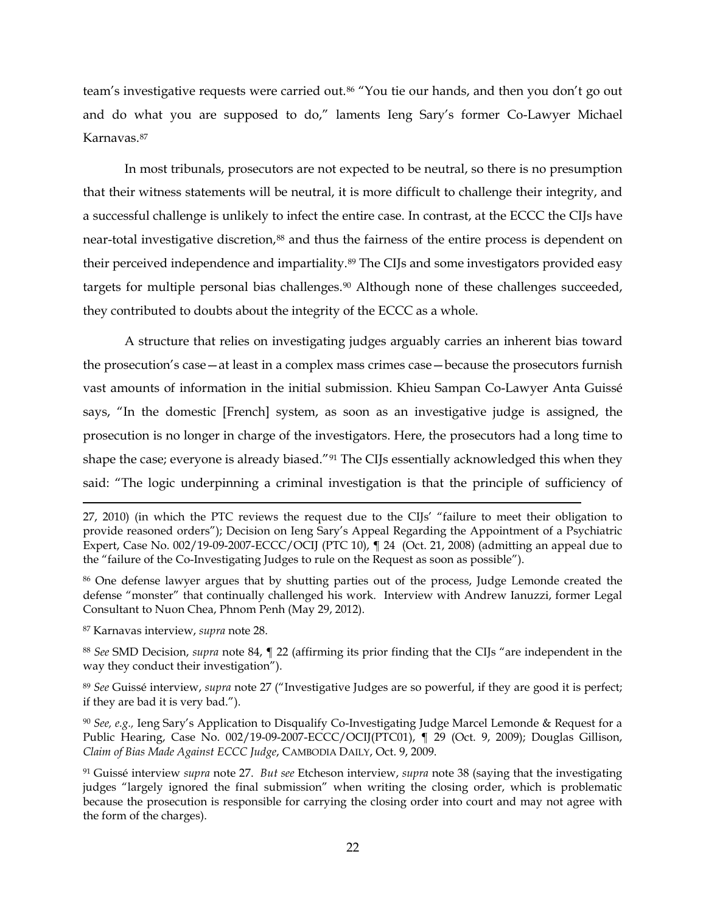<span id="page-21-6"></span>team's investigative requests were carried out.[86](#page-21-0) "You tie our hands, and then you don't go out and do what you are supposed to do," laments Ieng Sary's former Co-Lawyer Michael Karnavas.[87](#page-21-1)

In most tribunals, prosecutors are not expected to be neutral, so there is no presumption that their witness statements will be neutral, it is more difficult to challenge their integrity, and a successful challenge is unlikely to infect the entire case. In contrast, at the ECCC the CIJs have near-total investigative discretion,<sup>[88](#page-21-2)</sup> and thus the fairness of the entire process is dependent on their perceived independence and impartiality.<sup>[89](#page-21-3)</sup> The CIJs and some investigators provided easy targets for multiple personal bias challenges.<sup>[90](#page-21-4)</sup> Although none of these challenges succeeded, they contributed to doubts about the integrity of the ECCC as a whole.

A structure that relies on investigating judges arguably carries an inherent bias toward the prosecution's case—at least in a complex mass crimes case—because the prosecutors furnish vast amounts of information in the initial submission. Khieu Sampan Co-Lawyer Anta Guissé says, "In the domestic [French] system, as soon as an investigative judge is assigned, the prosecution is no longer in charge of the investigators. Here, the prosecutors had a long time to shape the case; everyone is already biased."<sup>[91](#page-21-5)</sup> The CIJs essentially acknowledged this when they said: "The logic underpinning a criminal investigation is that the principle of sufficiency of

<span id="page-21-1"></span><sup>87</sup> Karnavas interview, *supra* note [28.](#page-8-4)

 $\overline{a}$ 

<span id="page-21-2"></span><sup>88</sup> *See* SMD Decision, *supra* note [84,](#page-20-7) ¶ 22 (affirming its prior finding that the CIJs "are independent in the way they conduct their investigation").

<span id="page-21-3"></span><sup>89</sup> *See* Guissé interview, *supra* note [27](#page-8-5) ("Investigative Judges are so powerful, if they are good it is perfect; if they are bad it is very bad.").

<span id="page-21-4"></span><sup>90</sup> *See, e.g.,* Ieng Sary's Application to Disqualify Co-Investigating Judge Marcel Lemonde & Request for a Public Hearing, Case No. 002/19-09-2007-ECCC/OCIJ(PTC01),  $\P$  29 (Oct. 9, 2009); Douglas Gillison, *Claim of Bias Made Against ECCC Judge*, CAMBODIA DAILY, Oct. 9, 2009.

<span id="page-21-5"></span><sup>91</sup> Guissé interview *supra* note [27.](#page-8-5) *But see* Etcheson interview, *supra* note [38](#page-10-3) (saying that the investigating judges "largely ignored the final submission" when writing the closing order, which is problematic because the prosecution is responsible for carrying the closing order into court and may not agree with the form of the charges).

<sup>27, 2010) (</sup>in which the PTC reviews the request due to the CIJs' "failure to meet their obligation to provide reasoned orders"); Decision on Ieng Sary's Appeal Regarding the Appointment of a Psychiatric Expert, Case No. 002/19-09-2007-ECCC/OCIJ (PTC 10), ¶ 24 (Oct. 21, 2008) (admitting an appeal due to the "failure of the Co-Investigating Judges to rule on the Request as soon as possible").

<span id="page-21-0"></span><sup>86</sup> One defense lawyer argues that by shutting parties out of the process, Judge Lemonde created the defense "monster" that continually challenged his work. Interview with Andrew Ianuzzi, former Legal Consultant to Nuon Chea, Phnom Penh (May 29, 2012).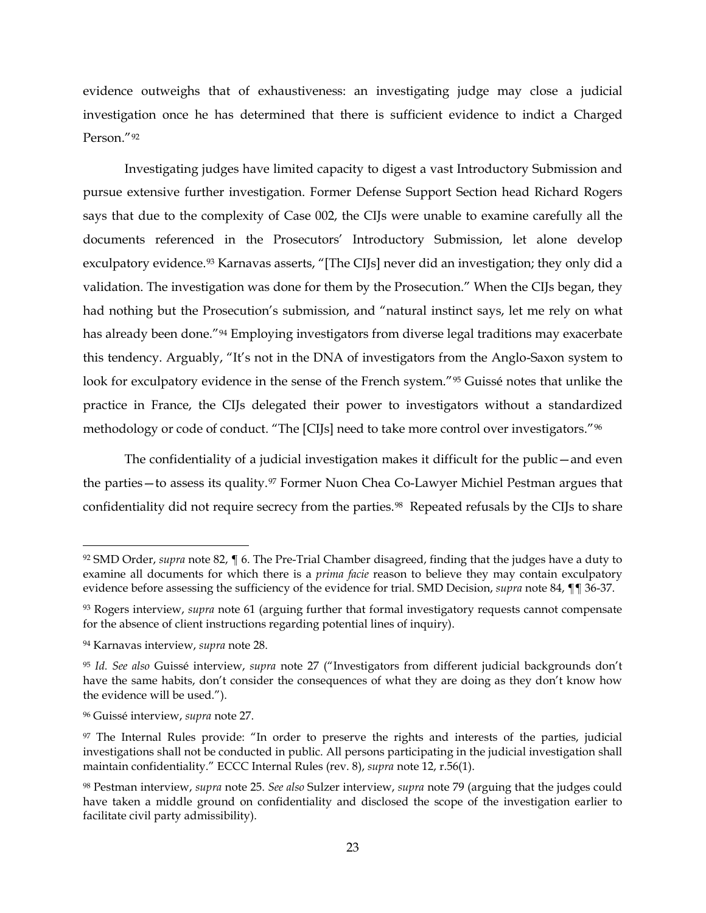evidence outweighs that of exhaustiveness: an investigating judge may close a judicial investigation once he has determined that there is sufficient evidence to indict a Charged Person."[92](#page-22-0)

Investigating judges have limited capacity to digest a vast Introductory Submission and pursue extensive further investigation. Former Defense Support Section head Richard Rogers says that due to the complexity of Case 002, the CIJs were unable to examine carefully all the documents referenced in the Prosecutors' Introductory Submission, let alone develop exculpatory evidence.<sup>[93](#page-22-1)</sup> Karnavas asserts, "[The CIJs] never did an investigation; they only did a validation. The investigation was done for them by the Prosecution." When the CIJs began, they had nothing but the Prosecution's submission, and "natural instinct says, let me rely on what has already been done."<sup>[94](#page-22-2)</sup> Employing investigators from diverse legal traditions may exacerbate this tendency. Arguably, "It's not in the DNA of investigators from the Anglo-Saxon system to look for exculpatory evidence in the sense of the French system."[95](#page-22-3) Guissé notes that unlike the practice in France, the CIJs delegated their power to investigators without a standardized methodology or code of conduct. "The [CIJs] need to take more control over investigators."[96](#page-22-4)

The confidentiality of a judicial investigation makes it difficult for the public—and even the parties—to assess its quality.[97](#page-22-5) Former Nuon Chea Co-Lawyer Michiel Pestman argues that confidentiality did not require secrecy from the parties.<sup>98</sup> Repeated refusals by the CIJs to share

<span id="page-22-0"></span> <sup>92</sup> SMD Order, *supra* note [82,](#page-20-8) ¶ 6. The Pre-Trial Chamber disagreed, finding that the judges have a duty to examine all documents for which there is a *prima facie* reason to believe they may contain exculpatory evidence before assessing the sufficiency of the evidence for trial. SMD Decision, *supra* note [84,](#page-20-7) ¶¶ 36-37.

<span id="page-22-1"></span><sup>93</sup> Rogers interview, *supra* note [61](#page-15-7) (arguing further that formal investigatory requests cannot compensate for the absence of client instructions regarding potential lines of inquiry).

<span id="page-22-2"></span><sup>94</sup> Karnavas interview, *supra* note [28.](#page-8-4)

<span id="page-22-3"></span><sup>95</sup> *Id. See also* Guissé interview, *supra* note [27](#page-8-5) ("Investigators from different judicial backgrounds don't have the same habits, don't consider the consequences of what they are doing as they don't know how the evidence will be used.").

<span id="page-22-4"></span><sup>96</sup> Guissé interview, *supra* note [27.](#page-8-5)

<span id="page-22-5"></span><sup>97</sup> The Internal Rules provide: "In order to preserve the rights and interests of the parties, judicial investigations shall not be conducted in public. All persons participating in the judicial investigation shall maintain confidentiality." ECCC Internal Rules (rev. 8), *supra* note [12,](#page-4-4) r.56(1).

<span id="page-22-6"></span><sup>98</sup> Pestman interview, *supra* note [25.](#page-7-7) *See also* Sulzer interview, *supra* note [79](#page-20-9) (arguing that the judges could have taken a middle ground on confidentiality and disclosed the scope of the investigation earlier to facilitate civil party admissibility).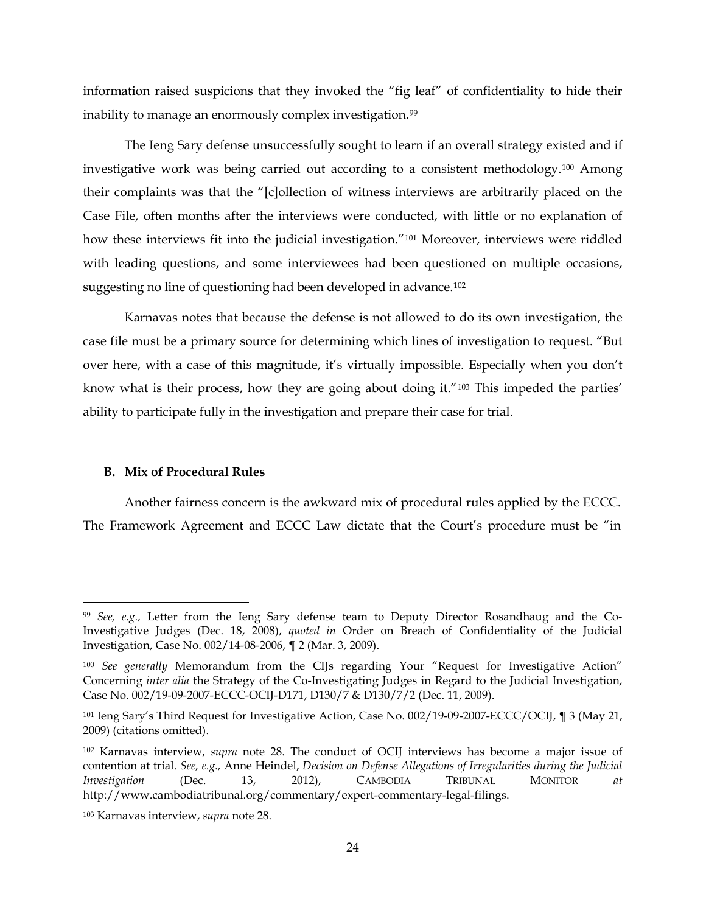information raised suspicions that they invoked the "fig leaf" of confidentiality to hide their inability to manage an enormously complex investigation.<sup>[99](#page-23-0)</sup>

The Ieng Sary defense unsuccessfully sought to learn if an overall strategy existed and if investigative work was being carried out according to a consistent methodology.<sup>[100](#page-23-1)</sup> Among their complaints was that the "[c]ollection of witness interviews are arbitrarily placed on the Case File, often months after the interviews were conducted, with little or no explanation of how these interviews fit into the judicial investigation.<sup>"[101](#page-23-2)</sup> Moreover, interviews were riddled with leading questions, and some interviewees had been questioned on multiple occasions, suggesting no line of questioning had been developed in advance.<sup>[102](#page-23-3)</sup>

Karnavas notes that because the defense is not allowed to do its own investigation, the case file must be a primary source for determining which lines of investigation to request. "But over here, with a case of this magnitude, it's virtually impossible. Especially when you don't know what is their process, how they are going about doing it."[103](#page-23-4) This impeded the parties' ability to participate fully in the investigation and prepare their case for trial.

## **B. Mix of Procedural Rules**

Another fairness concern is the awkward mix of procedural rules applied by the ECCC. The Framework Agreement and ECCC Law dictate that the Court's procedure must be "in

<span id="page-23-0"></span> <sup>99</sup> *See, e.g.,* Letter from the Ieng Sary defense team to Deputy Director Rosandhaug and the Co-Investigative Judges (Dec. 18, 2008), *quoted in* Order on Breach of Confidentiality of the Judicial Investigation, Case No. 002/14-08-2006, ¶ 2 (Mar. 3, 2009).

<span id="page-23-1"></span><sup>100</sup> *See generally* Memorandum from the CIJs regarding Your "Request for Investigative Action" Concerning *inter alia* the Strategy of the Co-Investigating Judges in Regard to the Judicial Investigation, Case No. 002/19-09-2007-ECCC-OCIJ-D171, D130/7 & D130/7/2 (Dec. 11, 2009).

<span id="page-23-2"></span><sup>101</sup> Ieng Sary's Third Request for Investigative Action, Case No. 002/19-09-2007-ECCC/OCIJ, ¶ 3 (May 21, 2009) (citations omitted).

<span id="page-23-3"></span><sup>102</sup> Karnavas interview, *supra* note [28.](#page-8-4) The conduct of OCIJ interviews has become a major issue of contention at trial. *See, e.g.,* Anne Heindel, *Decision on Defense Allegations of Irregularities during the Judicial Investigation* (Dec. 13, 2012), CAMBODIA TRIBUNAL MONITOR *at*  http://www.cambodiatribunal.org/commentary/expert-commentary-legal-filings.

<span id="page-23-4"></span><sup>103</sup> Karnavas interview, *supra* note [28.](#page-8-4)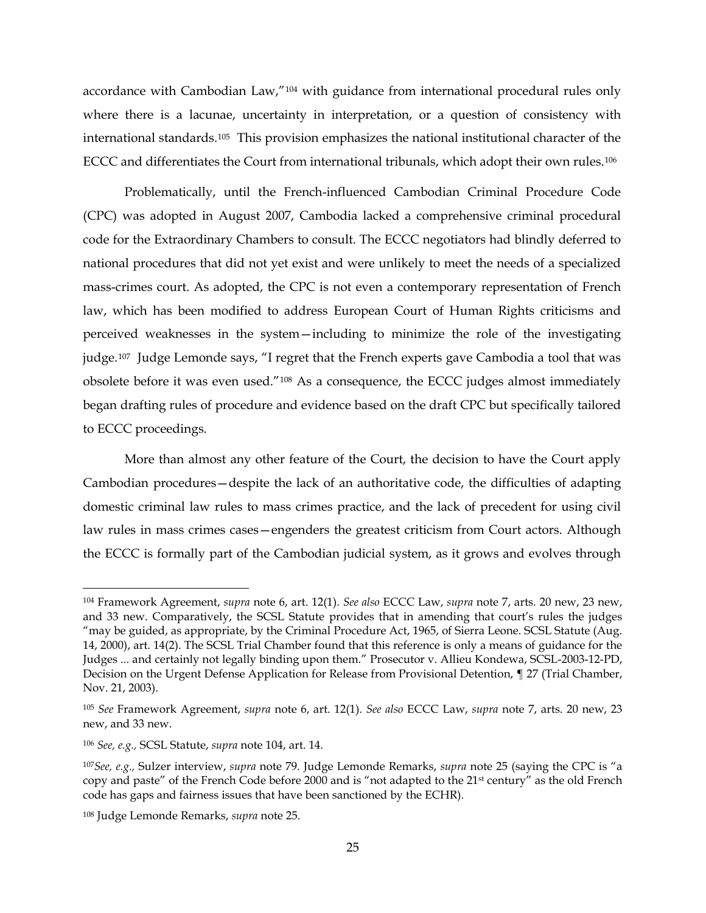<span id="page-24-0"></span>accordance with Cambodian Law,"[104](#page-24-1) with guidance from international procedural rules only where there is a lacunae, uncertainty in interpretation, or a question of consistency with international standards.[105](#page-24-2) This provision emphasizes the national institutional character of the ECCC and differentiates the Court from international tribunals, which adopt their own rules.[106](#page-24-3)

Problematically, until the French-influenced Cambodian Criminal Procedure Code (CPC) was adopted in August 2007, Cambodia lacked a comprehensive criminal procedural code for the Extraordinary Chambers to consult. The ECCC negotiators had blindly deferred to national procedures that did not yet exist and were unlikely to meet the needs of a specialized mass-crimes court. As adopted, the CPC is not even a contemporary representation of French law, which has been modified to address European Court of Human Rights criticisms and perceived weaknesses in the system—including to minimize the role of the investigating judge.[107](#page-24-4) Judge Lemonde says, "I regret that the French experts gave Cambodia a tool that was obsolete before it was even used."[108](#page-24-5) As a consequence, the ECCC judges almost immediately began drafting rules of procedure and evidence based on the draft CPC but specifically tailored to ECCC proceedings.

More than almost any other feature of the Court, the decision to have the Court apply Cambodian procedures—despite the lack of an authoritative code, the difficulties of adapting domestic criminal law rules to mass crimes practice, and the lack of precedent for using civil law rules in mass crimes cases—engenders the greatest criticism from Court actors. Although the ECCC is formally part of the Cambodian judicial system, as it grows and evolves through

<span id="page-24-1"></span> <sup>104</sup> Framework Agreement, *supra* note [6,](#page-3-1) art. 12(1). *See also* ECCC Law, *supra* note [7,](#page-3-0) arts. 20 new, 23 new, and 33 new. Comparatively, the SCSL Statute provides that in amending that court's rules the judges "may be guided, as appropriate, by the Criminal Procedure Act, 1965, of Sierra Leone. SCSL Statute (Aug. 14, 2000), art. 14(2). The SCSL Trial Chamber found that this reference is only a means of guidance for the Judges ... and certainly not legally binding upon them." Prosecutor v. Allieu Kondewa, SCSL-2003-12-PD, Decision on the Urgent Defense Application for Release from Provisional Detention, ¶ 27 (Trial Chamber, Nov. 21, 2003).

<span id="page-24-2"></span><sup>105</sup> *See* Framework Agreement, *supra* note [6,](#page-3-1) art. 12(1). *See also* ECCC Law, *supra* note [7,](#page-3-0) arts. 20 new, 23 new, and 33 new.

<span id="page-24-3"></span><sup>106</sup> *See, e.g.,* SCSL Statute, *supra* note [104,](#page-24-0) art. 14.

<span id="page-24-4"></span><sup>107</sup>*See, e.g.,* Sulzer interview, *supra* note [79.](#page-20-9) Judge Lemonde Remarks, *supra* note [25](#page-7-7) (saying the CPC is "a copy and paste" of the French Code before 2000 and is "not adapted to the 21<sup>st</sup> century" as the old French code has gaps and fairness issues that have been sanctioned by the ECHR).

<span id="page-24-5"></span><sup>108</sup> Judge Lemonde Remarks, *supra* note [25.](#page-7-7)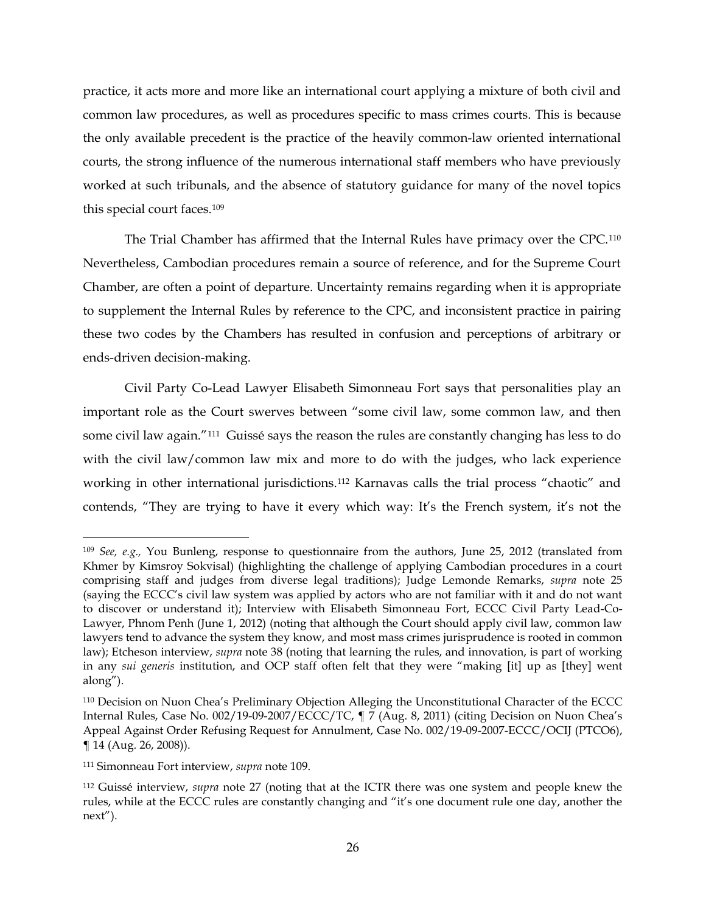practice, it acts more and more like an international court applying a mixture of both civil and common law procedures, as well as procedures specific to mass crimes courts. This is because the only available precedent is the practice of the heavily common-law oriented international courts, the strong influence of the numerous international staff members who have previously worked at such tribunals, and the absence of statutory guidance for many of the novel topics this special court faces.[109](#page-25-1)

<span id="page-25-0"></span>The Trial Chamber has affirmed that the Internal Rules have primacy over the CPC.[110](#page-25-2) Nevertheless, Cambodian procedures remain a source of reference, and for the Supreme Court Chamber, are often a point of departure. Uncertainty remains regarding when it is appropriate to supplement the Internal Rules by reference to the CPC, and inconsistent practice in pairing these two codes by the Chambers has resulted in confusion and perceptions of arbitrary or ends-driven decision-making.

Civil Party Co-Lead Lawyer Elisabeth Simonneau Fort says that personalities play an important role as the Court swerves between "some civil law, some common law, and then some civil law again."[111](#page-25-3) Guissé says the reason the rules are constantly changing has less to do with the civil law/common law mix and more to do with the judges, who lack experience working in other international jurisdictions.[112](#page-25-4) Karnavas calls the trial process "chaotic" and contends, "They are trying to have it every which way: It's the French system, it's not the

<span id="page-25-1"></span> <sup>109</sup> *See, e.g.,* You Bunleng, response to questionnaire from the authors, June 25, 2012 (translated from Khmer by Kimsroy Sokvisal) (highlighting the challenge of applying Cambodian procedures in a court comprising staff and judges from diverse legal traditions); Judge Lemonde Remarks, *supra* note [25](#page-7-7) (saying the ECCC's civil law system was applied by actors who are not familiar with it and do not want to discover or understand it); Interview with Elisabeth Simonneau Fort, ECCC Civil Party Lead-Co-Lawyer, Phnom Penh (June 1, 2012) (noting that although the Court should apply civil law, common law lawyers tend to advance the system they know, and most mass crimes jurisprudence is rooted in common law); Etcheson interview, *supra* note [38](#page-10-3) (noting that learning the rules, and innovation, is part of working in any *sui generis* institution, and OCP staff often felt that they were "making [it] up as [they] went along").

<span id="page-25-2"></span><sup>110</sup> Decision on Nuon Chea's Preliminary Objection Alleging the Unconstitutional Character of the ECCC Internal Rules, Case No. 002/19-09-2007/ECCC/TC, ¶ 7 (Aug. 8, 2011) (citing Decision on Nuon Chea's Appeal Against Order Refusing Request for Annulment, Case No. 002/19-09-2007-ECCC/OCIJ (PTCO6), ¶ 14 (Aug. 26, 2008)).

<span id="page-25-3"></span><sup>111</sup> Simonneau Fort interview, *supra* note [109.](#page-25-0)

<span id="page-25-4"></span><sup>112</sup> Guissé interview, *supra* note [27](#page-8-5) (noting that at the ICTR there was one system and people knew the rules, while at the ECCC rules are constantly changing and "it's one document rule one day, another the next").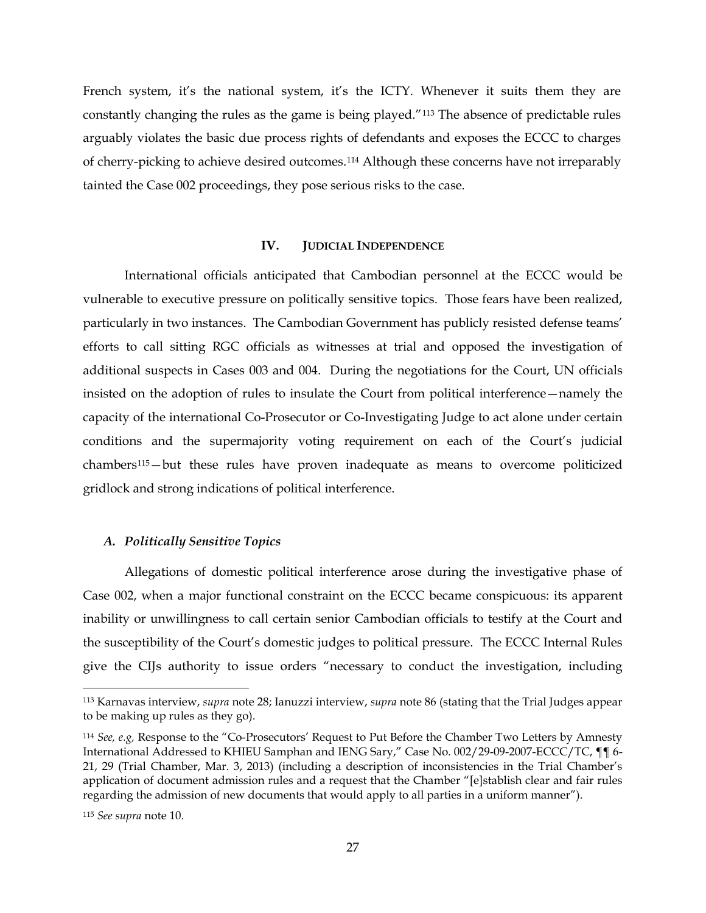French system, it's the national system, it's the ICTY. Whenever it suits them they are constantly changing the rules as the game is being played."[113](#page-26-0) The absence of predictable rules arguably violates the basic due process rights of defendants and exposes the ECCC to charges of cherry-picking to achieve desired outcomes.[114](#page-26-1) Although these concerns have not irreparably tainted the Case 002 proceedings, they pose serious risks to the case.

#### **IV. JUDICIAL INDEPENDENCE**

International officials anticipated that Cambodian personnel at the ECCC would be vulnerable to executive pressure on politically sensitive topics. Those fears have been realized, particularly in two instances. The Cambodian Government has publicly resisted defense teams' efforts to call sitting RGC officials as witnesses at trial and opposed the investigation of additional suspects in Cases 003 and 004. During the negotiations for the Court, UN officials insisted on the adoption of rules to insulate the Court from political interference—namely the capacity of the international Co-Prosecutor or Co-Investigating Judge to act alone under certain conditions and the supermajority voting requirement on each of the Court's judicial chambers[115—](#page-26-2)but these rules have proven inadequate as means to overcome politicized gridlock and strong indications of political interference.

## *A. Politically Sensitive Topics*

Allegations of domestic political interference arose during the investigative phase of Case 002, when a major functional constraint on the ECCC became conspicuous: its apparent inability or unwillingness to call certain senior Cambodian officials to testify at the Court and the susceptibility of the Court's domestic judges to political pressure. The ECCC Internal Rules give the CIJs authority to issue orders "necessary to conduct the investigation, including

<span id="page-26-0"></span> <sup>113</sup> Karnavas interview, *supra* note [28;](#page-8-4) Ianuzzi interview, *supra* note [86](#page-21-6) (stating that the Trial Judges appear to be making up rules as they go).

<span id="page-26-1"></span><sup>114</sup> *See, e.g,* Response to the "Co-Prosecutors' Request to Put Before the Chamber Two Letters by Amnesty International Addressed to KHIEU Samphan and IENG Sary," Case No. 002/29-09-2007-ECCC/TC, ¶¶ 6- 21, 29 (Trial Chamber, Mar. 3, 2013) (including a description of inconsistencies in the Trial Chamber's application of document admission rules and a request that the Chamber "[e]stablish clear and fair rules regarding the admission of new documents that would apply to all parties in a uniform manner").

<span id="page-26-2"></span><sup>115</sup> *See supra* note [10.](#page-3-7)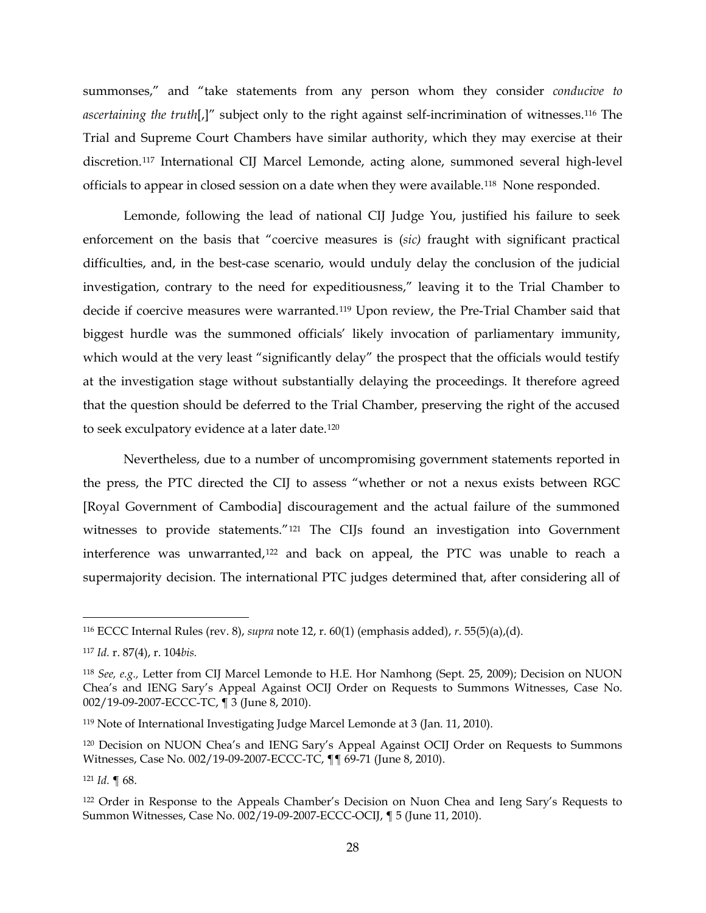summonses," and "take statements from any person whom they consider *conducive to ascertaining the truth*[,]" subject only to the right against self-incrimination of witnesses.[116](#page-27-0) The Trial and Supreme Court Chambers have similar authority, which they may exercise at their discretion.[117](#page-27-1) International CIJ Marcel Lemonde, acting alone, summoned several high-level officials to appear in closed session on a date when they were available.[118](#page-27-2) None responded.

Lemonde, following the lead of national CIJ Judge You, justified his failure to seek enforcement on the basis that "coercive measures is (*sic)* fraught with significant practical difficulties, and, in the best-case scenario, would unduly delay the conclusion of the judicial investigation, contrary to the need for expeditiousness," leaving it to the Trial Chamber to decide if coercive measures were warranted.[119](#page-27-3) Upon review, the Pre-Trial Chamber said that biggest hurdle was the summoned officials' likely invocation of parliamentary immunity, which would at the very least "significantly delay" the prospect that the officials would testify at the investigation stage without substantially delaying the proceedings. It therefore agreed that the question should be deferred to the Trial Chamber, preserving the right of the accused to seek exculpatory evidence at a later date.[120](#page-27-4)

Nevertheless, due to a number of uncompromising government statements reported in the press, the PTC directed the CIJ to assess "whether or not a nexus exists between RGC [Royal Government of Cambodia] discouragement and the actual failure of the summoned witnesses to provide statements."[121](#page-27-5) The CIJs found an investigation into Government interference was unwarranted,[122](#page-27-6) and back on appeal, the PTC was unable to reach a supermajority decision. The international PTC judges determined that, after considering all of

<span id="page-27-5"></span><sup>121</sup> *Id.* ¶ 68.

<span id="page-27-0"></span> <sup>116</sup> ECCC Internal Rules (rev. 8), *supra* note [12,](#page-4-4) r. 60(1) (emphasis added), *r*. 55(5)(a),(d).

<span id="page-27-1"></span><sup>117</sup> *Id.* r. 87(4), r. 104*bis.* 

<span id="page-27-2"></span><sup>118</sup> *See, e.g.,* Letter from CIJ Marcel Lemonde to H.E. Hor Namhong (Sept. 25, 2009); Decision on NUON Chea's and IENG Sary's Appeal Against OCIJ Order on Requests to Summons Witnesses, Case No. 002/19-09-2007-ECCC-TC, ¶ 3 (June 8, 2010).

<span id="page-27-3"></span><sup>119</sup> Note of International Investigating Judge Marcel Lemonde at 3 (Jan. 11, 2010).

<span id="page-27-4"></span><sup>120</sup> Decision on NUON Chea's and IENG Sary's Appeal Against OCIJ Order on Requests to Summons Witnesses, Case No. 002/19-09-2007-ECCC-TC, ¶¶ 69-71 (June 8, 2010).

<span id="page-27-6"></span><sup>122</sup> Order in Response to the Appeals Chamber's Decision on Nuon Chea and Ieng Sary's Requests to Summon Witnesses, Case No. 002/19-09-2007-ECCC-OCIJ, ¶ 5 (June 11, 2010).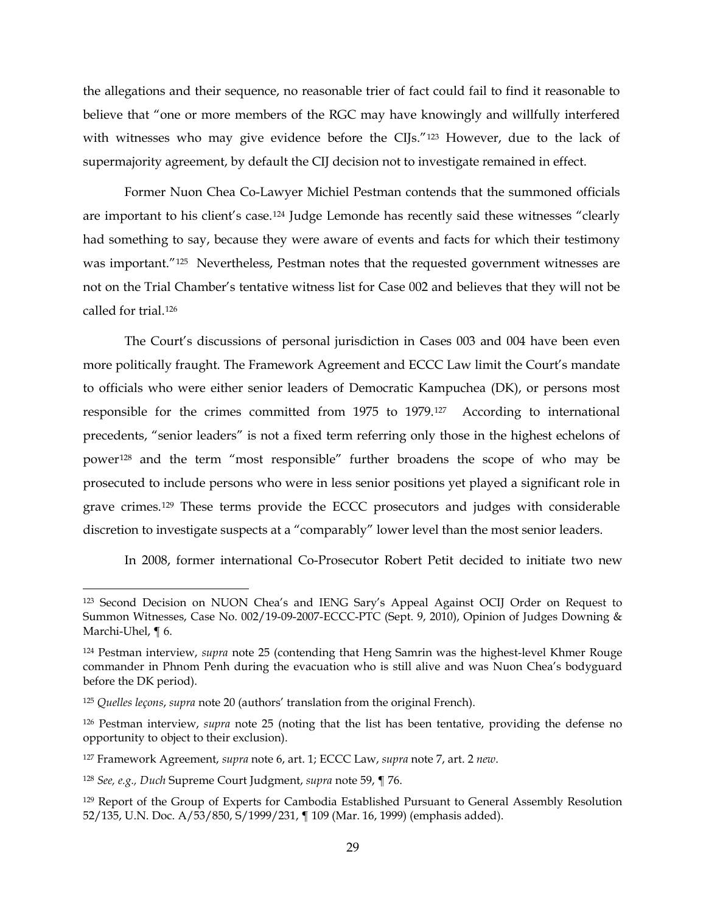the allegations and their sequence, no reasonable trier of fact could fail to find it reasonable to believe that "one or more members of the RGC may have knowingly and willfully interfered with witnesses who may give evidence before the CIJs."<sup>[123](#page-28-0)</sup> However, due to the lack of supermajority agreement, by default the CIJ decision not to investigate remained in effect.

Former Nuon Chea Co-Lawyer Michiel Pestman contends that the summoned officials are important to his client's case.[124](#page-28-1) Judge Lemonde has recently said these witnesses "clearly had something to say, because they were aware of events and facts for which their testimony was important."<sup>[125](#page-28-2)</sup> Nevertheless, Pestman notes that the requested government witnesses are not on the Trial Chamber's tentative witness list for Case 002 and believes that they will not be called for trial[.126](#page-28-3)

The Court's discussions of personal jurisdiction in Cases 003 and 004 have been even more politically fraught. The Framework Agreement and ECCC Law limit the Court's mandate to officials who were either senior leaders of Democratic Kampuchea (DK), or persons most responsible for the crimes committed from 1975 to 1979.[127](#page-28-4) According to international precedents, "senior leaders" is not a fixed term referring only those in the highest echelons of power[128](#page-28-5) and the term "most responsible" further broadens the scope of who may be prosecuted to include persons who were in less senior positions yet played a significant role in grave crimes.[129](#page-28-6) These terms provide the ECCC prosecutors and judges with considerable discretion to investigate suspects at a "comparably" lower level than the most senior leaders.

<span id="page-28-7"></span>In 2008, former international Co-Prosecutor Robert Petit decided to initiate two new

<span id="page-28-0"></span> <sup>123</sup> Second Decision on NUON Chea's and IENG Sary's Appeal Against OCIJ Order on Request to Summon Witnesses, Case No. 002/19-09-2007-ECCC-PTC (Sept. 9, 2010), Opinion of Judges Downing & Marchi-Uhel, ¶ 6.

<span id="page-28-1"></span><sup>124</sup> Pestman interview, *supra* note [25](#page-7-7) (contending that Heng Samrin was the highest-level Khmer Rouge commander in Phnom Penh during the evacuation who is still alive and was Nuon Chea's bodyguard before the DK period).

<span id="page-28-2"></span><sup>125</sup> *Quelles leçons*, *supra* note [20](#page-7-8) (authors' translation from the original French).

<span id="page-28-3"></span><sup>126</sup> Pestman interview, *supra* note [25](#page-7-7) (noting that the list has been tentative, providing the defense no opportunity to object to their exclusion).

<span id="page-28-4"></span><sup>127</sup> Framework Agreement, *supra* note [6,](#page-3-1) art. 1; ECCC Law, *supra* note [7,](#page-3-0) art. 2 *new*.

<span id="page-28-5"></span><sup>128</sup> *See, e.g., Duch* Supreme Court Judgment, *supra* not[e 59,](#page-15-6) ¶ 76.

<span id="page-28-6"></span><sup>129</sup> Report of the Group of Experts for Cambodia Established Pursuant to General Assembly Resolution 52/135, U.N. Doc. A/53/850, S/1999/231, ¶ 109 (Mar. 16, 1999) (emphasis added).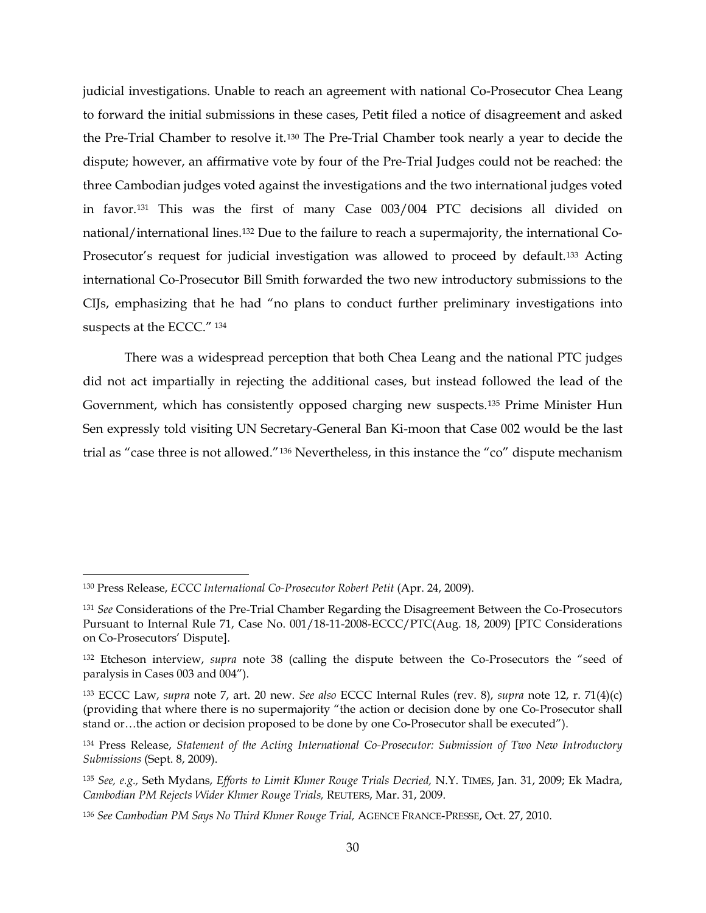<span id="page-29-7"></span>judicial investigations. Unable to reach an agreement with national Co-Prosecutor Chea Leang to forward the initial submissions in these cases, Petit filed a notice of disagreement and asked the Pre-Trial Chamber to resolve it.[130](#page-29-0) The Pre-Trial Chamber took nearly a year to decide the dispute; however, an affirmative vote by four of the Pre-Trial Judges could not be reached: the three Cambodian judges voted against the investigations and the two international judges voted in favor.[131](#page-29-1) This was the first of many Case 003/004 PTC decisions all divided on national/international lines.[132](#page-29-2) Due to the failure to reach a supermajority, the international Co-Prosecutor's request for judicial investigation was allowed to proceed by default.<sup>[133](#page-29-3)</sup> Acting international Co-Prosecutor Bill Smith forwarded the two new introductory submissions to the CIJs, emphasizing that he had "no plans to conduct further preliminary investigations into suspects at the ECCC." [134](#page-29-4)

There was a widespread perception that both Chea Leang and the national PTC judges did not act impartially in rejecting the additional cases, but instead followed the lead of the Government, which has consistently opposed charging new suspects.[135](#page-29-5) Prime Minister Hun Sen expressly told visiting UN Secretary-General Ban Ki-moon that Case 002 would be the last trial as "case three is not allowed."[136](#page-29-6) Nevertheless, in this instance the "co" dispute mechanism

<span id="page-29-0"></span> <sup>130</sup> Press Release, *ECCC International Co-Prosecutor Robert Petit* (Apr. 24, 2009).

<span id="page-29-1"></span><sup>131</sup> *See* Considerations of the Pre-Trial Chamber Regarding the Disagreement Between the Co-Prosecutors Pursuant to Internal Rule 71, Case No. 001/18-11-2008-ECCC/PTC(Aug. 18, 2009) [PTC Considerations on Co-Prosecutors' Dispute].

<span id="page-29-2"></span><sup>132</sup> Etcheson interview, *supra* note [38](#page-10-3) (calling the dispute between the Co-Prosecutors the "seed of paralysis in Cases 003 and 004").

<span id="page-29-3"></span><sup>133</sup> ECCC Law, *supra* note [7,](#page-3-0) art. 20 new. *See also* ECCC Internal Rules (rev. 8), *supra* note [12,](#page-4-4) r. 71(4)(c) (providing that where there is no supermajority "the action or decision done by one Co-Prosecutor shall stand or…the action or decision proposed to be done by one Co-Prosecutor shall be executed").

<span id="page-29-4"></span><sup>134</sup> Press Release, *Statement of the Acting International Co-Prosecutor: Submission of Two New Introductory Submissions* (Sept. 8, 2009).

<span id="page-29-5"></span><sup>135</sup> *See, e.g.,* Seth Mydans, *Efforts to Limit Khmer Rouge Trials Decried,* N.Y. TIMES, Jan. 31, 2009; Ek Madra, *Cambodian PM Rejects Wider Khmer Rouge Trials,* REUTERS, Mar. 31, 2009.

<span id="page-29-6"></span><sup>136</sup> *See Cambodian PM Says No Third Khmer Rouge Trial,* AGENCE FRANCE-PRESSE, Oct. 27, 2010.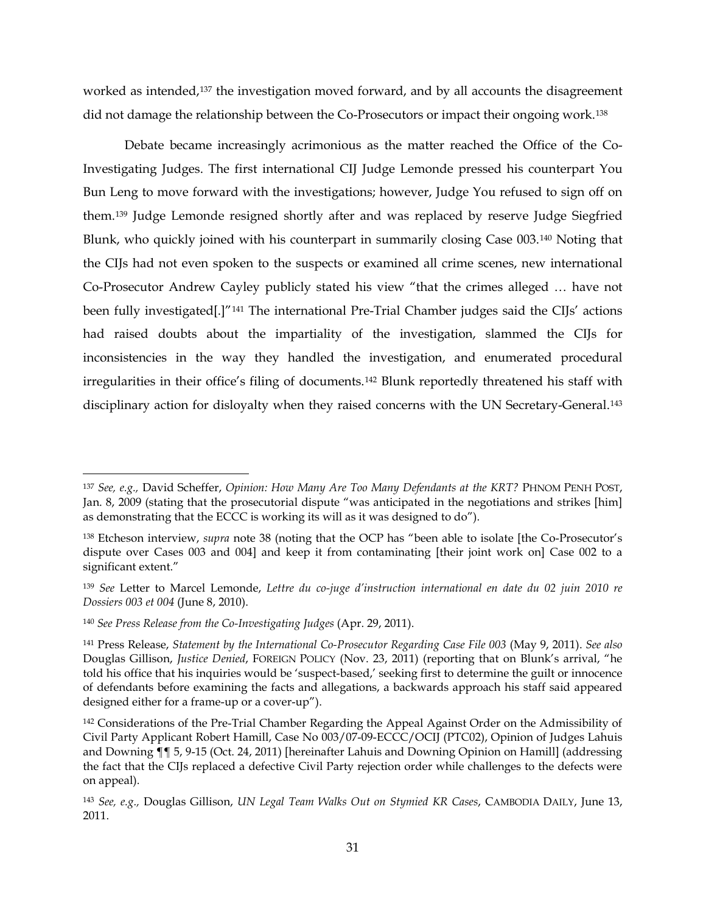worked as intended,[137](#page-30-0) the investigation moved forward, and by all accounts the disagreement did not damage the relationship between the Co-Prosecutors or impact their ongoing work.<sup>[138](#page-30-1)</sup>

Debate became increasingly acrimonious as the matter reached the Office of the Co-Investigating Judges. The first international CIJ Judge Lemonde pressed his counterpart You Bun Leng to move forward with the investigations; however, Judge You refused to sign off on them.[139](#page-30-2) Judge Lemonde resigned shortly after and was replaced by reserve Judge Siegfried Blunk, who quickly joined with his counterpart in summarily closing Case 003.[140](#page-30-3) Noting that the CIJs had not even spoken to the suspects or examined all crime scenes, new international Co-Prosecutor Andrew Cayley publicly stated his view "that the crimes alleged … have not been fully investigated<sup>[1]"[141](#page-30-4)</sup> The international Pre-Trial Chamber judges said the CIJs' actions had raised doubts about the impartiality of the investigation, slammed the CIJs for inconsistencies in the way they handled the investigation, and enumerated procedural irregularities in their office's filing of documents.[142](#page-30-5) Blunk reportedly threatened his staff with disciplinary action for disloyalty when they raised concerns with the UN Secretary-General.<sup>[143](#page-30-6)</sup>

<span id="page-30-7"></span><span id="page-30-0"></span> <sup>137</sup> *See, e.g.,* David Scheffer, *Opinion: How Many Are Too Many Defendants at the KRT?* PHNOM PENH POST, Jan. 8, 2009 (stating that the prosecutorial dispute "was anticipated in the negotiations and strikes [him] as demonstrating that the ECCC is working its will as it was designed to do").

<span id="page-30-1"></span><sup>138</sup> Etcheson interview, *supra* note [38](#page-10-3) (noting that the OCP has "been able to isolate [the Co-Prosecutor's dispute over Cases 003 and 004] and keep it from contaminating [their joint work on] Case 002 to a significant extent."

<span id="page-30-2"></span><sup>139</sup> *See* Letter to Marcel Lemonde, *Lettre du co-juge d'instruction international en date du 02 juin 2010 re Dossiers 003 et 004* (June 8, 2010).

<span id="page-30-3"></span><sup>140</sup> *See Press Release from the Co-Investigating Judges* (Apr. 29, 2011).

<span id="page-30-4"></span><sup>141</sup> Press Release, *Statement by the International Co-Prosecutor Regarding Case File 003* (May 9, 2011). *See also*  Douglas Gillison, *Justice Denied*, FOREIGN POLICY (Nov. 23, 2011) (reporting that on Blunk's arrival, "he told his office that his inquiries would be 'suspect-based,' seeking first to determine the guilt or innocence of defendants before examining the facts and allegations, a backwards approach his staff said appeared designed either for a frame-up or a cover-up").

<span id="page-30-5"></span><sup>&</sup>lt;sup>142</sup> Considerations of the Pre-Trial Chamber Regarding the Appeal Against Order on the Admissibility of Civil Party Applicant Robert Hamill, Case No 003/07-09-ECCC/OCIJ (PTC02), Opinion of Judges Lahuis and Downing ¶¶ 5, 9-15 (Oct. 24, 2011) [hereinafter Lahuis and Downing Opinion on Hamill] (addressing the fact that the CIJs replaced a defective Civil Party rejection order while challenges to the defects were on appeal).

<span id="page-30-6"></span><sup>143</sup> *See, e.g.,* Douglas Gillison, *UN Legal Team Walks Out on Stymied KR Cases*, CAMBODIA DAILY, June 13, 2011.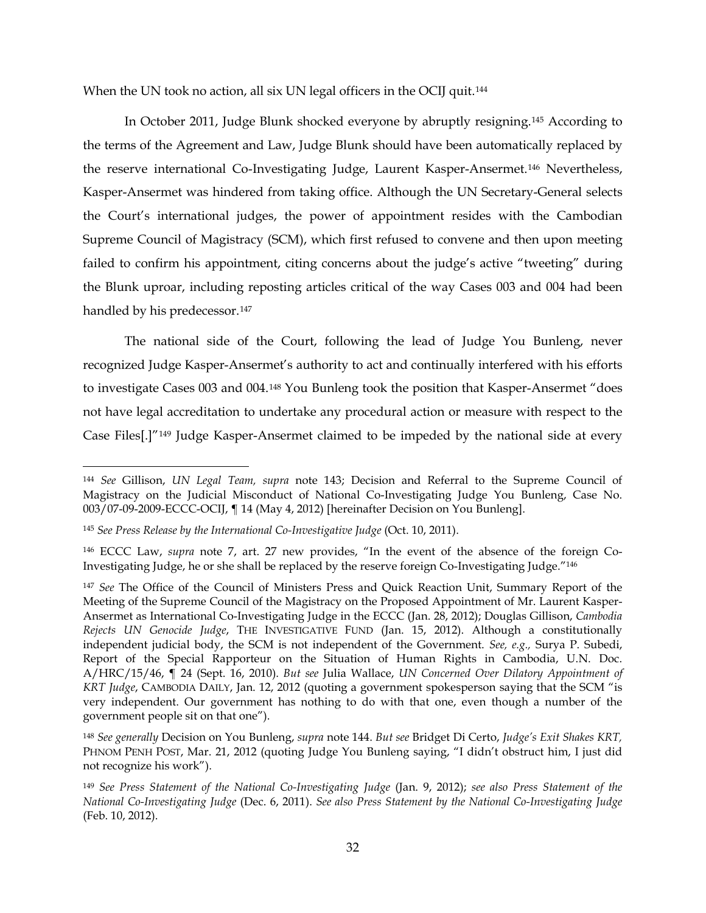<span id="page-31-0"></span>When the UN took no action, all six UN legal officers in the OCIJ quit.<sup>[144](#page-31-1)</sup>

In October 2011, Judge Blunk shocked everyone by abruptly resigning.[145](#page-31-2) According to the terms of the Agreement and Law, Judge Blunk should have been automatically replaced by the reserve international Co-Investigating Judge, Laurent Kasper-Ansermet.[146](#page-31-3) Nevertheless, Kasper-Ansermet was hindered from taking office. Although the UN Secretary-General selects the Court's international judges, the power of appointment resides with the Cambodian Supreme Council of Magistracy (SCM), which first refused to convene and then upon meeting failed to confirm his appointment, citing concerns about the judge's active "tweeting" during the Blunk uproar, including reposting articles critical of the way Cases 003 and 004 had been handled by his predecessor.<sup>[147](#page-31-4)</sup>

The national side of the Court, following the lead of Judge You Bunleng, never recognized Judge Kasper-Ansermet's authority to act and continually interfered with his efforts to investigate Cases 003 and 004.[148](#page-31-5) You Bunleng took the position that Kasper-Ansermet "does not have legal accreditation to undertake any procedural action or measure with respect to the Case Files[.]"[149](#page-31-6) Judge Kasper-Ansermet claimed to be impeded by the national side at every

<span id="page-31-1"></span> <sup>144</sup> *See* Gillison, *UN Legal Team, supra* note [143;](#page-30-7) Decision and Referral to the Supreme Council of Magistracy on the Judicial Misconduct of National Co-Investigating Judge You Bunleng, Case No. 003/07-09-2009-ECCC-OCIJ, ¶ 14 (May 4, 2012) [hereinafter Decision on You Bunleng].

<span id="page-31-2"></span><sup>145</sup> *See Press Release by the International Co-Investigative Judge* (Oct. 10, 2011).

<span id="page-31-3"></span><sup>146</sup> ECCC Law, *supra* note [7,](#page-3-0) art. 27 new provides, "In the event of the absence of the foreign Co-Investigating Judge, he or she shall be replaced by the reserve foreign Co-Investigating Judge."146

<span id="page-31-4"></span><sup>147</sup> *See* The Office of the Council of Ministers Press and Quick Reaction Unit, Summary Report of the Meeting of the Supreme Council of the Magistracy on the Proposed Appointment of Mr. Laurent Kasper-Ansermet as International Co-Investigating Judge in the ECCC (Jan. 28, 2012); Douglas Gillison, *Cambodia Rejects UN Genocide Judge*, THE INVESTIGATIVE FUND (Jan. 15, 2012). Although a constitutionally independent judicial body, the SCM is not independent of the Government. *See, e.g.,* Surya P. Subedi, Report of the Special Rapporteur on the Situation of Human Rights in Cambodia, U.N. Doc. A/HRC/15/46, ¶ 24 (Sept. 16, 2010). *But see* Julia Wallace, *UN Concerned Over Dilatory Appointment of KRT Judge*, CAMBODIA DAILY, Jan. 12, 2012 (quoting a government spokesperson saying that the SCM "is very independent. Our government has nothing to do with that one, even though a number of the government people sit on that one").

<span id="page-31-5"></span><sup>148</sup> *See generally* Decision on You Bunleng, *supra* note [144.](#page-31-0) *But see* Bridget Di Certo, *Judge's Exit Shakes KRT,*  PHNOM PENH POST, Mar. 21, 2012 (quoting Judge You Bunleng saying, "I didn't obstruct him, I just did not recognize his work").

<span id="page-31-6"></span><sup>149</sup> *See Press Statement of the National Co-Investigating Judge* (Jan. 9, 2012); *see also Press Statement of the National Co-Investigating Judge* (Dec. 6, 2011). *See also Press Statement by the National Co-Investigating Judge* (Feb. 10, 2012).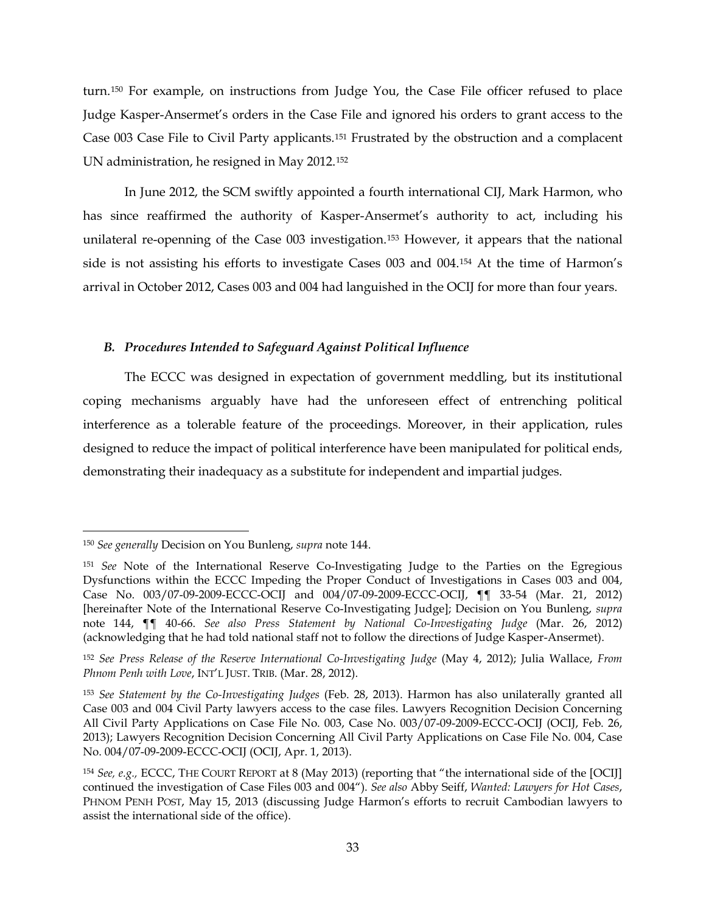<span id="page-32-5"></span>turn.[150](#page-32-0) For example, on instructions from Judge You, the Case File officer refused to place Judge Kasper-Ansermet's orders in the Case File and ignored his orders to grant access to the Case 003 Case File to Civil Party applicants.[151](#page-32-1) Frustrated by the obstruction and a complacent UN administration, he resigned in May 2012.[152](#page-32-2)

In June 2012, the SCM swiftly appointed a fourth international CIJ, Mark Harmon, who has since reaffirmed the authority of Kasper-Ansermet's authority to act, including his unilateral re-openning of the Case 003 investigation.[153](#page-32-3) However, it appears that the national side is not assisting his efforts to investigate Cases 003 and 004.[154](#page-32-4) At the time of Harmon's arrival in October 2012, Cases 003 and 004 had languished in the OCIJ for more than four years.

# *B. Procedures Intended to Safeguard Against Political Influence*

The ECCC was designed in expectation of government meddling, but its institutional coping mechanisms arguably have had the unforeseen effect of entrenching political interference as a tolerable feature of the proceedings. Moreover, in their application, rules designed to reduce the impact of political interference have been manipulated for political ends, demonstrating their inadequacy as a substitute for independent and impartial judges.

<span id="page-32-0"></span> <sup>150</sup> *See generally* Decision on You Bunleng, *supra* note [144.](#page-31-0)

<span id="page-32-1"></span><sup>151</sup> *See* Note of the International Reserve Co-Investigating Judge to the Parties on the Egregious Dysfunctions within the ECCC Impeding the Proper Conduct of Investigations in Cases 003 and 004, Case No. 003/07-09-2009-ECCC-OCIJ and 004/07-09-2009-ECCC-OCIJ, ¶¶ 33-54 (Mar. 21, 2012) [hereinafter Note of the International Reserve Co-Investigating Judge]; Decision on You Bunleng, *supra*  note [144,](#page-31-0) ¶¶ 40-66. *See also Press Statement by National Co-Investigating Judge* (Mar. 26, 2012) (acknowledging that he had told national staff not to follow the directions of Judge Kasper-Ansermet).

<span id="page-32-2"></span><sup>152</sup> *See Press Release of the Reserve International Co-Investigating Judge* (May 4, 2012); Julia Wallace, *From Phnom Penh with Love*, INT'L JUST. TRIB. (Mar. 28, 2012).

<span id="page-32-3"></span><sup>153</sup> *See Statement by the Co-Investigating Judges* (Feb. 28, 2013). Harmon has also unilaterally granted all Case 003 and 004 Civil Party lawyers access to the case files. Lawyers Recognition Decision Concerning All Civil Party Applications on Case File No. 003, Case No. 003/07-09-2009-ECCC-OCIJ (OCIJ, Feb. 26, 2013); Lawyers Recognition Decision Concerning All Civil Party Applications on Case File No. 004, Case No. 004/07-09-2009-ECCC-OCIJ (OCIJ, Apr. 1, 2013).

<span id="page-32-4"></span><sup>154</sup> *See, e.g.,* ECCC, THE COURT REPORT at 8 (May 2013) (reporting that "the international side of the [OCIJ] continued the investigation of Case Files 003 and 004"). *See also* Abby Seiff, *Wanted: Lawyers for Hot Cases*, PHNOM PENH POST, May 15, 2013 (discussing Judge Harmon's efforts to recruit Cambodian lawyers to assist the international side of the office).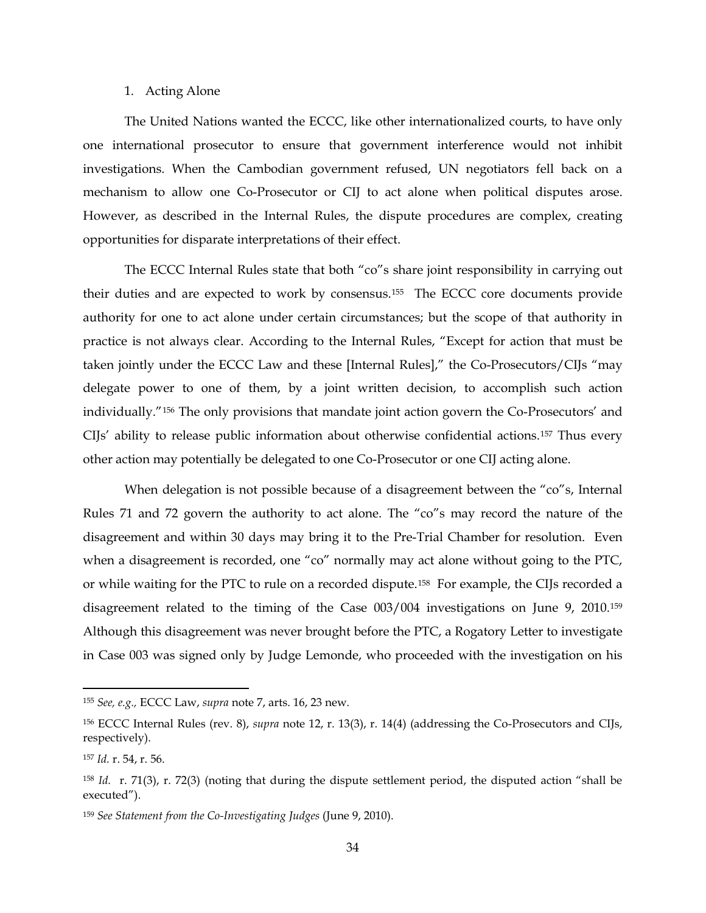## 1. Acting Alone

The United Nations wanted the ECCC, like other internationalized courts, to have only one international prosecutor to ensure that government interference would not inhibit investigations. When the Cambodian government refused, UN negotiators fell back on a mechanism to allow one Co-Prosecutor or CIJ to act alone when political disputes arose. However, as described in the Internal Rules, the dispute procedures are complex, creating opportunities for disparate interpretations of their effect.

The ECCC Internal Rules state that both "co"s share joint responsibility in carrying out their duties and are expected to work by consensus.[155](#page-33-0) The ECCC core documents provide authority for one to act alone under certain circumstances; but the scope of that authority in practice is not always clear. According to the Internal Rules, "Except for action that must be taken jointly under the ECCC Law and these [Internal Rules]," the Co-Prosecutors/CIJs "may delegate power to one of them, by a joint written decision, to accomplish such action individually."[156](#page-33-1) The only provisions that mandate joint action govern the Co-Prosecutors' and CIJs' ability to release public information about otherwise confidential actions.[157](#page-33-2) Thus every other action may potentially be delegated to one Co-Prosecutor or one CIJ acting alone.

When delegation is not possible because of a disagreement between the "co"s, Internal Rules 71 and 72 govern the authority to act alone. The "co"s may record the nature of the disagreement and within 30 days may bring it to the Pre-Trial Chamber for resolution. Even when a disagreement is recorded, one "co" normally may act alone without going to the PTC, or while waiting for the PTC to rule on a recorded dispute.[158](#page-33-3) For example, the CIJs recorded a disagreement related to the timing of the Case 003/004 investigations on June 9, 2010.[159](#page-33-4) Although this disagreement was never brought before the PTC, a Rogatory Letter to investigate in Case 003 was signed only by Judge Lemonde, who proceeded with the investigation on his

<span id="page-33-0"></span> <sup>155</sup> *See, e.g.,* ECCC Law, *supra* note [7,](#page-3-0) arts. 16, 23 new*.* 

<span id="page-33-1"></span><sup>156</sup> ECCC Internal Rules (rev. 8), *supra* note [12,](#page-4-4) r. 13(3), r. 14(4) (addressing the Co-Prosecutors and CIJs, respectively).

<span id="page-33-2"></span><sup>157</sup> *Id.* r. 54, r. 56.

<span id="page-33-3"></span><sup>158</sup> *Id.* r. 71(3), r. 72(3) (noting that during the dispute settlement period, the disputed action "shall be executed").

<span id="page-33-4"></span><sup>159</sup> *See Statement from the Co-Investigating Judges* (June 9, 2010).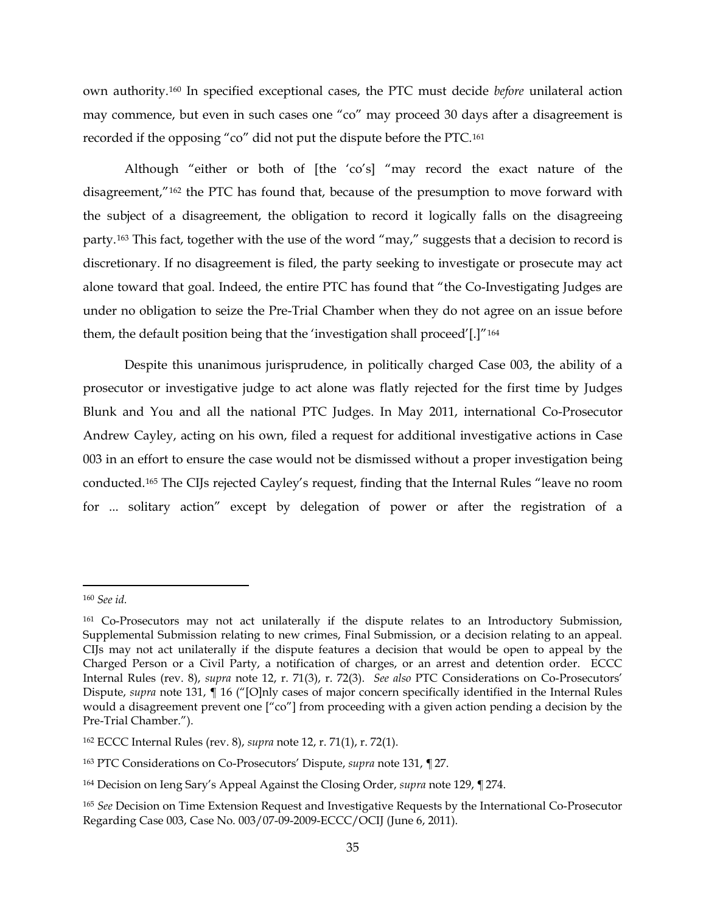own authority.[160](#page-34-0) In specified exceptional cases, the PTC must decide *before* unilateral action may commence, but even in such cases one "co" may proceed 30 days after a disagreement is recorded if the opposing "co" did not put the dispute before the PTC.[161](#page-34-1)

Although "either or both of [the 'co's] "may record the exact nature of the disagreement,"[162](#page-34-2) the PTC has found that, because of the presumption to move forward with the subject of a disagreement, the obligation to record it logically falls on the disagreeing party.[163](#page-34-3) This fact, together with the use of the word "may," suggests that a decision to record is discretionary. If no disagreement is filed, the party seeking to investigate or prosecute may act alone toward that goal. Indeed, the entire PTC has found that "the Co-Investigating Judges are under no obligation to seize the Pre-Trial Chamber when they do not agree on an issue before them, the default position being that the 'investigation shall proceed'[.]"[164](#page-34-4)

Despite this unanimous jurisprudence, in politically charged Case 003, the ability of a prosecutor or investigative judge to act alone was flatly rejected for the first time by Judges Blunk and You and all the national PTC Judges. In May 2011, international Co-Prosecutor Andrew Cayley, acting on his own, filed a request for additional investigative actions in Case 003 in an effort to ensure the case would not be dismissed without a proper investigation being conducted[.165](#page-34-5) The CIJs rejected Cayley's request, finding that the Internal Rules "leave no room for ... solitary action" except by delegation of power or after the registration of a

<span id="page-34-0"></span> <sup>160</sup> *See id.* 

<span id="page-34-1"></span><sup>&</sup>lt;sup>161</sup> Co-Prosecutors may not act unilaterally if the dispute relates to an Introductory Submission, Supplemental Submission relating to new crimes, Final Submission, or a decision relating to an appeal. CIJs may not act unilaterally if the dispute features a decision that would be open to appeal by the Charged Person or a Civil Party, a notification of charges, or an arrest and detention order. ECCC Internal Rules (rev. 8), *supra* note [12,](#page-4-4) r. 71(3), r. 72(3). *See also* PTC Considerations on Co-Prosecutors' Dispute, *supra* note [131,](#page-29-7) ¶ 16 ("[O]nly cases of major concern specifically identified in the Internal Rules would a disagreement prevent one ["co"] from proceeding with a given action pending a decision by the Pre-Trial Chamber.").

<span id="page-34-2"></span><sup>162</sup> ECCC Internal Rules (rev. 8), *supra* note [12,](#page-4-4) r. 71(1), r. 72(1).

<span id="page-34-3"></span><sup>163</sup> PTC Considerations on Co-Prosecutors' Dispute, *supra* note [131,](#page-29-7) *¶* 27.

<span id="page-34-4"></span><sup>164</sup> Decision on Ieng Sary's Appeal Against the Closing Order, *supra* note [129,](#page-28-7) *¶* 274.

<span id="page-34-5"></span><sup>165</sup> *See* Decision on Time Extension Request and Investigative Requests by the International Co-Prosecutor Regarding Case 003, Case No. 003/07-09-2009-ECCC/OCIJ (June 6, 2011).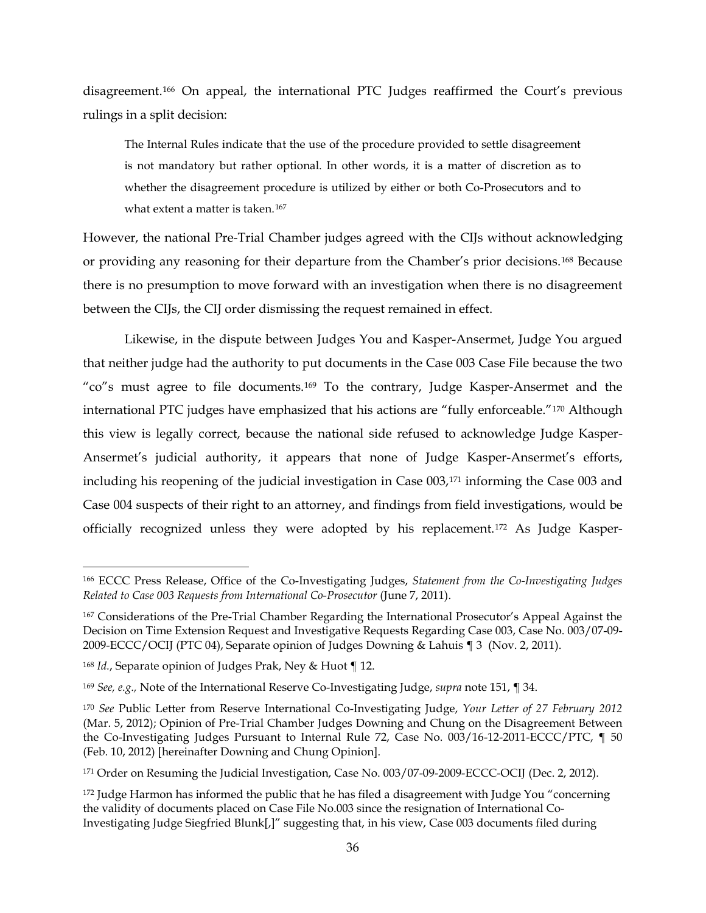disagreement.[166](#page-35-0) On appeal, the international PTC Judges reaffirmed the Court's previous rulings in a split decision:

The Internal Rules indicate that the use of the procedure provided to settle disagreement is not mandatory but rather optional. In other words, it is a matter of discretion as to whether the disagreement procedure is utilized by either or both Co-Prosecutors and to what extent a matter is taken.<sup>[167](#page-35-1)</sup>

However, the national Pre-Trial Chamber judges agreed with the CIJs without acknowledging or providing any reasoning for their departure from the Chamber's prior decisions.[168](#page-35-2) Because there is no presumption to move forward with an investigation when there is no disagreement between the CIJs, the CIJ order dismissing the request remained in effect.

Likewise, in the dispute between Judges You and Kasper-Ansermet, Judge You argued that neither judge had the authority to put documents in the Case 003 Case File because the two "co"s must agree to file documents.<sup>[169](#page-35-3)</sup> To the contrary, Judge Kasper-Ansermet and the international PTC judges have emphasized that his actions are "fully enforceable."[170](#page-35-4) Although this view is legally correct, because the national side refused to acknowledge Judge Kasper-Ansermet's judicial authority, it appears that none of Judge Kasper-Ansermet's efforts, including his reopening of the judicial investigation in Case 003,[171](#page-35-5) informing the Case 003 and Case 004 suspects of their right to an attorney, and findings from field investigations, would be officially recognized unless they were adopted by his replacement.[172](#page-35-6) As Judge Kasper-

<span id="page-35-0"></span> <sup>166</sup> ECCC Press Release, Office of the Co-Investigating Judges, *Statement from the Co-Investigating Judges Related to Case 003 Requests from International Co-Prosecutor* (June 7, 2011).

<span id="page-35-1"></span><sup>167</sup> Considerations of the Pre-Trial Chamber Regarding the International Prosecutor's Appeal Against the Decision on Time Extension Request and Investigative Requests Regarding Case 003, Case No. 003/07-09- 2009-ECCC/OCIJ (PTC 04), Separate opinion of Judges Downing & Lahuis ¶ 3 (Nov. 2, 2011).

<span id="page-35-2"></span><sup>168</sup> *Id.*, Separate opinion of Judges Prak, Ney & Huot ¶ 12.

<span id="page-35-3"></span><sup>169</sup> *See, e.g.,* Note of the International Reserve Co-Investigating Judge, *supra* note [151,](#page-32-5) ¶ 34.

<span id="page-35-4"></span><sup>170</sup> *See* Public Letter from Reserve International Co-Investigating Judge, *Your Letter of 27 February 2012* (Mar. 5, 2012); Opinion of Pre-Trial Chamber Judges Downing and Chung on the Disagreement Between the Co-Investigating Judges Pursuant to Internal Rule 72, Case No. 003/16-12-2011-ECCC/PTC, ¶ 50 (Feb. 10, 2012) [hereinafter Downing and Chung Opinion].

<span id="page-35-5"></span><sup>&</sup>lt;sup>171</sup> Order on Resuming the Judicial Investigation, Case No. 003/07-09-2009-ECCC-OCIJ (Dec. 2, 2012).

<span id="page-35-6"></span><sup>172</sup> Judge Harmon has informed the public that he has filed a disagreement with Judge You "concerning the validity of documents placed on Case File No.003 since the resignation of International Co-Investigating Judge Siegfried Blunk[,]" suggesting that, in his view, Case 003 documents filed during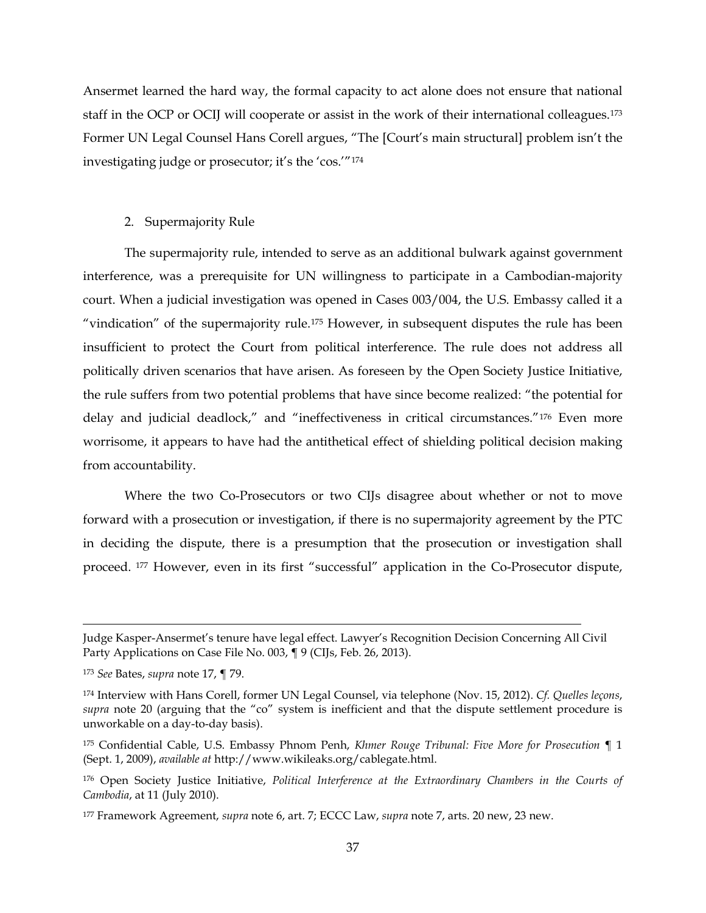Ansermet learned the hard way, the formal capacity to act alone does not ensure that national staff in the OCP or OCIJ will cooperate or assist in the work of their international colleagues.[173](#page-36-0) Former UN Legal Counsel Hans Corell argues, "The [Court's main structural] problem isn't the investigating judge or prosecutor; it's the 'cos.'"[174](#page-36-1)

# 2. Supermajority Rule

The supermajority rule, intended to serve as an additional bulwark against government interference, was a prerequisite for UN willingness to participate in a Cambodian-majority court. When a judicial investigation was opened in Cases 003/004, the U.S. Embassy called it a "vindication" of the supermajority rule.[175](#page-36-2) However, in subsequent disputes the rule has been insufficient to protect the Court from political interference. The rule does not address all politically driven scenarios that have arisen. As foreseen by the Open Society Justice Initiative, the rule suffers from two potential problems that have since become realized: "the potential for delay and judicial deadlock," and "ineffectiveness in critical circumstances."[176](#page-36-3) Even more worrisome, it appears to have had the antithetical effect of shielding political decision making from accountability.

Where the two Co-Prosecutors or two CIJs disagree about whether or not to move forward with a prosecution or investigation, if there is no supermajority agreement by the PTC in deciding the dispute, there is a presumption that the prosecution or investigation shall proceed. [177](#page-36-4) However, even in its first "successful" application in the Co-Prosecutor dispute,

 $\overline{a}$ 

Judge Kasper-Ansermet's tenure have legal effect. Lawyer's Recognition Decision Concerning All Civil Party Applications on Case File No. 003, ¶ 9 (CIJs, Feb. 26, 2013).

<span id="page-36-0"></span><sup>173</sup> *See* Bates, *supra* note [17,](#page-6-0) ¶ 79.

<span id="page-36-1"></span><sup>174</sup> Interview with Hans Corell, former UN Legal Counsel, via telephone (Nov. 15, 2012). *Cf. Quelles leçons*, *supra* note [20](#page-7-0) (arguing that the "co" system is inefficient and that the dispute settlement procedure is unworkable on a day-to-day basis).

<span id="page-36-2"></span><sup>175</sup> Confidential Cable, U.S. Embassy Phnom Penh, *Khmer Rouge Tribunal: Five More for Prosecution* ¶ 1 (Sept. 1, 2009), *available at* http://www.wikileaks.org/cablegate.html.

<span id="page-36-3"></span><sup>176</sup> Open Society Justice Initiative, *Political Interference at the Extraordinary Chambers in the Courts of Cambodia*, at 11 (July 2010).

<span id="page-36-4"></span><sup>177</sup> Framework Agreement, *supra* note [6,](#page-3-0) art. 7; ECCC Law, *supra* note [7,](#page-3-1) arts. 20 new, 23 new.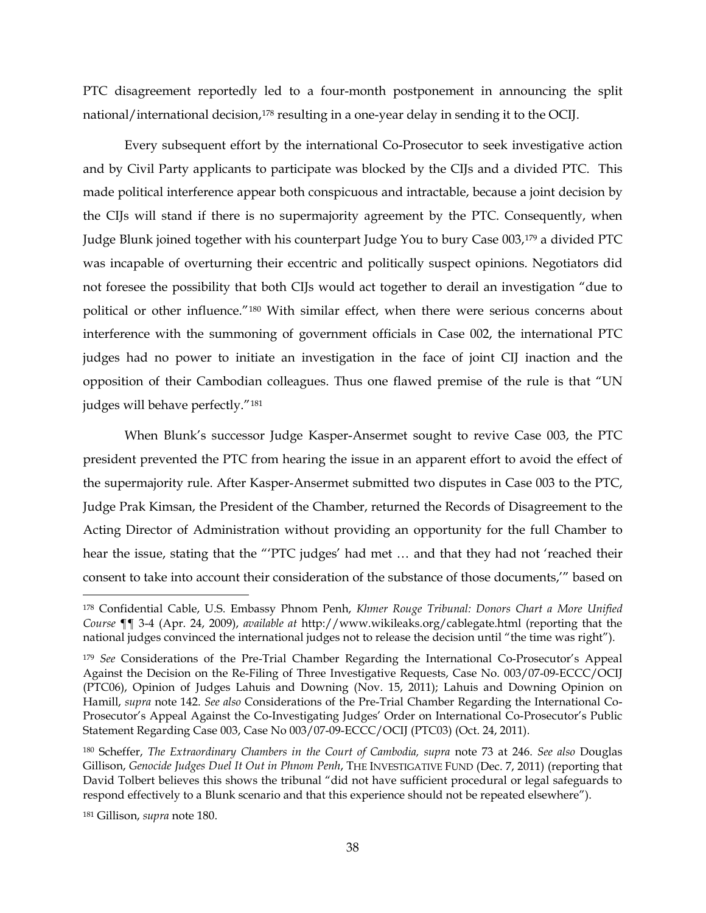PTC disagreement reportedly led to a four-month postponement in announcing the split national/international decision,<sup>178</sup> resulting in a one-year delay in sending it to the OCIJ.

Every subsequent effort by the international Co-Prosecutor to seek investigative action and by Civil Party applicants to participate was blocked by the CIJs and a divided PTC. This made political interference appear both conspicuous and intractable, because a joint decision by the CIJs will stand if there is no supermajority agreement by the PTC. Consequently, when Judge Blunk joined together with his counterpart Judge You to bury Case 003,[179](#page-37-2) a divided PTC was incapable of overturning their eccentric and politically suspect opinions. Negotiators did not foresee the possibility that both CIJs would act together to derail an investigation "due to political or other influence."[180](#page-37-3) With similar effect, when there were serious concerns about interference with the summoning of government officials in Case 002, the international PTC judges had no power to initiate an investigation in the face of joint CIJ inaction and the opposition of their Cambodian colleagues. Thus one flawed premise of the rule is that "UN judges will behave perfectly.["181](#page-37-4)

<span id="page-37-0"></span>When Blunk's successor Judge Kasper-Ansermet sought to revive Case 003, the PTC president prevented the PTC from hearing the issue in an apparent effort to avoid the effect of the supermajority rule. After Kasper-Ansermet submitted two disputes in Case 003 to the PTC, Judge Prak Kimsan, the President of the Chamber, returned the Records of Disagreement to the Acting Director of Administration without providing an opportunity for the full Chamber to hear the issue, stating that the "'PTC judges' had met … and that they had not 'reached their consent to take into account their consideration of the substance of those documents,'" based on

<span id="page-37-1"></span> <sup>178</sup> Confidential Cable, U.S. Embassy Phnom Penh, *Khmer Rouge Tribunal: Donors Chart a More Unified Course* ¶¶ 3-4 (Apr. 24, 2009), *available at* http://www.wikileaks.org/cablegate.html (reporting that the national judges convinced the international judges not to release the decision until "the time was right").

<span id="page-37-2"></span><sup>179</sup> *See* Considerations of the Pre-Trial Chamber Regarding the International Co-Prosecutor's Appeal Against the Decision on the Re-Filing of Three Investigative Requests, Case No. 003/07-09-ECCC/OCIJ (PTC06), Opinion of Judges Lahuis and Downing (Nov. 15, 2011); Lahuis and Downing Opinion on Hamill, *supra* note [142.](#page-30-0) *See also* Considerations of the Pre-Trial Chamber Regarding the International Co-Prosecutor's Appeal Against the Co-Investigating Judges' Order on International Co-Prosecutor's Public Statement Regarding Case 003, Case No 003/07-09-ECCC/OCIJ (PTC03) (Oct. 24, 2011).

<span id="page-37-3"></span><sup>180</sup> Scheffer, *The Extraordinary Chambers in the Court of Cambodia, supra* note [73](#page-18-0) at 246. *See also* Douglas Gillison, *Genocide Judges Duel It Out in Phnom Penh*, THE INVESTIGATIVE FUND (Dec. 7, 2011) (reporting that David Tolbert believes this shows the tribunal "did not have sufficient procedural or legal safeguards to respond effectively to a Blunk scenario and that this experience should not be repeated elsewhere").

<span id="page-37-4"></span><sup>181</sup> Gillison, *supra* note [180.](#page-37-0)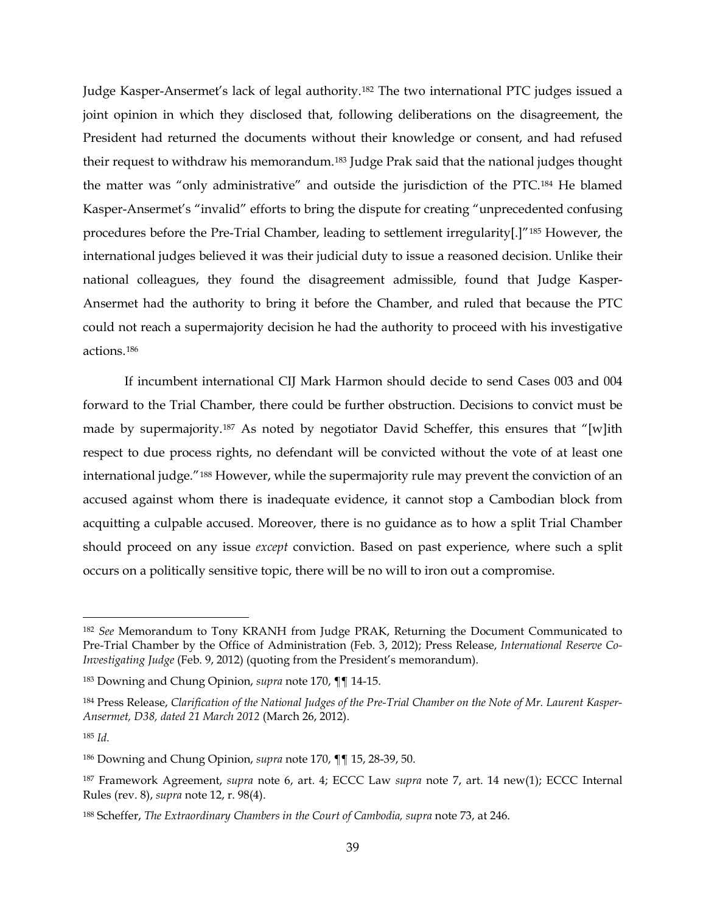Judge Kasper-Ansermet's lack of legal authority.[182](#page-38-0) The two international PTC judges issued a joint opinion in which they disclosed that, following deliberations on the disagreement, the President had returned the documents without their knowledge or consent, and had refused their request to withdraw his memorandum[.183](#page-38-1) Judge Prak said that the national judges thought the matter was "only administrative" and outside the jurisdiction of the PTC.[184](#page-38-2) He blamed Kasper-Ansermet's "invalid" efforts to bring the dispute for creating "unprecedented confusing procedures before the Pre-Trial Chamber, leading to settlement irregularity[.]"[185](#page-38-3) However, the international judges believed it was their judicial duty to issue a reasoned decision. Unlike their national colleagues, they found the disagreement admissible, found that Judge Kasper-Ansermet had the authority to bring it before the Chamber, and ruled that because the PTC could not reach a supermajority decision he had the authority to proceed with his investigative actions.[186](#page-38-4)

If incumbent international CIJ Mark Harmon should decide to send Cases 003 and 004 forward to the Trial Chamber, there could be further obstruction. Decisions to convict must be made by supermajority[.187](#page-38-5) As noted by negotiator David Scheffer, this ensures that "[w]ith respect to due process rights, no defendant will be convicted without the vote of at least one international judge."[188](#page-38-6) However, while the supermajority rule may prevent the conviction of an accused against whom there is inadequate evidence, it cannot stop a Cambodian block from acquitting a culpable accused. Moreover, there is no guidance as to how a split Trial Chamber should proceed on any issue *except* conviction. Based on past experience, where such a split occurs on a politically sensitive topic, there will be no will to iron out a compromise.

<span id="page-38-0"></span> <sup>182</sup> *See* Memorandum to Tony KRANH from Judge PRAK, Returning the Document Communicated to Pre-Trial Chamber by the Office of Administration (Feb. 3, 2012); Press Release, *International Reserve Co-Investigating Judge* (Feb. 9, 2012) (quoting from the President's memorandum).

<span id="page-38-1"></span><sup>183</sup> Downing and Chung Opinion, *supra* note [170,](#page-35-0) ¶¶ 14-15.

<span id="page-38-2"></span><sup>184</sup> Press Release, *Clarification of the National Judges of the Pre-Trial Chamber on the Note of Mr. Laurent Kasper-Ansermet, D38, dated 21 March 2012* (March 26, 2012).

<span id="page-38-3"></span><sup>185</sup> *Id.*

<span id="page-38-4"></span><sup>186</sup> Downing and Chung Opinion, *supra* note [170,](#page-35-0) ¶¶ 15, 28-39, 50.

<span id="page-38-5"></span><sup>187</sup> Framework Agreement, *supra* note [6,](#page-3-0) art. 4; ECCC Law *supra* note [7,](#page-3-1) art. 14 new(1); ECCC Internal Rules (rev. 8), *supra* note [12,](#page-4-0) r. 98(4).

<span id="page-38-6"></span><sup>188</sup> Scheffer, *The Extraordinary Chambers in the Court of Cambodia, supra* note [73,](#page-18-0) at 246.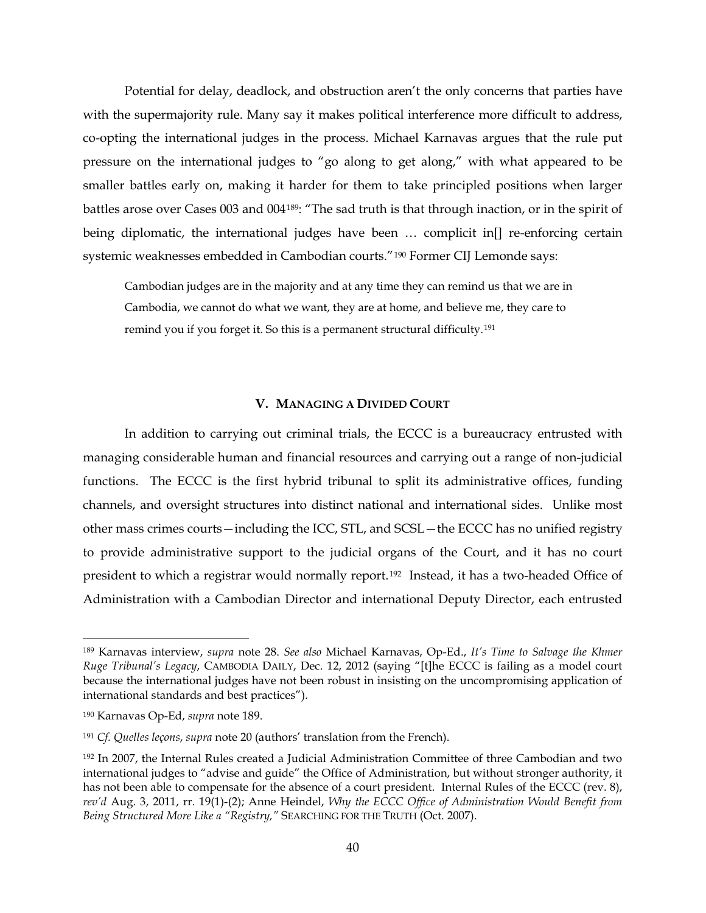Potential for delay, deadlock, and obstruction aren't the only concerns that parties have with the supermajority rule. Many say it makes political interference more difficult to address, co-opting the international judges in the process. Michael Karnavas argues that the rule put pressure on the international judges to "go along to get along," with what appeared to be smaller battles early on, making it harder for them to take principled positions when larger battles arose over Cases 003 and 004[189](#page-39-1): "The sad truth is that through inaction, or in the spirit of being diplomatic, the international judges have been ... complicit in[] re-enforcing certain systemic weaknesses embedded in Cambodian courts."[190](#page-39-2) Former CIJ Lemonde says:

<span id="page-39-0"></span>Cambodian judges are in the majority and at any time they can remind us that we are in Cambodia, we cannot do what we want, they are at home, and believe me, they care to remind you if you forget it. So this is a permanent structural difficulty.<sup>[191](#page-39-3)</sup>

#### **V. MANAGING A DIVIDED COURT**

In addition to carrying out criminal trials, the ECCC is a bureaucracy entrusted with managing considerable human and financial resources and carrying out a range of non-judicial functions. The ECCC is the first hybrid tribunal to split its administrative offices, funding channels, and oversight structures into distinct national and international sides. Unlike most other mass crimes courts—including the ICC, STL, and SCSL—the ECCC has no unified registry to provide administrative support to the judicial organs of the Court, and it has no court president to which a registrar would normally report.[192](#page-39-4) Instead, it has a two-headed Office of Administration with a Cambodian Director and international Deputy Director, each entrusted

<span id="page-39-1"></span> <sup>189</sup> Karnavas interview, *supra* note [28.](#page-8-0) *See also* Michael Karnavas, Op-Ed., *It's Time to Salvage the Khmer Ruge Tribunal's Legacy*, CAMBODIA DAILY, Dec. 12, 2012 (saying "[t]he ECCC is failing as a model court because the international judges have not been robust in insisting on the uncompromising application of international standards and best practices").

<span id="page-39-2"></span><sup>190</sup> Karnavas Op-Ed, *supra* note [189.](#page-39-0)

<span id="page-39-3"></span><sup>191</sup> *Cf. Quelles leçons*, *supra* not[e 20](#page-7-0) (authors' translation from the French).

<span id="page-39-4"></span><sup>192</sup> In 2007, the Internal Rules created a Judicial Administration Committee of three Cambodian and two international judges to "advise and guide" the Office of Administration, but without stronger authority, it has not been able to compensate for the absence of a court president. Internal Rules of the ECCC (rev. 8), *rev'd* Aug. 3, 2011, rr. 19(1)-(2); Anne Heindel, *Why the ECCC Office of Administration Would Benefit from Being Structured More Like a "Registry,"* SEARCHING FOR THE TRUTH (Oct. 2007).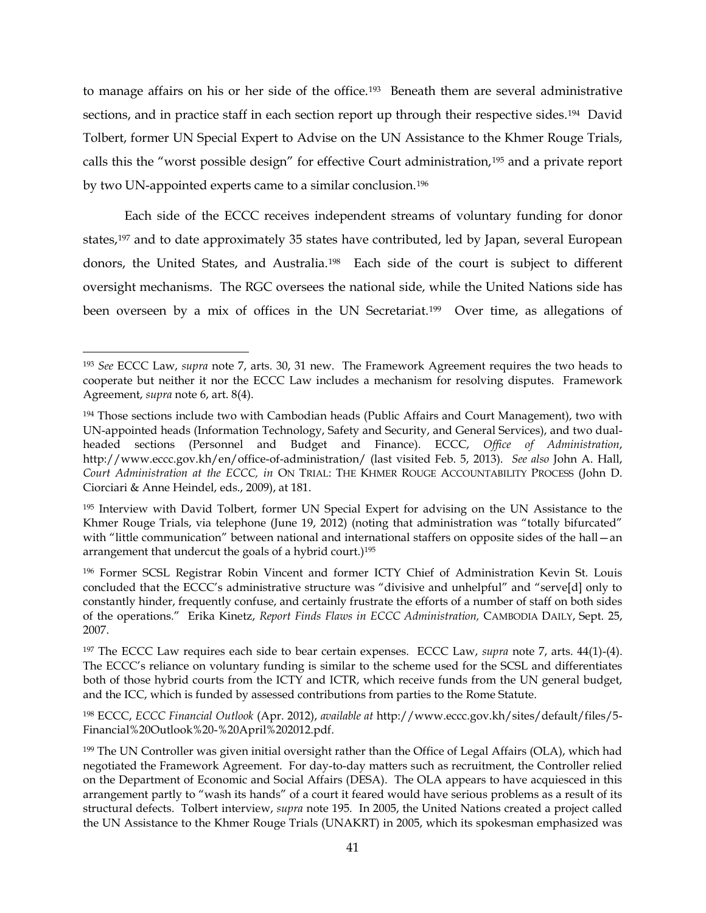<span id="page-40-8"></span>to manage affairs on his or her side of the office.[193](#page-40-1) Beneath them are several administrative sections, and in practice staff in each section report up through their respective sides.<sup>[194](#page-40-2)</sup> David Tolbert, former UN Special Expert to Advise on the UN Assistance to the Khmer Rouge Trials, calls this the "worst possible design" for effective Court administration,[195](#page-40-3) and a private report by two UN-appointed experts came to a similar conclusion[.196](#page-40-4) 

<span id="page-40-0"></span>Each side of the ECCC receives independent streams of voluntary funding for donor states[,197](#page-40-5) and to date approximately 35 states have contributed, led by Japan, several European donors, the United States, and Australia.[198](#page-40-6) Each side of the court is subject to different oversight mechanisms. The RGC oversees the national side, while the United Nations side has been overseen by a mix of offices in the UN Secretariat.[199](#page-40-7) Over time, as allegations of

<span id="page-40-1"></span> <sup>193</sup> *See* ECCC Law, *supra* note [7,](#page-3-1) arts. 30, 31 new. The Framework Agreement requires the two heads to cooperate but neither it nor the ECCC Law includes a mechanism for resolving disputes. Framework Agreement, *supra* not[e 6,](#page-3-0) art. 8(4).

<span id="page-40-2"></span><sup>&</sup>lt;sup>194</sup> Those sections include two with Cambodian heads (Public Affairs and Court Management), two with UN-appointed heads (Information Technology, Safety and Security, and General Services), and two dualheaded sections (Personnel and Budget and Finance). ECCC, *Office of Administration*, http://www.eccc.gov.kh/en/office-of-administration/ (last visited Feb. 5, 2013). *See also* John A. Hall, *Court Administration at the ECCC, in* ON TRIAL: THE KHMER ROUGE ACCOUNTABILITY PROCESS (John D. Ciorciari & Anne Heindel, eds., 2009), at 181.

<span id="page-40-3"></span><sup>195</sup> Interview with David Tolbert, former UN Special Expert for advising on the UN Assistance to the Khmer Rouge Trials, via telephone (June 19, 2012) (noting that administration was "totally bifurcated" with "little communication" between national and international staffers on opposite sides of the hall–an arrangement that undercut the goals of a hybrid court.)195

<span id="page-40-4"></span><sup>196</sup> Former SCSL Registrar Robin Vincent and former ICTY Chief of Administration Kevin St. Louis concluded that the ECCC's administrative structure was "divisive and unhelpful" and "serve[d] only to constantly hinder, frequently confuse, and certainly frustrate the efforts of a number of staff on both sides of the operations." Erika Kinetz, *Report Finds Flaws in ECCC Administration,* CAMBODIA DAILY, Sept. 25, 2007.

<span id="page-40-5"></span><sup>197</sup> The ECCC Law requires each side to bear certain expenses. ECCC Law, *supra* note [7,](#page-3-1) arts. 44(1)-(4). The ECCC's reliance on voluntary funding is similar to the scheme used for the SCSL and differentiates both of those hybrid courts from the ICTY and ICTR, which receive funds from the UN general budget, and the ICC, which is funded by assessed contributions from parties to the Rome Statute.

<span id="page-40-6"></span><sup>198</sup> ECCC, *ECCC Financial Outlook* (Apr. 2012), *available at* http://www.eccc.gov.kh/sites/default/files/5- Financial%20Outlook%20-%20April%202012.pdf.

<span id="page-40-7"></span><sup>199</sup> The UN Controller was given initial oversight rather than the Office of Legal Affairs (OLA), which had negotiated the Framework Agreement. For day-to-day matters such as recruitment, the Controller relied on the Department of Economic and Social Affairs (DESA). The OLA appears to have acquiesced in this arrangement partly to "wash its hands" of a court it feared would have serious problems as a result of its structural defects. Tolbert interview, *supra* note [195](#page-40-0)*.* In 2005, the United Nations created a project called the UN Assistance to the Khmer Rouge Trials (UNAKRT) in 2005, which its spokesman emphasized was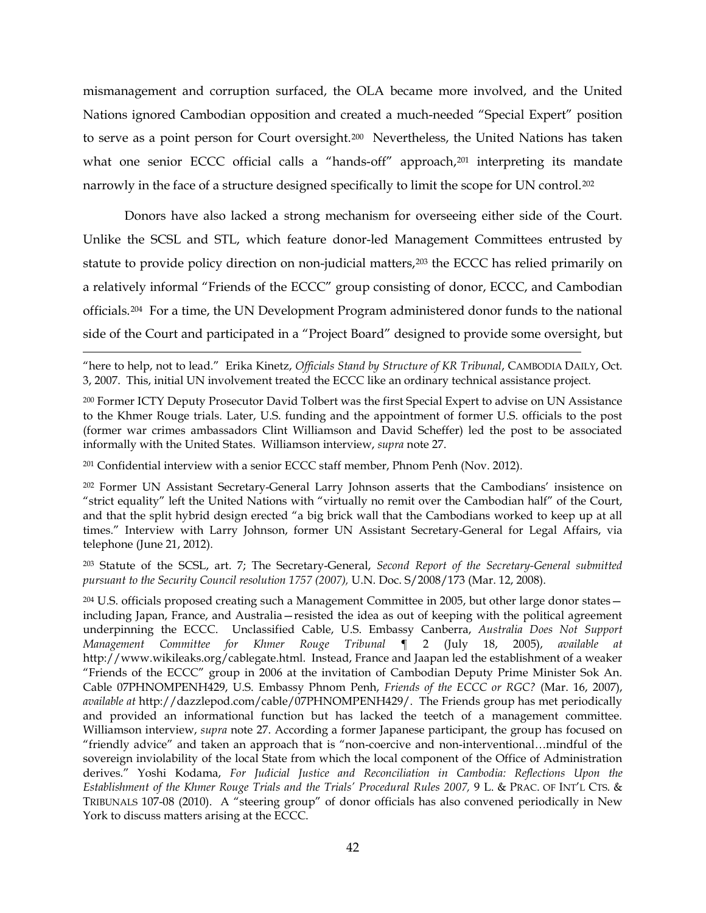mismanagement and corruption surfaced, the OLA became more involved, and the United Nations ignored Cambodian opposition and created a much-needed "Special Expert" position to serve as a point person for Court oversight.[200](#page-41-0) Nevertheless, the United Nations has taken what one senior ECCC official calls a "hands-off" approach,<sup>201</sup> interpreting its mandate narrowly in the face of a structure designed specifically to limit the scope for UN control.<sup>202</sup>

<span id="page-41-6"></span>Donors have also lacked a strong mechanism for overseeing either side of the Court. Unlike the SCSL and STL, which feature donor-led Management Committees entrusted by statute to provide policy direction on non-judicial matters,<sup>[203](#page-41-3)</sup> the ECCC has relied primarily on a relatively informal "Friends of the ECCC" group consisting of donor, ECCC, and Cambodian officials.[204](#page-41-4) For a time, the UN Development Program administered donor funds to the national side of the Court and participated in a "Project Board" designed to provide some oversight, but

"here to help, not to lead." Erika Kinetz, *Officials Stand by Structure of KR Tribunal*, CAMBODIA DAILY, Oct. 3, 2007. This, initial UN involvement treated the ECCC like an ordinary technical assistance project.

<span id="page-41-1"></span><sup>201</sup> Confidential interview with a senior ECCC staff member, Phnom Penh (Nov. 2012).

<span id="page-41-5"></span> $\overline{a}$ 

<span id="page-41-2"></span><sup>202</sup> Former UN Assistant Secretary-General Larry Johnson asserts that the Cambodians' insistence on "strict equality" left the United Nations with "virtually no remit over the Cambodian half" of the Court, and that the split hybrid design erected "a big brick wall that the Cambodians worked to keep up at all times." Interview with Larry Johnson, former UN Assistant Secretary-General for Legal Affairs, via telephone (June 21, 2012).

<span id="page-41-3"></span><sup>203</sup> Statute of the SCSL, art. 7; The Secretary-General, *Second Report of the Secretary-General submitted pursuant to the Security Council resolution 1757 (2007),* U.N. Doc. S/2008/173 (Mar. 12, 2008).

<span id="page-41-4"></span><sup>204</sup> U.S. officials proposed creating such a Management Committee in 2005, but other large donor states including Japan, France, and Australia—resisted the idea as out of keeping with the political agreement underpinning the ECCC. Unclassified Cable, U.S. Embassy Canberra, *Australia Does Not Support Management Committee for Khmer Rouge Tribunal* ¶ 2 (July 18, 2005), *available at*  http://www.wikileaks.org/cablegate.html. Instead, France and Jaapan led the establishment of a weaker "Friends of the ECCC" group in 2006 at the invitation of Cambodian Deputy Prime Minister Sok An. Cable 07PHNOMPENH429, U.S. Embassy Phnom Penh, *Friends of the ECCC or RGC?* (Mar. 16, 2007), *available at* http://dazzlepod.com/cable/07PHNOMPENH429/. The Friends group has met periodically and provided an informational function but has lacked the teetch of a management committee. Williamson interview, *supra* note [27.](#page-8-1) According a former Japanese participant, the group has focused on "friendly advice" and taken an approach that is "non-coercive and non-interventional…mindful of the sovereign inviolability of the local State from which the local component of the Office of Administration derives." Yoshi Kodama, *For Judicial Justice and Reconciliation in Cambodia: Reflections Upon the Establishment of the Khmer Rouge Trials and the Trials' Procedural Rules 2007,* 9 L. & PRAC. OF INT'L CTS. & TRIBUNALS 107-08 (2010). A "steering group" of donor officials has also convened periodically in New York to discuss matters arising at the ECCC.

<span id="page-41-0"></span><sup>200</sup> Former ICTY Deputy Prosecutor David Tolbert was the first Special Expert to advise on UN Assistance to the Khmer Rouge trials. Later, U.S. funding and the appointment of former U.S. officials to the post (former war crimes ambassadors Clint Williamson and David Scheffer) led the post to be associated informally with the United States. Williamson interview, *supra* note [27.](#page-8-1)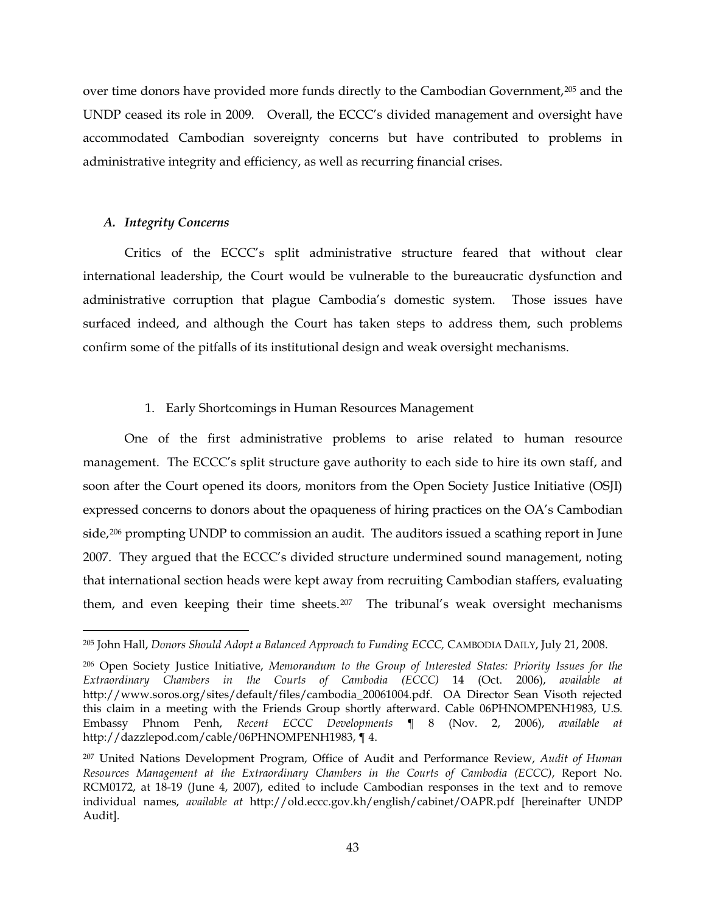over time donors have provided more funds directly to the Cambodian Government,[205](#page-42-0) and the UNDP ceased its role in 2009. Overall, the ECCC's divided management and oversight have accommodated Cambodian sovereignty concerns but have contributed to problems in administrative integrity and efficiency, as well as recurring financial crises.

# *A. Integrity Concerns*

Critics of the ECCC's split administrative structure feared that without clear international leadership, the Court would be vulnerable to the bureaucratic dysfunction and administrative corruption that plague Cambodia's domestic system. Those issues have surfaced indeed, and although the Court has taken steps to address them, such problems confirm some of the pitfalls of its institutional design and weak oversight mechanisms.

# 1. Early Shortcomings in Human Resources Management

One of the first administrative problems to arise related to human resource management. The ECCC's split structure gave authority to each side to hire its own staff, and soon after the Court opened its doors, monitors from the Open Society Justice Initiative (OSJI) expressed concerns to donors about the opaqueness of hiring practices on the OA's Cambodian side,<sup>[206](#page-42-1)</sup> prompting UNDP to commission an audit. The auditors issued a scathing report in June 2007. They argued that the ECCC's divided structure undermined sound management, noting that international section heads were kept away from recruiting Cambodian staffers, evaluating them, and even keeping their time sheets.[207](#page-42-2) The tribunal's weak oversight mechanisms

<span id="page-42-3"></span><span id="page-42-0"></span> <sup>205</sup> John Hall, *Donors Should Adopt a Balanced Approach to Funding ECCC,* CAMBODIA DAILY, July 21, 2008.

<span id="page-42-1"></span><sup>206</sup> Open Society Justice Initiative, *Memorandum to the Group of Interested States: Priority Issues for the Extraordinary Chambers in the Courts of Cambodia (ECCC)* 14 (Oct. 2006), *available at*  http://www.soros.org/sites/default/files/cambodia\_20061004.pdf. OA Director Sean Visoth rejected this claim in a meeting with the Friends Group shortly afterward. Cable 06PHNOMPENH1983, U.S. Embassy Phnom Penh, *Recent ECCC Developments* ¶ 8 (Nov. 2, 2006), *available at*  http://dazzlepod.com/cable/06PHNOMPENH1983, ¶ 4.

<span id="page-42-2"></span><sup>207</sup> United Nations Development Program, Office of Audit and Performance Review, *Audit of Human Resources Management at the Extraordinary Chambers in the Courts of Cambodia (ECCC)*, Report No. RCM0172, at 18-19 (June 4, 2007), edited to include Cambodian responses in the text and to remove individual names, *available at* http://old.eccc.gov.kh/english/cabinet/OAPR*.*pdf [hereinafter UNDP Audit]*.*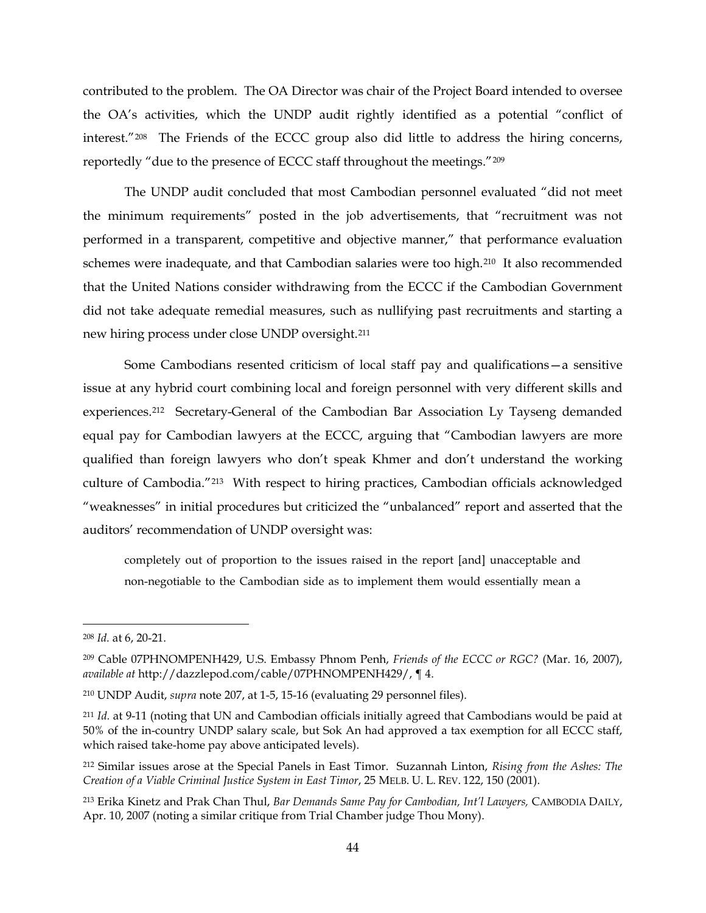contributed to the problem. The OA Director was chair of the Project Board intended to oversee the OA's activities, which the UNDP audit rightly identified as a potential "conflict of interest."[208](#page-43-0) The Friends of the ECCC group also did little to address the hiring concerns, reportedly "due to the presence of ECCC staff throughout the meetings."[209](#page-43-1)

The UNDP audit concluded that most Cambodian personnel evaluated "did not meet the minimum requirements" posted in the job advertisements, that "recruitment was not performed in a transparent, competitive and objective manner," that performance evaluation schemes were inadequate, and that Cambodian salaries were too high.[210](#page-43-2) It also recommended that the United Nations consider withdrawing from the ECCC if the Cambodian Government did not take adequate remedial measures, such as nullifying past recruitments and starting a new hiring process under close UNDP oversight.[211](#page-43-3)

Some Cambodians resented criticism of local staff pay and qualifications—a sensitive issue at any hybrid court combining local and foreign personnel with very different skills and experiences.[212](#page-43-4) Secretary-General of the Cambodian Bar Association Ly Tayseng demanded equal pay for Cambodian lawyers at the ECCC, arguing that "Cambodian lawyers are more qualified than foreign lawyers who don't speak Khmer and don't understand the working culture of Cambodia.["213](#page-43-5) With respect to hiring practices, Cambodian officials acknowledged "weaknesses" in initial procedures but criticized the "unbalanced" report and asserted that the auditors' recommendation of UNDP oversight was:

completely out of proportion to the issues raised in the report [and] unacceptable and non-negotiable to the Cambodian side as to implement them would essentially mean a

<span id="page-43-0"></span> <sup>208</sup> *Id.* at 6, 20-21.

<span id="page-43-1"></span><sup>209</sup> Cable 07PHNOMPENH429, U.S. Embassy Phnom Penh, *Friends of the ECCC or RGC?* (Mar. 16, 2007), *available at* http://dazzlepod.com/cable/07PHNOMPENH429/, ¶ 4.

<span id="page-43-2"></span><sup>210</sup> UNDP Audit, *supra* note [207,](#page-42-3) at 1-5, 15-16 (evaluating 29 personnel files).

<span id="page-43-3"></span><sup>211</sup> *Id.* at 9-11 (noting that UN and Cambodian officials initially agreed that Cambodians would be paid at 50% of the in-country UNDP salary scale, but Sok An had approved a tax exemption for all ECCC staff, which raised take-home pay above anticipated levels).

<span id="page-43-4"></span><sup>212</sup> Similar issues arose at the Special Panels in East Timor. Suzannah Linton, *Rising from the Ashes: The Creation of a Viable Criminal Justice System in East Timor*, 25 MELB. U. L. REV. 122, 150 (2001).

<span id="page-43-5"></span><sup>213</sup> Erika Kinetz and Prak Chan Thul, *Bar Demands Same Pay for Cambodian, Int'l Lawyers,* CAMBODIA DAILY, Apr. 10, 2007 (noting a similar critique from Trial Chamber judge Thou Mony).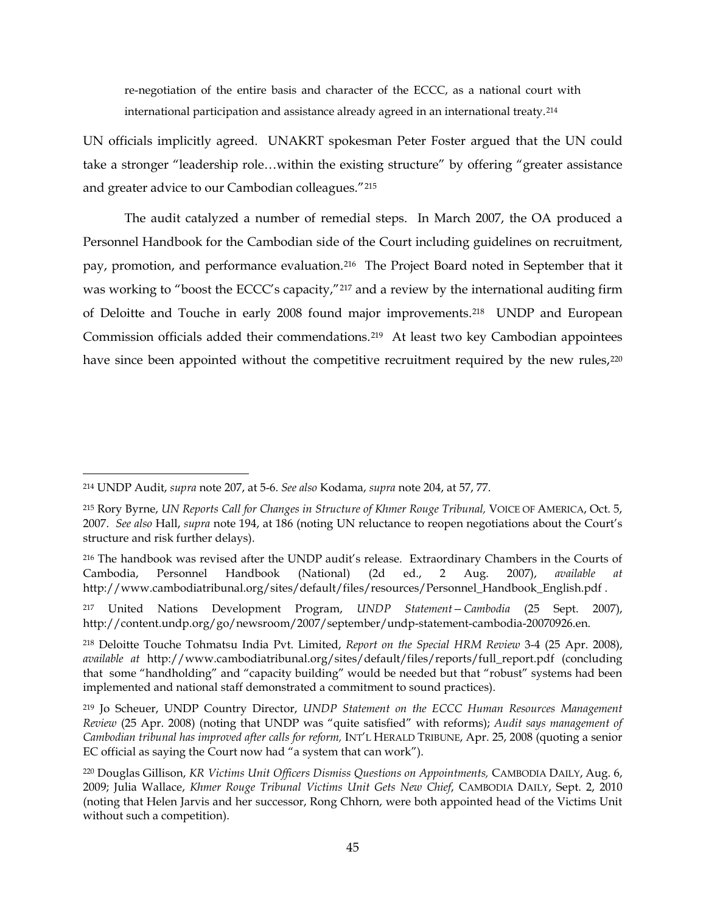re-negotiation of the entire basis and character of the ECCC, as a national court with international participation and assistance already agreed in an international treaty.[214](#page-44-0) 

UN officials implicitly agreed. UNAKRT spokesman Peter Foster argued that the UN could take a stronger "leadership role…within the existing structure" by offering "greater assistance and greater advice to our Cambodian colleagues."[215](#page-44-1) 

<span id="page-44-7"></span>The audit catalyzed a number of remedial steps. In March 2007, the OA produced a Personnel Handbook for the Cambodian side of the Court including guidelines on recruitment, pay, promotion, and performance evaluation.<sup>216</sup> The Project Board noted in September that it was working to "boost the ECCC's capacity,"[217](#page-44-3) and a review by the international auditing firm of Deloitte and Touche in early 2008 found major improvements.[218](#page-44-4) UNDP and European Commission officials added their commendations.[219](#page-44-5) At least two key Cambodian appointees have since been appointed without the competitive recruitment required by the new rules,<sup>[220](#page-44-6)</sup>

<span id="page-44-0"></span> <sup>214</sup> UNDP Audit, *supra* note [207,](#page-42-3) at 5-6. *See also* Kodama, *supra* note [204,](#page-41-5) at 57, 77.

<span id="page-44-1"></span><sup>215</sup> Rory Byrne, *UN Reports Call for Changes in Structure of Khmer Rouge Tribunal,* VOICE OF AMERICA, Oct. 5, 2007. *See also* Hall, *supra* note [194,](#page-40-8) at 186 (noting UN reluctance to reopen negotiations about the Court's structure and risk further delays).

<span id="page-44-2"></span><sup>216</sup> The handbook was revised after the UNDP audit's release. Extraordinary Chambers in the Courts of Cambodia, Personnel Handbook (National) (2d ed., 2 Aug. 2007), *available at*  http://www.cambodiatribunal.org/sites/default/files/resources/Personnel\_Handbook\_English.pdf .

<span id="page-44-3"></span><sup>217</sup> United Nations Development Program, *UNDP Statement—Cambodia* (25 Sept. 2007), http://content.undp.org/go/newsroom/2007/september/undp-statement-cambodia-20070926.en.

<span id="page-44-4"></span><sup>218</sup> Deloitte Touche Tohmatsu India Pvt. Limited, *Report on the Special HRM Review* 3-4 (25 Apr. 2008), *available at* http://www.cambodiatribunal.org/sites/default/files/reports/full\_report.pdf (concluding that some "handholding" and "capacity building" would be needed but that "robust" systems had been implemented and national staff demonstrated a commitment to sound practices).

<span id="page-44-5"></span><sup>219</sup> Jo Scheuer, UNDP Country Director, *UNDP Statement on the ECCC Human Resources Management Review* (25 Apr. 2008) (noting that UNDP was "quite satisfied" with reforms); *Audit says management of Cambodian tribunal has improved after calls for reform,* INT'L HERALD TRIBUNE, Apr. 25, 2008 (quoting a senior EC official as saying the Court now had "a system that can work").

<span id="page-44-6"></span><sup>220</sup> Douglas Gillison, *KR Victims Unit Officers Dismiss Questions on Appointments,* CAMBODIA DAILY, Aug. 6, 2009; Julia Wallace, *Khmer Rouge Tribunal Victims Unit Gets New Chief*, CAMBODIA DAILY, Sept. 2, 2010 (noting that Helen Jarvis and her successor, Rong Chhorn, were both appointed head of the Victims Unit without such a competition).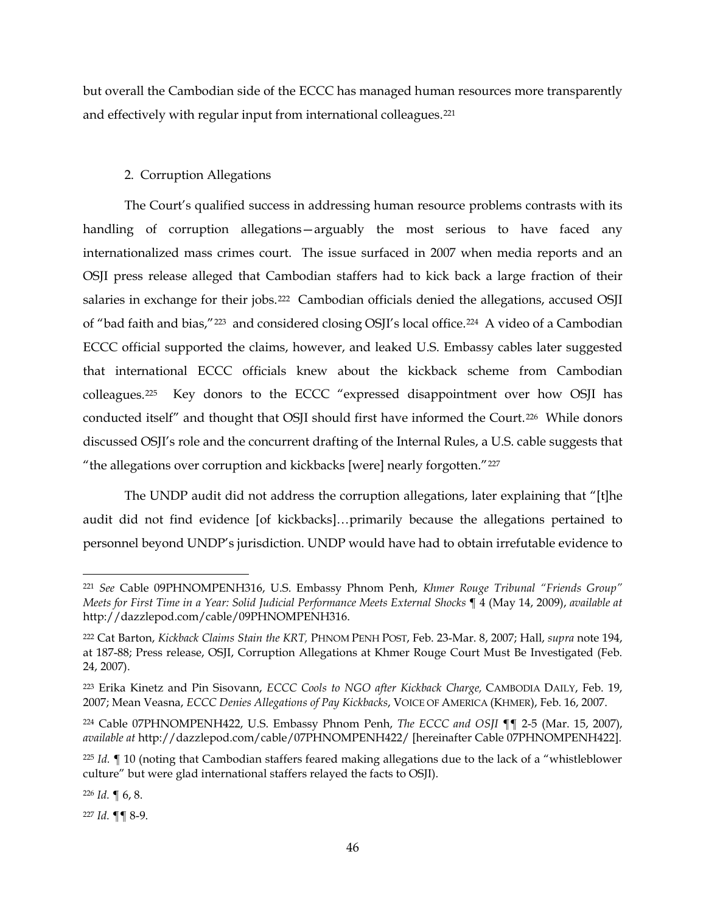but overall the Cambodian side of the ECCC has managed human resources more transparently and effectively with regular input from international colleagues.[221](#page-45-0)

# <span id="page-45-7"></span>2. Corruption Allegations

The Court's qualified success in addressing human resource problems contrasts with its handling of corruption allegations—arguably the most serious to have faced any internationalized mass crimes court. The issue surfaced in 2007 when media reports and an OSJI press release alleged that Cambodian staffers had to kick back a large fraction of their salaries in exchange for their jobs.<sup>222</sup> Cambodian officials denied the allegations, accused OSJI of "bad faith and bias,"[223](#page-45-2) and considered closing OSJI's local office.[224](#page-45-3) A video of a Cambodian ECCC official supported the claims, however, and leaked U.S. Embassy cables later suggested that international ECCC officials knew about the kickback scheme from Cambodian colleagues.[225](#page-45-4) Key donors to the ECCC "expressed disappointment over how OSJI has conducted itself" and thought that OSJI should first have informed the Court.<sup>226</sup> While donors discussed OSJI's role and the concurrent drafting of the Internal Rules, a U.S. cable suggests that "the allegations over corruption and kickbacks [were] nearly forgotten."[227](#page-45-6) 

The UNDP audit did not address the corruption allegations, later explaining that "[t]he audit did not find evidence [of kickbacks]…primarily because the allegations pertained to personnel beyond UNDP's jurisdiction. UNDP would have had to obtain irrefutable evidence to

<span id="page-45-5"></span><sup>226</sup> *Id.* ¶ 6, 8.

<span id="page-45-6"></span><sup>227</sup> *Id.* ¶¶ 8-9.

<span id="page-45-0"></span> <sup>221</sup> *See* Cable 09PHNOMPENH316, U.S. Embassy Phnom Penh, *Khmer Rouge Tribunal "Friends Group" Meets for First Time in a Year: Solid Judicial Performance Meets External Shocks* ¶ 4 (May 14, 2009), *available at*  http://dazzlepod.com/cable/09PHNOMPENH316.

<span id="page-45-1"></span><sup>222</sup> Cat Barton, *Kickback Claims Stain the KRT,* PHNOM PENH POST, Feb. 23-Mar. 8, 2007; Hall, *supra* note [194,](#page-40-8) at 187-88; Press release, OSJI, Corruption Allegations at Khmer Rouge Court Must Be Investigated (Feb. 24, 2007).

<span id="page-45-2"></span><sup>223</sup> Erika Kinetz and Pin Sisovann, *ECCC Cools to NGO after Kickback Charge,* CAMBODIA DAILY, Feb. 19, 2007; Mean Veasna, *ECCC Denies Allegations of Pay Kickbacks*, VOICE OF AMERICA (KHMER), Feb. 16, 2007.

<span id="page-45-3"></span><sup>224</sup> Cable 07PHNOMPENH422, U.S. Embassy Phnom Penh, *The ECCC and OSJI* ¶¶ 2-5 (Mar. 15, 2007), *available at* http://dazzlepod.com/cable/07PHNOMPENH422/ [hereinafter Cable 07PHNOMPENH422].

<span id="page-45-4"></span><sup>225</sup> *Id.* ¶ 10 (noting that Cambodian staffers feared making allegations due to the lack of a "whistleblower culture" but were glad international staffers relayed the facts to OSJI).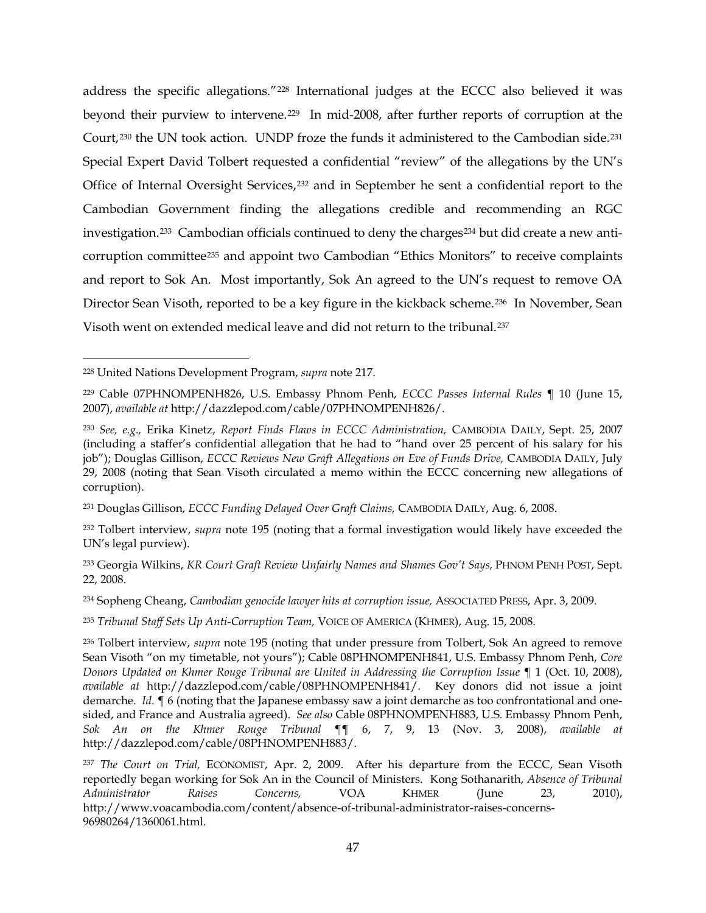address the specific allegations."[228](#page-46-0) International judges at the ECCC also believed it was beyond their purview to intervene[.229](#page-46-1) In mid-2008, after further reports of corruption at the Court,[230](#page-46-2) the UN took action. UNDP froze the funds it administered to the Cambodian side.[231](#page-46-3) Special Expert David Tolbert requested a confidential "review" of the allegations by the UN's Office of Internal Oversight Services,<sup>232</sup> and in September he sent a confidential report to the Cambodian Government finding the allegations credible and recommending an RGC investigation.<sup>[233](#page-46-5)</sup> Cambodian officials continued to deny the charges<sup>[234](#page-46-6)</sup> but did create a new anticorruption committee[235](#page-46-7) and appoint two Cambodian "Ethics Monitors" to receive complaints and report to Sok An. Most importantly, Sok An agreed to the UN's request to remove OA Director Sean Visoth, reported to be a key figure in the kickback scheme.<sup>236</sup> In November, Sean Visoth went on extended medical leave and did not return to the tribunal.[237](#page-46-9)

<span id="page-46-0"></span> <sup>228</sup> United Nations Development Program, *supra* note [217.](#page-44-7) 

<span id="page-46-1"></span><sup>229</sup> Cable 07PHNOMPENH826, U.S. Embassy Phnom Penh, *ECCC Passes Internal Rules* ¶ 10 (June 15, 2007), *available at* http://dazzlepod.com/cable/07PHNOMPENH826/.

<span id="page-46-2"></span><sup>230</sup> *See, e.g.,* Erika Kinetz, *Report Finds Flaws in ECCC Administration,* CAMBODIA DAILY, Sept. 25, 2007 (including a staffer's confidential allegation that he had to "hand over 25 percent of his salary for his job"); Douglas Gillison, *ECCC Reviews New Graft Allegations on Eve of Funds Drive*, CAMBODIA DAILY, July 29, 2008 (noting that Sean Visoth circulated a memo within the ECCC concerning new allegations of corruption).

<span id="page-46-3"></span><sup>231</sup> Douglas Gillison, *ECCC Funding Delayed Over Graft Claims,* CAMBODIA DAILY, Aug. 6, 2008.

<span id="page-46-4"></span><sup>232</sup> Tolbert interview, *supra* note [195](#page-40-0) (noting that a formal investigation would likely have exceeded the UN's legal purview).

<span id="page-46-5"></span><sup>233</sup> Georgia Wilkins, *KR Court Graft Review Unfairly Names and Shames Gov't Says,* PHNOM PENH POST, Sept. 22, 2008.

<span id="page-46-6"></span><sup>234</sup> Sopheng Cheang, *Cambodian genocide lawyer hits at corruption issue,* ASSOCIATED PRESS, Apr. 3, 2009.

<span id="page-46-7"></span><sup>235</sup> *Tribunal Staff Sets Up Anti-Corruption Team,* VOICE OF AMERICA (KHMER), Aug. 15, 2008.

<span id="page-46-8"></span><sup>236</sup> Tolbert interview, *supra* note [195](#page-40-0) (noting that under pressure from Tolbert, Sok An agreed to remove Sean Visoth "on my timetable, not yours"); Cable 08PHNOMPENH841, U.S. Embassy Phnom Penh, *Core Donors Updated on Khmer Rouge Tribunal are United in Addressing the Corruption Issue* ¶ 1 (Oct. 10, 2008), *available at* http://dazzlepod.com/cable/08PHNOMPENH841/. Key donors did not issue a joint demarche. *Id.* ¶ 6 (noting that the Japanese embassy saw a joint demarche as too confrontational and onesided, and France and Australia agreed). *See also* Cable 08PHNOMPENH883, U.S. Embassy Phnom Penh, *Sok An on the Khmer Rouge Tribunal* ¶¶ 6, 7, 9, 13 (Nov. 3, 2008), *available at*  http://dazzlepod.com/cable/08PHNOMPENH883/.

<span id="page-46-9"></span><sup>237</sup> *The Court on Trial,* ECONOMIST, Apr. 2, 2009. After his departure from the ECCC, Sean Visoth reportedly began working for Sok An in the Council of Ministers. Kong Sothanarith, *Absence of Tribunal Administrator Raises Concerns,* VOA KHMER (June 23, 2010), http://www.voacambodia.com/content/absence-of-tribunal-administrator-raises-concerns-96980264/1360061.html.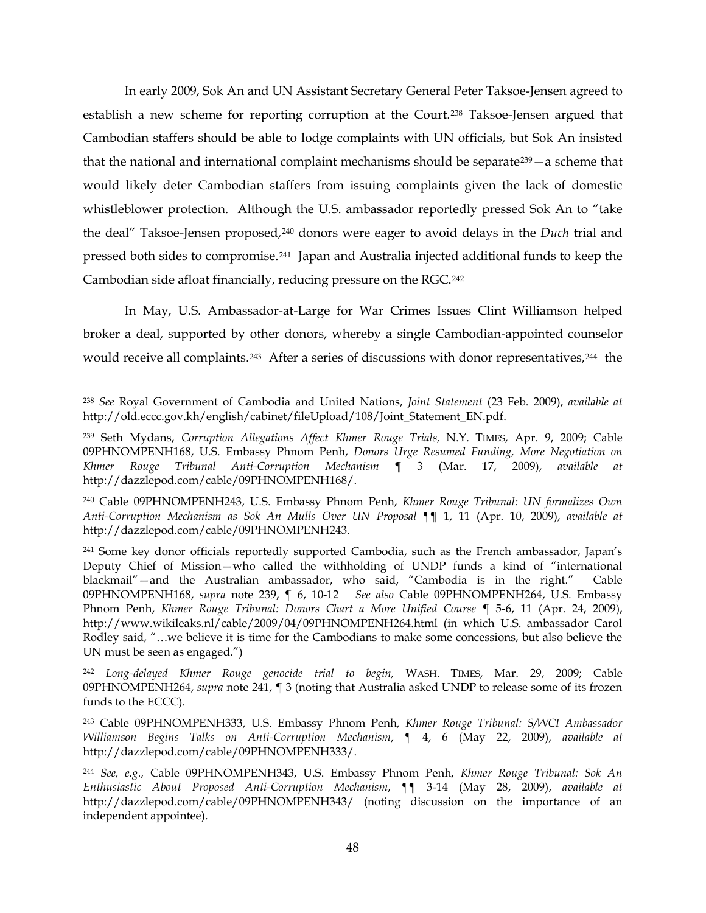<span id="page-47-0"></span>In early 2009, Sok An and UN Assistant Secretary General Peter Taksoe-Jensen agreed to establish a new scheme for reporting corruption at the Court.[238](#page-47-2) Taksoe-Jensen argued that Cambodian staffers should be able to lodge complaints with UN officials, but Sok An insisted that the national and international complaint mechanisms should be separate  $239 - a$  scheme that would likely deter Cambodian staffers from issuing complaints given the lack of domestic whistleblower protection. Although the U.S. ambassador reportedly pressed Sok An to "take the deal" Taksoe-Jensen proposed,[240](#page-47-4) donors were eager to avoid delays in the *Duch* trial and pressed both sides to compromise.[241](#page-47-5) Japan and Australia injected additional funds to keep the Cambodian side afloat financially, reducing pressure on the RGC.[242](#page-47-6) 

<span id="page-47-1"></span>In May, U.S. Ambassador-at-Large for War Crimes Issues Clint Williamson helped broker a deal, supported by other donors, whereby a single Cambodian-appointed counselor would receive all complaints.<sup>243</sup> After a series of discussions with donor representatives,<sup>[244](#page-47-8)</sup> the

<span id="page-47-9"></span><span id="page-47-2"></span> <sup>238</sup> *See* Royal Government of Cambodia and United Nations, *Joint Statement* (23 Feb. 2009), *available at*  http://old.eccc.gov.kh/english/cabinet/fileUpload/108/Joint\_Statement\_EN.pdf.

<span id="page-47-3"></span><sup>239</sup> Seth Mydans, *Corruption Allegations Affect Khmer Rouge Trials,* N.Y. TIMES, Apr. 9, 2009; Cable 09PHNOMPENH168, U.S. Embassy Phnom Penh, *Donors Urge Resumed Funding, More Negotiation on Khmer Rouge Tribunal Anti-Corruption Mechanism* ¶ 3 (Mar. 17, 2009), *available at*  http://dazzlepod.com/cable/09PHNOMPENH168/.

<span id="page-47-4"></span><sup>240</sup> Cable 09PHNOMPENH243, U.S. Embassy Phnom Penh, *Khmer Rouge Tribunal: UN formalizes Own Anti-Corruption Mechanism as Sok An Mulls Over UN Proposal* ¶¶ 1, 11 (Apr. 10, 2009), *available at*  http://dazzlepod.com/cable/09PHNOMPENH243.

<span id="page-47-5"></span><sup>&</sup>lt;sup>241</sup> Some key donor officials reportedly supported Cambodia, such as the French ambassador, Japan's Deputy Chief of Mission—who called the withholding of UNDP funds a kind of "international blackmail"—and the Australian ambassador, who said, "Cambodia is in the right." Cable 09PHNOMPENH168, *supra* note [239,](#page-47-0) ¶ 6, 10-12 *See also* Cable 09PHNOMPENH264, U.S. Embassy Phnom Penh, *Khmer Rouge Tribunal: Donors Chart a More Unified Course* ¶ 5-6, 11 (Apr. 24, 2009), http://www.wikileaks.nl/cable/2009/04/09PHNOMPENH264.html (in which U.S. ambassador Carol Rodley said, "…we believe it is time for the Cambodians to make some concessions, but also believe the UN must be seen as engaged.")

<span id="page-47-6"></span><sup>242</sup> *Long-delayed Khmer Rouge genocide trial to begin,* WASH. TIMES, Mar. 29, 2009; Cable 09PHNOMPENH264, *supra* note [241,](#page-47-1) ¶ 3 (noting that Australia asked UNDP to release some of its frozen funds to the ECCC).

<span id="page-47-7"></span><sup>243</sup> Cable 09PHNOMPENH333, U.S. Embassy Phnom Penh, *Khmer Rouge Tribunal: S/WCI Ambassador Williamson Begins Talks on Anti-Corruption Mechanism*, ¶ 4, 6 (May 22, 2009), *available at*  http://dazzlepod.com/cable/09PHNOMPENH333/.

<span id="page-47-8"></span><sup>244</sup> *See, e.g.,* Cable 09PHNOMPENH343, U.S. Embassy Phnom Penh, *Khmer Rouge Tribunal: Sok An Enthusiastic About Proposed Anti-Corruption Mechanism*, ¶¶ 3-14 (May 28, 2009), *available at*  http://dazzlepod.com/cable/09PHNOMPENH343/ (noting discussion on the importance of an independent appointee).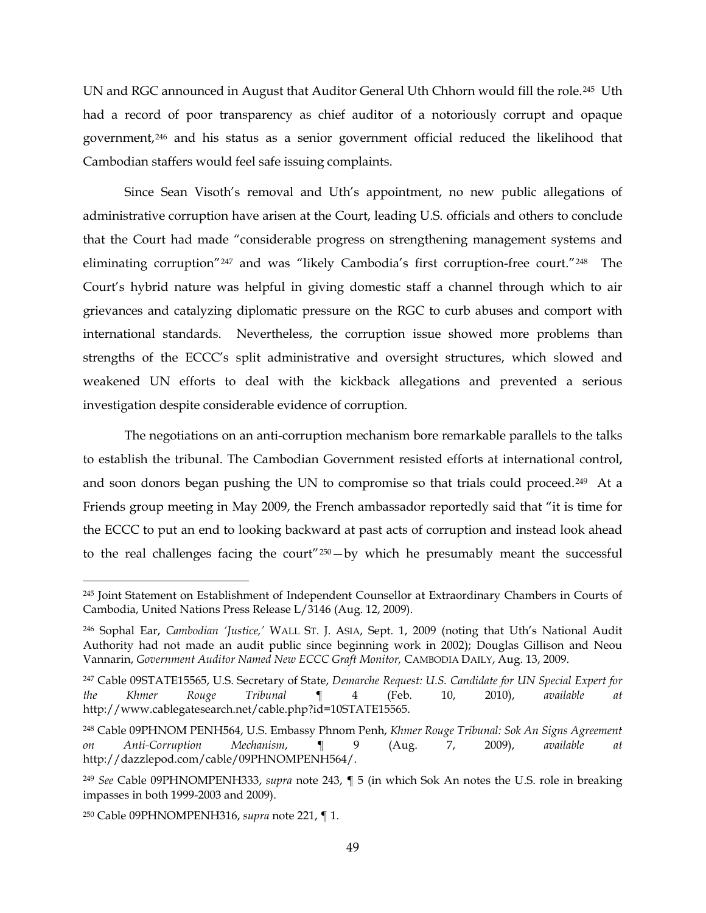UN and RGC announced in August that Auditor General Uth Chhorn would fill the role.[245](#page-48-0) Uth had a record of poor transparency as chief auditor of a notoriously corrupt and opaque government,[246](#page-48-1) and his status as a senior government official reduced the likelihood that Cambodian staffers would feel safe issuing complaints.

Since Sean Visoth's removal and Uth's appointment, no new public allegations of administrative corruption have arisen at the Court, leading U.S. officials and others to conclude that the Court had made "considerable progress on strengthening management systems and eliminating corruption"[247](#page-48-2) and was "likely Cambodia's first corruption-free court."[248](#page-48-3) The Court's hybrid nature was helpful in giving domestic staff a channel through which to air grievances and catalyzing diplomatic pressure on the RGC to curb abuses and comport with international standards. Nevertheless, the corruption issue showed more problems than strengths of the ECCC's split administrative and oversight structures, which slowed and weakened UN efforts to deal with the kickback allegations and prevented a serious investigation despite considerable evidence of corruption.

The negotiations on an anti-corruption mechanism bore remarkable parallels to the talks to establish the tribunal. The Cambodian Government resisted efforts at international control, and soon donors began pushing the UN to compromise so that trials could proceed.[249](#page-48-4) At a Friends group meeting in May 2009, the French ambassador reportedly said that "it is time for the ECCC to put an end to looking backward at past acts of corruption and instead look ahead to the real challenges facing the court"[250—](#page-48-5)by which he presumably meant the successful

<span id="page-48-0"></span><sup>&</sup>lt;sup>245</sup> Joint Statement on Establishment of Independent Counsellor at Extraordinary Chambers in Courts of Cambodia, United Nations Press Release L/3146 (Aug. 12, 2009).

<span id="page-48-1"></span><sup>246</sup> Sophal Ear, *Cambodian 'Justice,'* WALL ST. J. ASIA, Sept. 1, 2009 (noting that Uth's National Audit Authority had not made an audit public since beginning work in 2002); Douglas Gillison and Neou Vannarin, *Government Auditor Named New ECCC Graft Monitor,* CAMBODIA DAILY, Aug. 13, 2009.

<span id="page-48-2"></span><sup>247</sup> Cable 09STATE15565, U.S. Secretary of State, *Demarche Request: U.S. Candidate for UN Special Expert for the Khmer Rouge Tribunal* ¶ 4 (Feb. 10, 2010), *available at*  http://www.cablegatesearch.net/cable.php?id=10STATE15565.

<span id="page-48-3"></span><sup>248</sup> Cable 09PHNOM PENH564, U.S. Embassy Phnom Penh, *Khmer Rouge Tribunal: Sok An Signs Agreement on Anti-Corruption Mechanism*, ¶ 9 (Aug. 7, 2009), *available at*  http://dazzlepod.com/cable/09PHNOMPENH564/.

<span id="page-48-4"></span><sup>249</sup> *See* Cable 09PHNOMPENH333, *supra* note [243,](#page-47-9) ¶ 5 (in which Sok An notes the U.S. role in breaking impasses in both 1999-2003 and 2009).

<span id="page-48-5"></span><sup>250</sup> Cable 09PHNOMPENH316, *supra* note [221,](#page-45-7) ¶ 1.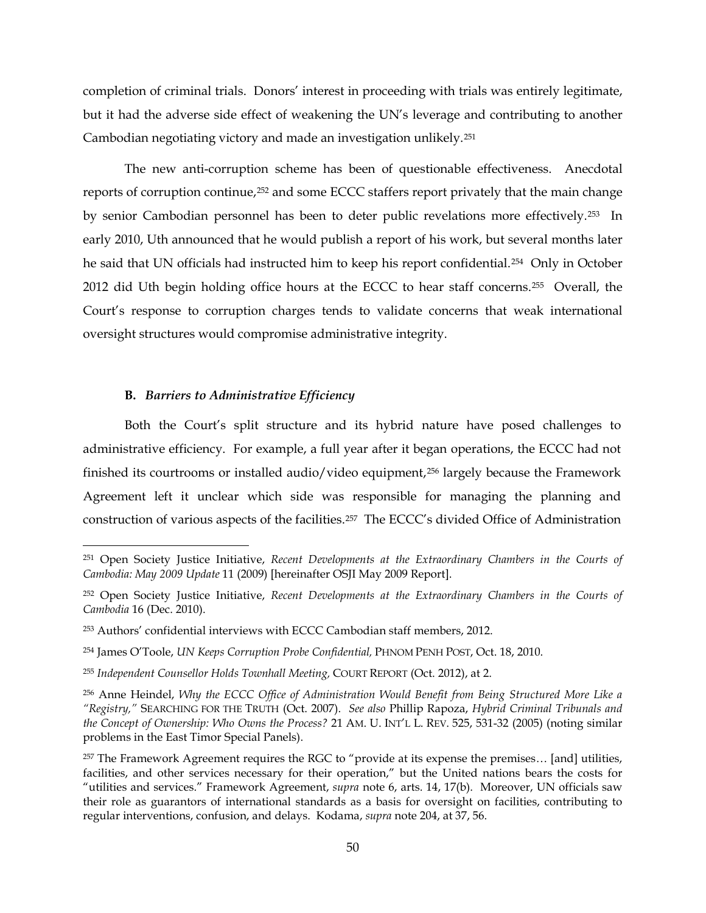completion of criminal trials. Donors' interest in proceeding with trials was entirely legitimate, but it had the adverse side effect of weakening the UN's leverage and contributing to another Cambodian negotiating victory and made an investigation unlikely[.251](#page-49-0)

The new anti-corruption scheme has been of questionable effectiveness. Anecdotal reports of corruption continue,[252](#page-49-1) and some ECCC staffers report privately that the main change by senior Cambodian personnel has been to deter public revelations more effectively.[253](#page-49-2) In early 2010, Uth announced that he would publish a report of his work, but several months later he said that UN officials had instructed him to keep his report confidential.<sup>[254](#page-49-3)</sup> Only in October 2012 did Uth begin holding office hours at the ECCC to hear staff concerns.[255](#page-49-4) Overall, the Court's response to corruption charges tends to validate concerns that weak international oversight structures would compromise administrative integrity.

#### **B.** *Barriers to Administrative Efficiency*

Both the Court's split structure and its hybrid nature have posed challenges to administrative efficiency. For example, a full year after it began operations, the ECCC had not finished its courtrooms or installed audio/video equipment,[256](#page-49-5) largely because the Framework Agreement left it unclear which side was responsible for managing the planning and construction of various aspects of the facilities.[257](#page-49-6) The ECCC's divided Office of Administration

<span id="page-49-0"></span> <sup>251</sup> Open Society Justice Initiative, *Recent Developments at the Extraordinary Chambers in the Courts of Cambodia: May 2009 Update* 11 (2009) [hereinafter OSJI May 2009 Report].

<span id="page-49-1"></span><sup>252</sup> Open Society Justice Initiative, *Recent Developments at the Extraordinary Chambers in the Courts of Cambodia* 16 (Dec. 2010).

<span id="page-49-2"></span><sup>253</sup> Authors' confidential interviews with ECCC Cambodian staff members, 2012.

<span id="page-49-3"></span><sup>254</sup> James O'Toole, *UN Keeps Corruption Probe Confidential,* PHNOM PENH POST, Oct. 18, 2010.

<span id="page-49-4"></span><sup>255</sup> *Independent Counsellor Holds Townhall Meeting,* COURT REPORT (Oct. 2012), at 2.

<span id="page-49-5"></span><sup>256</sup> Anne Heindel, *Why the ECCC Office of Administration Would Benefit from Being Structured More Like a "Registry,"* SEARCHING FOR THE TRUTH (Oct. 2007). *See also* Phillip Rapoza, *Hybrid Criminal Tribunals and the Concept of Ownership: Who Owns the Process?* 21 AM. U. INT'L L. REV. 525, 531-32 (2005) (noting similar problems in the East Timor Special Panels).

<span id="page-49-6"></span><sup>257</sup> The Framework Agreement requires the RGC to "provide at its expense the premises… [and] utilities, facilities, and other services necessary for their operation," but the United nations bears the costs for "utilities and services." Framework Agreement, *supra* note [6,](#page-3-0) arts. 14, 17(b). Moreover, UN officials saw their role as guarantors of international standards as a basis for oversight on facilities, contributing to regular interventions, confusion, and delays. Kodama, *supra* note [204,](#page-41-5) at 37, 56.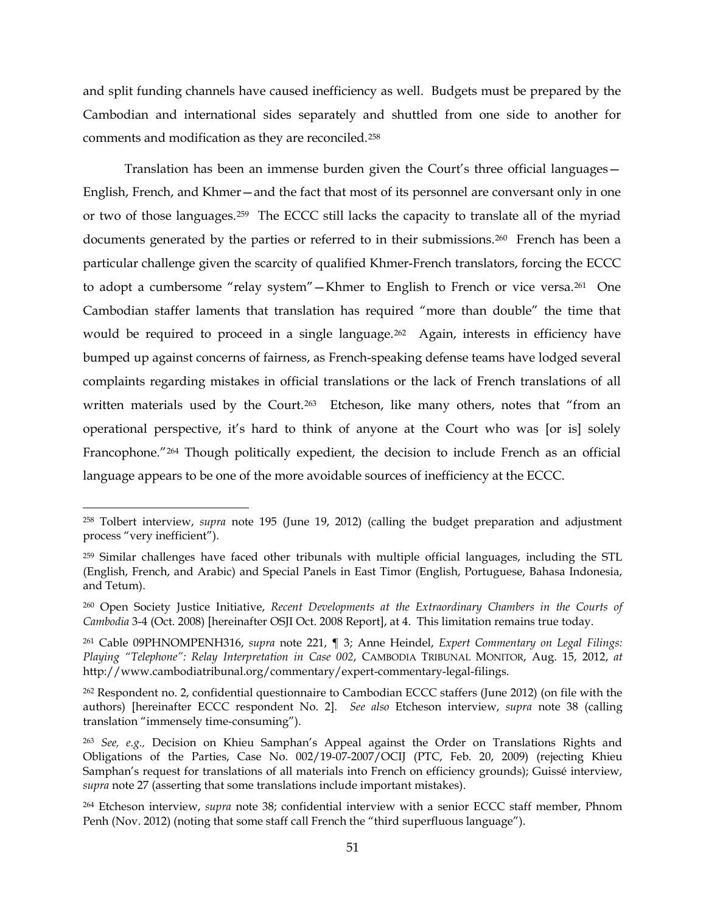and split funding channels have caused inefficiency as well. Budgets must be prepared by the Cambodian and international sides separately and shuttled from one side to another for comments and modification as they are reconciled.[258](#page-50-0)

<span id="page-50-7"></span>Translation has been an immense burden given the Court's three official languages— English, French, and Khmer—and the fact that most of its personnel are conversant only in one or two of those languages.[259](#page-50-1) The ECCC still lacks the capacity to translate all of the myriad documents generated by the parties or referred to in their submissions.<sup>[260](#page-50-2)</sup> French has been a particular challenge given the scarcity of qualified Khmer-French translators, forcing the ECCC to adopt a cumbersome "relay system"—Khmer to English to French or vice versa.[261](#page-50-3) One Cambodian staffer laments that translation has required "more than double" the time that would be required to proceed in a single language.<sup>[262](#page-50-4)</sup> Again, interests in efficiency have bumped up against concerns of fairness, as French-speaking defense teams have lodged several complaints regarding mistakes in official translations or the lack of French translations of all written materials used by the Court.<sup>263</sup> Etcheson, like many others, notes that "from an operational perspective, it's hard to think of anyone at the Court who was [or is] solely Francophone."[264](#page-50-6) Though politically expedient, the decision to include French as an official language appears to be one of the more avoidable sources of inefficiency at the ECCC.

<span id="page-50-0"></span> <sup>258</sup> Tolbert interview, *supra* note [195](#page-40-0) (June 19, 2012) (calling the budget preparation and adjustment process "very inefficient").

<span id="page-50-1"></span><sup>259</sup> Similar challenges have faced other tribunals with multiple official languages, including the STL (English, French, and Arabic) and Special Panels in East Timor (English, Portuguese, Bahasa Indonesia, and Tetum).

<span id="page-50-2"></span><sup>260</sup> Open Society Justice Initiative, *Recent Developments at the Extraordinary Chambers in the Courts of Cambodia* 3-4 (Oct. 2008) [hereinafter OSJI Oct. 2008 Report], at 4. This limitation remains true today.

<span id="page-50-3"></span><sup>261</sup> Cable 09PHNOMPENH316, *supra* note [221,](#page-45-7) ¶ 3; Anne Heindel, *Expert Commentary on Legal Filings: Playing "Telephone": Relay Interpretation in Case 002*, CAMBODIA TRIBUNAL MONITOR, Aug. 15, 2012, *at* http://www.cambodiatribunal.org/commentary/expert-commentary-legal-filings.

<span id="page-50-4"></span><sup>262</sup> Respondent no. 2, confidential questionnaire to Cambodian ECCC staffers (June 2012) (on file with the authors) [hereinafter ECCC respondent No. 2]. *See also* Etcheson interview, *supra* note [38](#page-10-0) (calling translation "immensely time-consuming").

<span id="page-50-5"></span><sup>263</sup> *See, e.g.,* Decision on Khieu Samphan's Appeal against the Order on Translations Rights and Obligations of the Parties, Case No. 002/19-07-2007/OCIJ (PTC, Feb. 20, 2009) (rejecting Khieu Samphan's request for translations of all materials into French on efficiency grounds); Guissé interview, *supra* note [27](#page-8-1) (asserting that some translations include important mistakes).

<span id="page-50-6"></span><sup>264</sup> Etcheson interview, *supra* note [38;](#page-10-0) confidential interview with a senior ECCC staff member, Phnom Penh (Nov. 2012) (noting that some staff call French the "third superfluous language").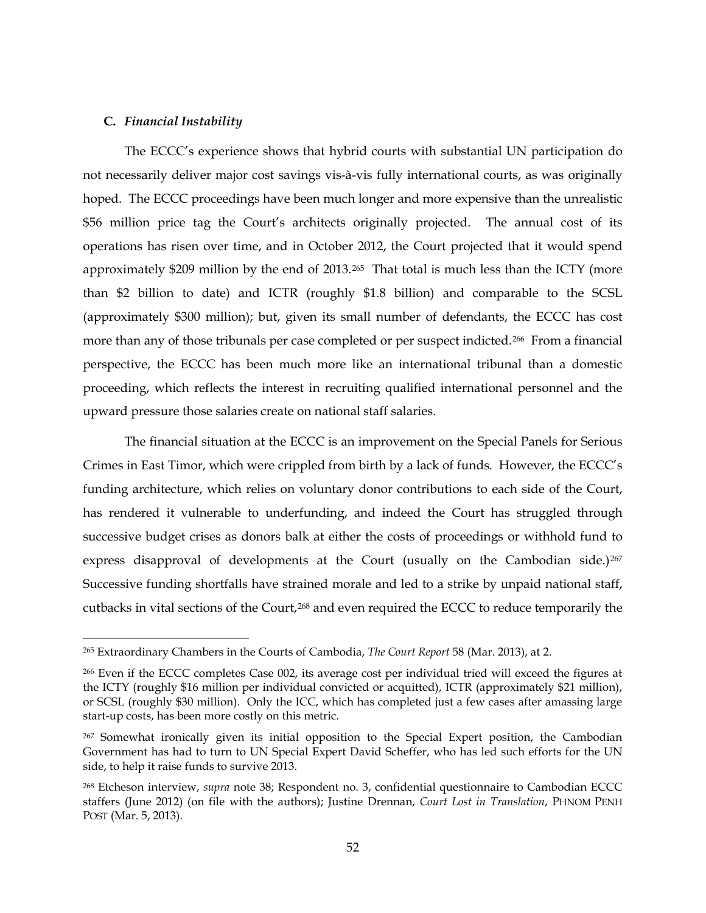#### **C.** *Financial Instability*

The ECCC's experience shows that hybrid courts with substantial UN participation do not necessarily deliver major cost savings vis-à-vis fully international courts, as was originally hoped. The ECCC proceedings have been much longer and more expensive than the unrealistic \$56 million price tag the Court's architects originally projected. The annual cost of its operations has risen over time, and in October 2012, the Court projected that it would spend approximately \$209 million by the end of 2013.<sup>265</sup> That total is much less than the ICTY (more than \$2 billion to date) and ICTR (roughly \$1.8 billion) and comparable to the SCSL (approximately \$300 million); but, given its small number of defendants, the ECCC has cost more than any of those tribunals per case completed or per suspect indicted.<sup>[266](#page-51-1)</sup> From a financial perspective, the ECCC has been much more like an international tribunal than a domestic proceeding, which reflects the interest in recruiting qualified international personnel and the upward pressure those salaries create on national staff salaries.

The financial situation at the ECCC is an improvement on the Special Panels for Serious Crimes in East Timor, which were crippled from birth by a lack of funds. However, the ECCC's funding architecture, which relies on voluntary donor contributions to each side of the Court, has rendered it vulnerable to underfunding, and indeed the Court has struggled through successive budget crises as donors balk at either the costs of proceedings or withhold fund to express disapproval of developments at the Court (usually on the Cambodian side.)<sup>[267](#page-51-2)</sup> Successive funding shortfalls have strained morale and led to a strike by unpaid national staff, cutbacks in vital sections of the Court,[268](#page-51-3) and even required the ECCC to reduce temporarily the

<span id="page-51-0"></span> <sup>265</sup> Extraordinary Chambers in the Courts of Cambodia, *The Court Report* <sup>58</sup> (Mar. 2013), at 2.

<span id="page-51-1"></span><sup>266</sup> Even if the ECCC completes Case 002, its average cost per individual tried will exceed the figures at the ICTY (roughly \$16 million per individual convicted or acquitted), ICTR (approximately \$21 million), or SCSL (roughly \$30 million). Only the ICC, which has completed just a few cases after amassing large start-up costs, has been more costly on this metric.

<span id="page-51-2"></span><sup>&</sup>lt;sup>267</sup> Somewhat ironically given its initial opposition to the Special Expert position, the Cambodian Government has had to turn to UN Special Expert David Scheffer, who has led such efforts for the UN side, to help it raise funds to survive 2013.

<span id="page-51-3"></span><sup>268</sup> Etcheson interview, *supra* note [38;](#page-10-0) Respondent no. 3, confidential questionnaire to Cambodian ECCC staffers (June 2012) (on file with the authors); Justine Drennan, *Court Lost in Translation*, PHNOM PENH POST (Mar. 5, 2013).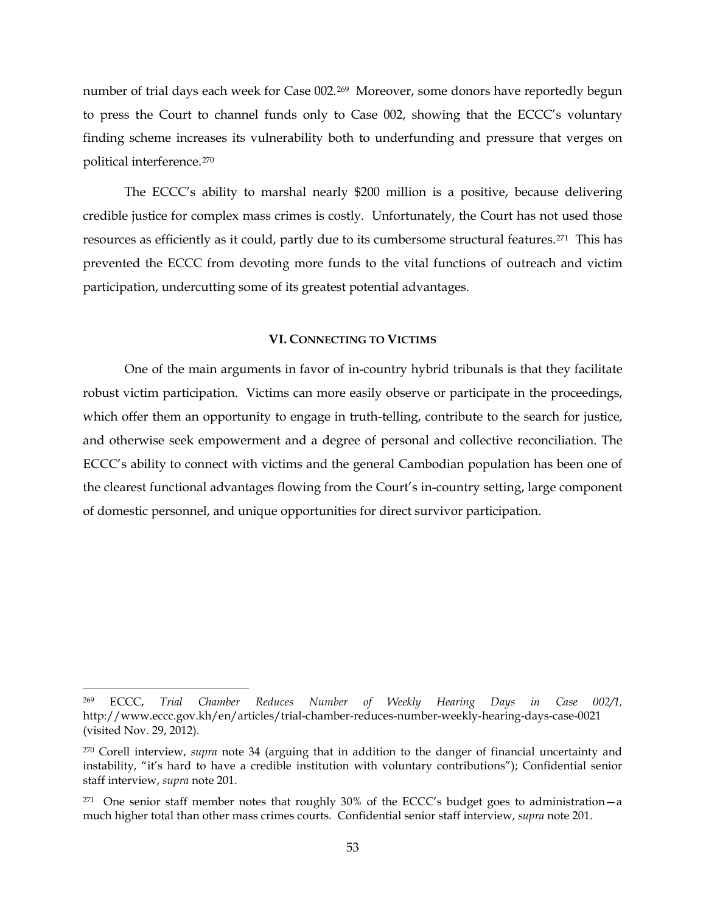number of trial days each week for Case 002.<sup>269</sup> Moreover, some donors have reportedly begun to press the Court to channel funds only to Case 002, showing that the ECCC's voluntary finding scheme increases its vulnerability both to underfunding and pressure that verges on political interference.[270](#page-52-1)

The ECCC's ability to marshal nearly \$200 million is a positive, because delivering credible justice for complex mass crimes is costly. Unfortunately, the Court has not used those resources as efficiently as it could, partly due to its cumbersome structural features.[271](#page-52-2) This has prevented the ECCC from devoting more funds to the vital functions of outreach and victim participation, undercutting some of its greatest potential advantages.

# **VI. CONNECTING TO VICTIMS**

One of the main arguments in favor of in-country hybrid tribunals is that they facilitate robust victim participation. Victims can more easily observe or participate in the proceedings, which offer them an opportunity to engage in truth-telling, contribute to the search for justice, and otherwise seek empowerment and a degree of personal and collective reconciliation. The ECCC's ability to connect with victims and the general Cambodian population has been one of the clearest functional advantages flowing from the Court's in-country setting, large component of domestic personnel, and unique opportunities for direct survivor participation.

<span id="page-52-0"></span> <sup>269</sup> ECCC, *Trial Chamber Reduces Number of Weekly Hearing Days in Case 002/1,*  http://www.eccc.gov.kh/en/articles/trial-chamber-reduces-number-weekly-hearing-days-case-0021 (visited Nov. 29, 2012).

<span id="page-52-1"></span><sup>270</sup> Corell interview, *supra* note [34](#page-9-0) (arguing that in addition to the danger of financial uncertainty and instability, "it's hard to have a credible institution with voluntary contributions"); Confidential senior staff interview, *supra* note [201.](#page-41-6)

<span id="page-52-2"></span> $271$  One senior staff member notes that roughly 30% of the ECCC's budget goes to administration - a much higher total than other mass crimes courts. Confidential senior staff interview, *supra* note [201.](#page-41-6)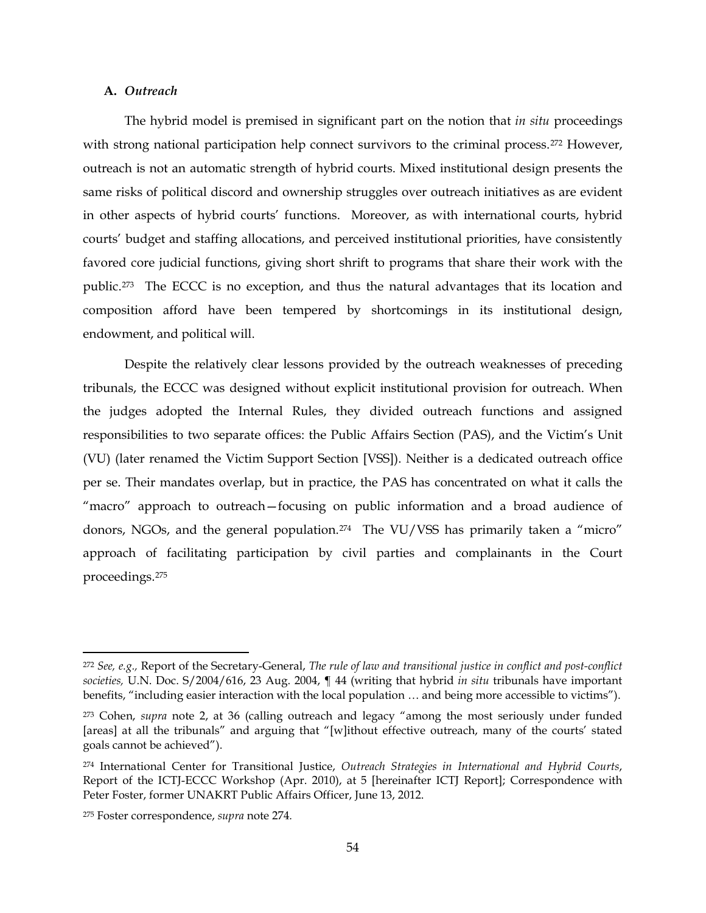# **A.** *Outreach*

The hybrid model is premised in significant part on the notion that *in situ* proceedings with strong national participation help connect survivors to the criminal process.<sup>[272](#page-53-1)</sup> However, outreach is not an automatic strength of hybrid courts. Mixed institutional design presents the same risks of political discord and ownership struggles over outreach initiatives as are evident in other aspects of hybrid courts' functions. Moreover, as with international courts, hybrid courts' budget and staffing allocations, and perceived institutional priorities, have consistently favored core judicial functions, giving short shrift to programs that share their work with the public.[273](#page-53-2) The ECCC is no exception, and thus the natural advantages that its location and composition afford have been tempered by shortcomings in its institutional design, endowment, and political will.

Despite the relatively clear lessons provided by the outreach weaknesses of preceding tribunals, the ECCC was designed without explicit institutional provision for outreach. When the judges adopted the Internal Rules, they divided outreach functions and assigned responsibilities to two separate offices: the Public Affairs Section (PAS), and the Victim's Unit (VU) (later renamed the Victim Support Section [VSS]). Neither is a dedicated outreach office per se. Their mandates overlap, but in practice, the PAS has concentrated on what it calls the "macro" approach to outreach—focusing on public information and a broad audience of donors, NGOs, and the general population.<sup>274</sup> The VU/VSS has primarily taken a "micro" approach of facilitating participation by civil parties and complainants in the Court proceedings.[275](#page-53-4)

<span id="page-53-1"></span><span id="page-53-0"></span> <sup>272</sup> *See, e.g.,* Report of the Secretary-General, *The rule of law and transitional justice in conflict and post-conflict societies,* U.N. Doc. S/2004/616, 23 Aug. 2004, ¶ 44 (writing that hybrid *in situ* tribunals have important benefits, "including easier interaction with the local population … and being more accessible to victims").

<span id="page-53-2"></span><sup>273</sup> Cohen, *supra* note [2,](#page-2-0) at 36 (calling outreach and legacy "among the most seriously under funded [areas] at all the tribunals" and arguing that "[w]ithout effective outreach, many of the courts' stated goals cannot be achieved").

<span id="page-53-3"></span><sup>274</sup> International Center for Transitional Justice, *Outreach Strategies in International and Hybrid Courts*, Report of the ICTJ-ECCC Workshop (Apr. 2010), at 5 [hereinafter ICTJ Report]; Correspondence with Peter Foster, former UNAKRT Public Affairs Officer, June 13, 2012.

<span id="page-53-4"></span><sup>275</sup> Foster correspondence, *supra* note [274](#page-53-0)*.*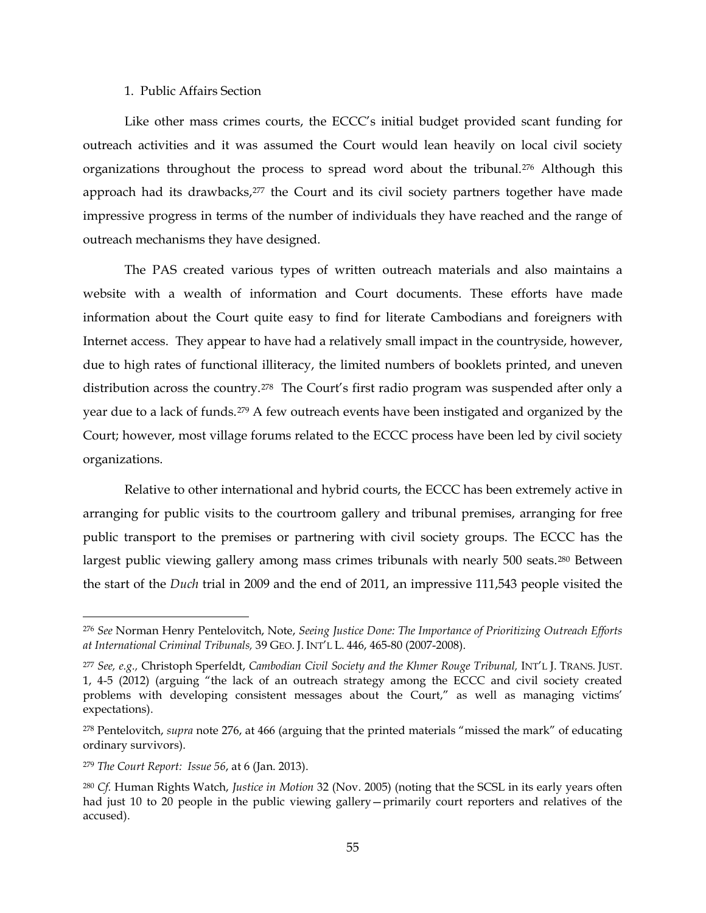#### <span id="page-54-0"></span>1. Public Affairs Section

Like other mass crimes courts, the ECCC's initial budget provided scant funding for outreach activities and it was assumed the Court would lean heavily on local civil society organizations throughout the process to spread word about the tribunal.[276](#page-54-1) Although this approach had its drawbacks,[277](#page-54-2) the Court and its civil society partners together have made impressive progress in terms of the number of individuals they have reached and the range of outreach mechanisms they have designed.

The PAS created various types of written outreach materials and also maintains a website with a wealth of information and Court documents. These efforts have made information about the Court quite easy to find for literate Cambodians and foreigners with Internet access. They appear to have had a relatively small impact in the countryside, however, due to high rates of functional illiteracy, the limited numbers of booklets printed, and uneven distribution across the country.<sup>[278](#page-54-3)</sup> The Court's first radio program was suspended after only a year due to a lack of funds.[279](#page-54-4) A few outreach events have been instigated and organized by the Court; however, most village forums related to the ECCC process have been led by civil society organizations.

Relative to other international and hybrid courts, the ECCC has been extremely active in arranging for public visits to the courtroom gallery and tribunal premises, arranging for free public transport to the premises or partnering with civil society groups. The ECCC has the largest public viewing gallery among mass crimes tribunals with nearly 500 seats.<sup>[280](#page-54-5)</sup> Between the start of the *Duch* trial in 2009 and the end of 2011, an impressive 111,543 people visited the

<span id="page-54-1"></span> <sup>276</sup> *See* Norman Henry Pentelovitch, Note, *Seeing Justice Done: The Importance of Prioritizing Outreach Efforts at International Criminal Tribunals,* 39 GEO. J. INT'L L. 446, 465-80 (2007-2008).

<span id="page-54-2"></span><sup>277</sup> *See, e.g.,* Christoph Sperfeldt, *Cambodian Civil Society and the Khmer Rouge Tribunal,* INT'L J. TRANS. JUST. 1, 4-5 (2012) (arguing "the lack of an outreach strategy among the ECCC and civil society created problems with developing consistent messages about the Court," as well as managing victims' expectations).

<span id="page-54-3"></span><sup>278</sup> Pentelovitch, *supra* note [276,](#page-54-0) at 466 (arguing that the printed materials "missed the mark" of educating ordinary survivors).

<span id="page-54-4"></span><sup>279</sup> *The Court Report: Issue 56*, at 6 (Jan. 2013).

<span id="page-54-5"></span><sup>280</sup> *Cf.* Human Rights Watch, *Justice in Motion* 32 (Nov. 2005) (noting that the SCSL in its early years often had just 10 to 20 people in the public viewing gallery—primarily court reporters and relatives of the accused).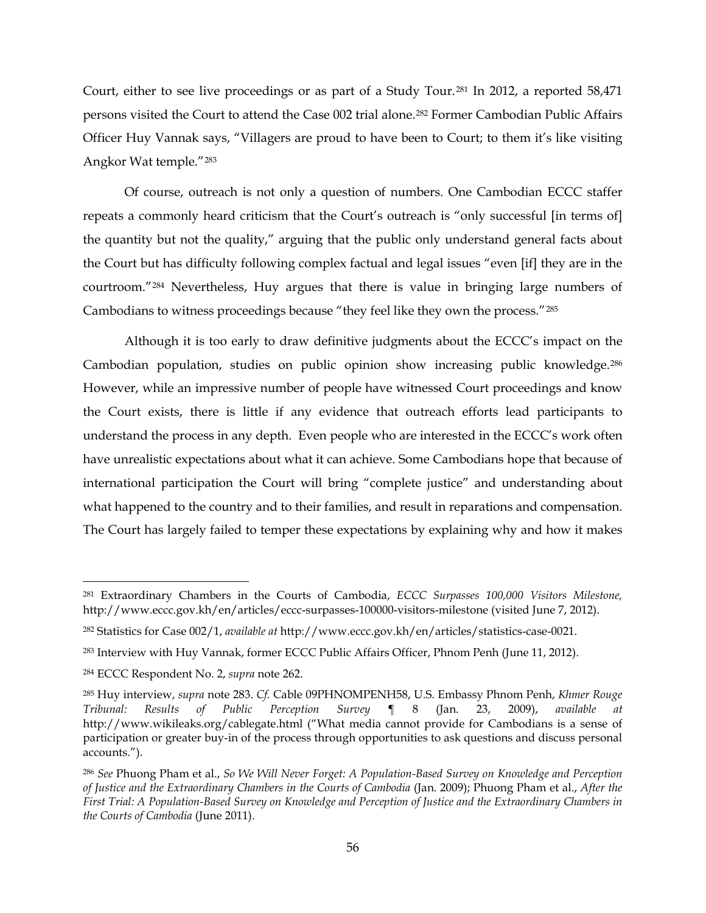Court, either to see live proceedings or as part of a Study Tour.[281](#page-55-1) In 2012, a reported 58,471 persons visited the Court to attend the Case 002 trial alone.[282](#page-55-2) Former Cambodian Public Affairs Officer Huy Vannak says, "Villagers are proud to have been to Court; to them it's like visiting Angkor Wat temple."[283](#page-55-3)

<span id="page-55-0"></span>Of course, outreach is not only a question of numbers. One Cambodian ECCC staffer repeats a commonly heard criticism that the Court's outreach is "only successful [in terms of] the quantity but not the quality," arguing that the public only understand general facts about the Court but has difficulty following complex factual and legal issues "even [if] they are in the courtroom."[284](#page-55-4) Nevertheless, Huy argues that there is value in bringing large numbers of Cambodians to witness proceedings because "they feel like they own the process."[285](#page-55-5)

Although it is too early to draw definitive judgments about the ECCC's impact on the Cambodian population, studies on public opinion show increasing public knowledge.[286](#page-55-6) However, while an impressive number of people have witnessed Court proceedings and know the Court exists, there is little if any evidence that outreach efforts lead participants to understand the process in any depth. Even people who are interested in the ECCC's work often have unrealistic expectations about what it can achieve. Some Cambodians hope that because of international participation the Court will bring "complete justice" and understanding about what happened to the country and to their families, and result in reparations and compensation. The Court has largely failed to temper these expectations by explaining why and how it makes

<span id="page-55-1"></span> <sup>281</sup> Extraordinary Chambers in the Courts of Cambodia, *ECCC Surpasses 100,000 Visitors Milestone,*  http://www.eccc.gov.kh/en/articles/eccc-surpasses-100000-visitors-milestone (visited June 7, 2012).

<span id="page-55-2"></span><sup>282</sup> Statistics for Case 002/1, *available at* http://www.eccc.gov.kh/en/articles/statistics-case-0021.

<span id="page-55-3"></span><sup>&</sup>lt;sup>283</sup> Interview with Huy Vannak, former ECCC Public Affairs Officer, Phnom Penh (June 11, 2012).

<span id="page-55-4"></span><sup>284</sup> ECCC Respondent No. 2, *supra* note [262.](#page-50-7)

<span id="page-55-5"></span><sup>285</sup> Huy interview, *supra* note [283.](#page-55-0) *Cf.* Cable 09PHNOMPENH58, U.S. Embassy Phnom Penh, *Khmer Rouge Tribunal: Results of Public Perception Survey* ¶ 8 (Jan. 23, 2009), *available at*  http://www.wikileaks.org/cablegate.html ("What media cannot provide for Cambodians is a sense of participation or greater buy-in of the process through opportunities to ask questions and discuss personal accounts.").

<span id="page-55-6"></span><sup>286</sup> *See* Phuong Pham et al., *So We Will Never Forget: A Population-Based Survey on Knowledge and Perception of Justice and the Extraordinary Chambers in the Courts of Cambodia* (Jan. 2009); Phuong Pham et al., *After the First Trial: A Population-Based Survey on Knowledge and Perception of Justice and the Extraordinary Chambers in the Courts of Cambodia* (June 2011).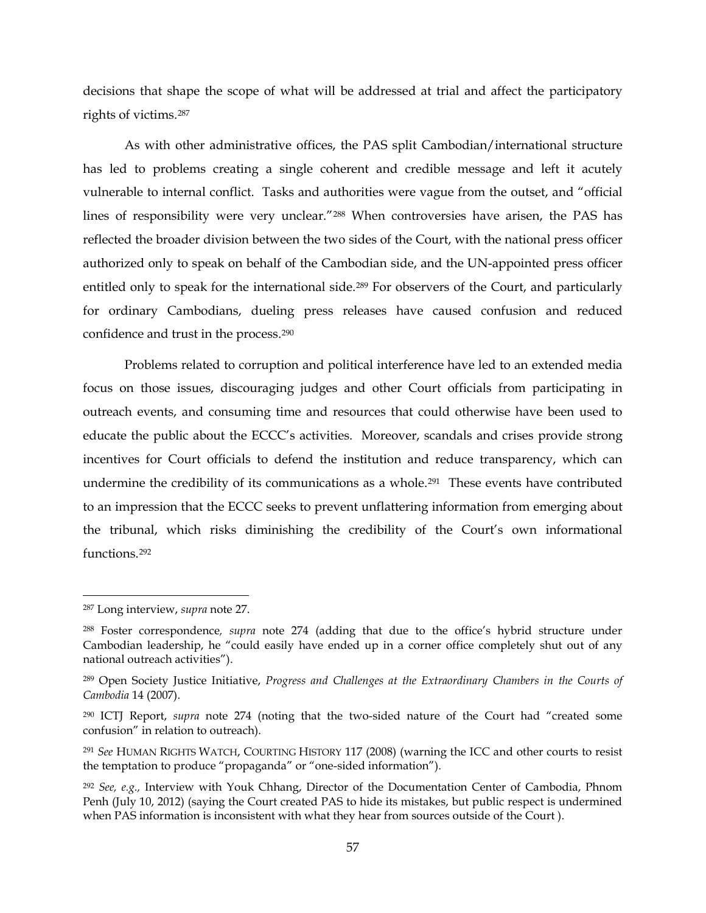decisions that shape the scope of what will be addressed at trial and affect the participatory rights of victims.[287](#page-56-0)

As with other administrative offices, the PAS split Cambodian/international structure has led to problems creating a single coherent and credible message and left it acutely vulnerable to internal conflict. Tasks and authorities were vague from the outset, and "official lines of responsibility were very unclear."[288](#page-56-1) When controversies have arisen, the PAS has reflected the broader division between the two sides of the Court, with the national press officer authorized only to speak on behalf of the Cambodian side, and the UN-appointed press officer entitled only to speak for the international side.<sup>[289](#page-56-2)</sup> For observers of the Court, and particularly for ordinary Cambodians, dueling press releases have caused confusion and reduced confidence and trust in the process[.290](#page-56-3)

Problems related to corruption and political interference have led to an extended media focus on those issues, discouraging judges and other Court officials from participating in outreach events, and consuming time and resources that could otherwise have been used to educate the public about the ECCC's activities. Moreover, scandals and crises provide strong incentives for Court officials to defend the institution and reduce transparency, which can undermine the credibility of its communications as a whole.<sup>291</sup> These events have contributed to an impression that the ECCC seeks to prevent unflattering information from emerging about the tribunal, which risks diminishing the credibility of the Court's own informational functions.[292](#page-56-5)

<span id="page-56-0"></span> <sup>287</sup> Long interview, *supra* note [27.](#page-8-1)

<span id="page-56-1"></span><sup>288</sup> Foster correspondence*, supra* note [274](#page-53-0) (adding that due to the office's hybrid structure under Cambodian leadership, he "could easily have ended up in a corner office completely shut out of any national outreach activities").

<span id="page-56-2"></span><sup>289</sup> Open Society Justice Initiative, *Progress and Challenges at the Extraordinary Chambers in the Courts of Cambodia* 14 (2007).

<span id="page-56-3"></span><sup>290</sup> ICTJ Report, *supra* note [274](#page-53-0) (noting that the two-sided nature of the Court had "created some confusion" in relation to outreach).

<span id="page-56-4"></span><sup>291</sup> *See* HUMAN RIGHTS WATCH, COURTING HISTORY 117 (2008) (warning the ICC and other courts to resist the temptation to produce "propaganda" or "one-sided information").

<span id="page-56-5"></span><sup>292</sup> *See, e.g.,* Interview with Youk Chhang, Director of the Documentation Center of Cambodia, Phnom Penh (July 10, 2012) (saying the Court created PAS to hide its mistakes, but public respect is undermined when PAS information is inconsistent with what they hear from sources outside of the Court ).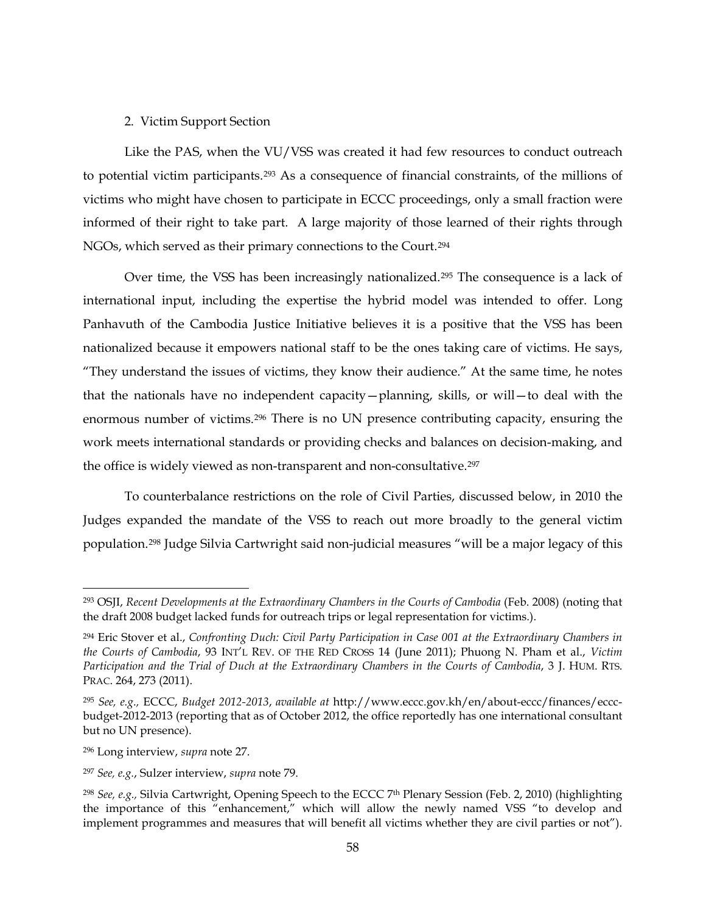### 2.Victim Support Section

Like the PAS, when the VU/VSS was created it had few resources to conduct outreach to potential victim participants.[293](#page-57-0) As a consequence of financial constraints, of the millions of victims who might have chosen to participate in ECCC proceedings, only a small fraction were informed of their right to take part. A large majority of those learned of their rights through NGOs, which served as their primary connections to the Court.[294](#page-57-1)

Over time, the VSS has been increasingly nationalized.<sup>295</sup> The consequence is a lack of international input, including the expertise the hybrid model was intended to offer. Long Panhavuth of the Cambodia Justice Initiative believes it is a positive that the VSS has been nationalized because it empowers national staff to be the ones taking care of victims. He says, "They understand the issues of victims, they know their audience." At the same time, he notes that the nationals have no independent capacity—planning, skills, or will—to deal with the enormous number of victims.[296](#page-57-3) There is no UN presence contributing capacity, ensuring the work meets international standards or providing checks and balances on decision-making, and the office is widely viewed as non-transparent and non-consultative.[297](#page-57-4)

<span id="page-57-6"></span>To counterbalance restrictions on the role of Civil Parties, discussed below, in 2010 the Judges expanded the mandate of the VSS to reach out more broadly to the general victim population.[298](#page-57-5) Judge Silvia Cartwright said non-judicial measures "will be a major legacy of this

<span id="page-57-0"></span> <sup>293</sup> OSJI, *Recent Developments at the Extraordinary Chambers in the Courts of Cambodia* (Feb. 2008) (noting that the draft 2008 budget lacked funds for outreach trips or legal representation for victims.).

<span id="page-57-1"></span><sup>294</sup> Eric Stover et al., *Confronting Duch: Civil Party Participation in Case 001 at the Extraordinary Chambers in the Courts of Cambodia*, 93 INT'L REV. OF THE RED CROSS 14 (June 2011); Phuong N. Pham et al., *Victim Participation and the Trial of Duch at the Extraordinary Chambers in the Courts of Cambodia*, 3 J. HUM. RTS. PRAC. 264, 273 (2011).

<span id="page-57-2"></span><sup>295</sup> *See, e.g.,* ECCC, *Budget 2012-2013*, *available at* http://www.eccc.gov.kh/en/about-eccc/finances/ecccbudget-2012-2013 (reporting that as of October 2012, the office reportedly has one international consultant but no UN presence).

<span id="page-57-3"></span><sup>296</sup> Long interview, *supra* note [27.](#page-8-1)

<span id="page-57-4"></span><sup>297</sup> *See, e.g.*, Sulzer interview, *supra* note [79.](#page-20-0) 

<span id="page-57-5"></span><sup>298</sup> *See, e.g.,* Silvia Cartwright, Opening Speech to the ECCC 7th Plenary Session (Feb. 2, 2010) (highlighting the importance of this "enhancement," which will allow the newly named VSS "to develop and implement programmes and measures that will benefit all victims whether they are civil parties or not").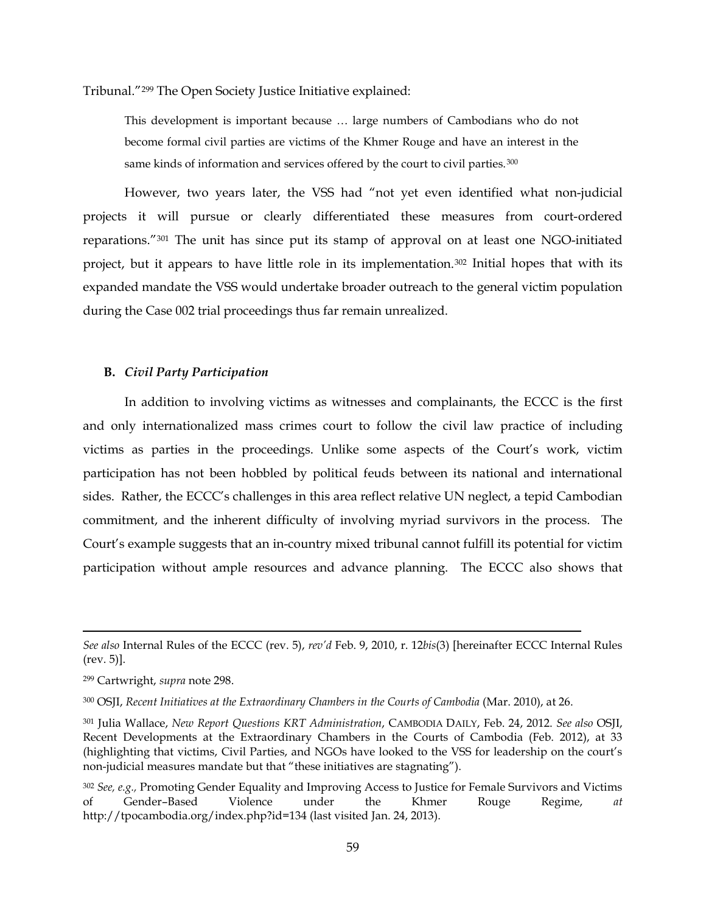Tribunal."[299](#page-58-0) The Open Society Justice Initiative explained:

This development is important because … large numbers of Cambodians who do not become formal civil parties are victims of the Khmer Rouge and have an interest in the same kinds of information and services offered by the court to civil parties.<sup>[300](#page-58-1)</sup>

However, two years later, the VSS had "not yet even identified what non-judicial projects it will pursue or clearly differentiated these measures from court-ordered reparations."[301](#page-58-2) The unit has since put its stamp of approval on at least one NGO-initiated project, but it appears to have little role in its implementation[.302](#page-58-3) Initial hopes that with its expanded mandate the VSS would undertake broader outreach to the general victim population during the Case 002 trial proceedings thus far remain unrealized.

### **B.** *Civil Party Participation*

In addition to involving victims as witnesses and complainants, the ECCC is the first and only internationalized mass crimes court to follow the civil law practice of including victims as parties in the proceedings. Unlike some aspects of the Court's work, victim participation has not been hobbled by political feuds between its national and international sides. Rather, the ECCC's challenges in this area reflect relative UN neglect, a tepid Cambodian commitment, and the inherent difficulty of involving myriad survivors in the process. The Court's example suggests that an in-country mixed tribunal cannot fulfill its potential for victim participation without ample resources and advance planning. The ECCC also shows that

 $\overline{a}$ 

*See also* Internal Rules of the ECCC (rev. 5), *rev'd* Feb. 9, 2010, r. 12*bis*(3) [hereinafter ECCC Internal Rules (rev. 5)].

<span id="page-58-0"></span><sup>299</sup> Cartwright, *supra* note [298.](#page-57-6)

<span id="page-58-1"></span><sup>300</sup> OSJI, *Recent Initiatives at the Extraordinary Chambers in the Courts of Cambodia* (Mar. 2010), at 26.

<span id="page-58-2"></span><sup>301</sup> Julia Wallace, *New Report Questions KRT Administration*, CAMBODIA DAILY, Feb. 24, 2012. *See also* OSJI, Recent Developments at the Extraordinary Chambers in the Courts of Cambodia (Feb. 2012), at 33 (highlighting that victims, Civil Parties, and NGOs have looked to the VSS for leadership on the court's non-judicial measures mandate but that "these initiatives are stagnating").

<span id="page-58-3"></span><sup>302</sup> *See, e.g.,* Promoting Gender Equality and Improving Access to Justice for Female Survivors and Victims of Gender–Based Violence under the Khmer Rouge Regime, *at*  http://tpocambodia.org/index.php?id=134 (last visited Jan. 24, 2013).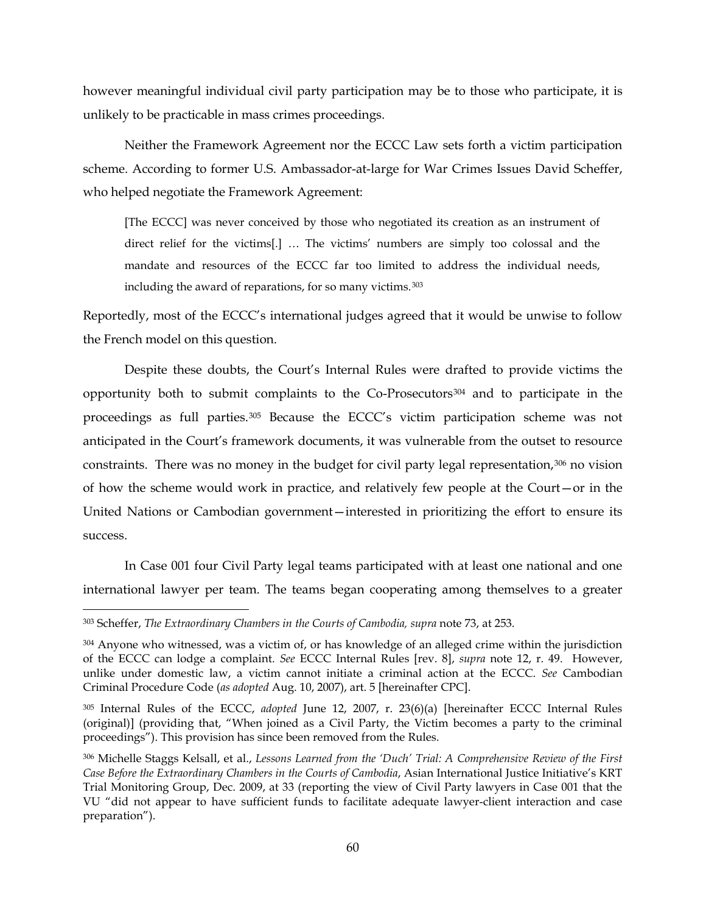however meaningful individual civil party participation may be to those who participate, it is unlikely to be practicable in mass crimes proceedings.

Neither the Framework Agreement nor the ECCC Law sets forth a victim participation scheme. According to former U.S. Ambassador-at-large for War Crimes Issues David Scheffer, who helped negotiate the Framework Agreement:

[The ECCC] was never conceived by those who negotiated its creation as an instrument of direct relief for the victims[.] … The victims' numbers are simply too colossal and the mandate and resources of the ECCC far too limited to address the individual needs, including the award of reparations, for so many victims.<sup>[303](#page-59-0)</sup>

Reportedly, most of the ECCC's international judges agreed that it would be unwise to follow the French model on this question.

<span id="page-59-4"></span>Despite these doubts, the Court's Internal Rules were drafted to provide victims the opportunity both to submit complaints to the Co-Prosecutors[304](#page-59-1) and to participate in the proceedings as full parties.[305](#page-59-2) Because the ECCC's victim participation scheme was not anticipated in the Court's framework documents, it was vulnerable from the outset to resource constraints. There was no money in the budget for civil party legal representation, $306$  no vision of how the scheme would work in practice, and relatively few people at the Court—or in the United Nations or Cambodian government—interested in prioritizing the effort to ensure its success.

In Case 001 four Civil Party legal teams participated with at least one national and one international lawyer per team. The teams began cooperating among themselves to a greater

<span id="page-59-0"></span><sup>&</sup>lt;sup>303</sup> Scheffer, *The Extraordinary Chambers in the Courts of Cambodia, supra* note [73,](#page-18-0) at 253.

<span id="page-59-1"></span><sup>&</sup>lt;sup>304</sup> Anyone who witnessed, was a victim of, or has knowledge of an alleged crime within the jurisdiction of the ECCC can lodge a complaint. *See* ECCC Internal Rules [rev. 8], *supra* note [12,](#page-4-0) r. 49. However, unlike under domestic law, a victim cannot initiate a criminal action at the ECCC. *See* Cambodian Criminal Procedure Code (*as adopted* Aug. 10, 2007), art. 5 [hereinafter CPC].

<span id="page-59-2"></span><sup>305</sup> Internal Rules of the ECCC, *adopted* June 12, 2007, r. 23(6)(a) [hereinafter ECCC Internal Rules (original)] (providing that, "When joined as a Civil Party, the Victim becomes a party to the criminal proceedings"). This provision has since been removed from the Rules.

<span id="page-59-3"></span><sup>306</sup> Michelle Staggs Kelsall, et al., *Lessons Learned from the 'Duch' Trial: A Comprehensive Review of the First Case Before the Extraordinary Chambers in the Courts of Cambodia*, Asian International Justice Initiative's KRT Trial Monitoring Group, Dec. 2009, at 33 (reporting the view of Civil Party lawyers in Case 001 that the VU "did not appear to have sufficient funds to facilitate adequate lawyer-client interaction and case preparation").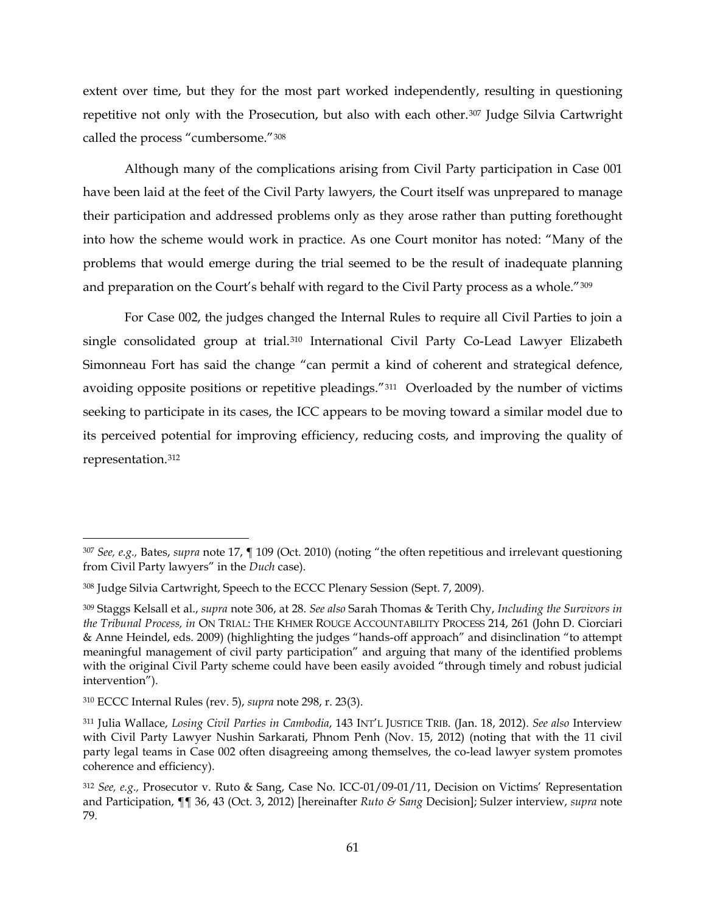extent over time, but they for the most part worked independently, resulting in questioning repetitive not only with the Prosecution, but also with each other.<sup>[307](#page-60-0)</sup> Judge Silvia Cartwright called the process "cumbersome."[308](#page-60-1)

Although many of the complications arising from Civil Party participation in Case 001 have been laid at the feet of the Civil Party lawyers, the Court itself was unprepared to manage their participation and addressed problems only as they arose rather than putting forethought into how the scheme would work in practice. As one Court monitor has noted: "Many of the problems that would emerge during the trial seemed to be the result of inadequate planning and preparation on the Court's behalf with regard to the Civil Party process as a whole."[309](#page-60-2)

<span id="page-60-7"></span>For Case 002, the judges changed the Internal Rules to require all Civil Parties to join a single consolidated group at trial.<sup>[310](#page-60-3)</sup> International Civil Party Co-Lead Lawyer Elizabeth Simonneau Fort has said the change "can permit a kind of coherent and strategical defence, avoiding opposite positions or repetitive pleadings."[311](#page-60-4) Overloaded by the number of victims seeking to participate in its cases, the ICC appears to be moving toward a similar model due to its perceived potential for improving efficiency, reducing costs, and improving the quality of representation.[312](#page-60-5)

<span id="page-60-6"></span><span id="page-60-0"></span> <sup>307</sup> *See, e.g.,* Bates, *supra* note [17,](#page-6-0) ¶ 109 (Oct. 2010) (noting "the often repetitious and irrelevant questioning from Civil Party lawyers" in the *Duch* case).

<span id="page-60-1"></span><sup>308</sup> Judge Silvia Cartwright, Speech to the ECCC Plenary Session (Sept. 7, 2009).

<span id="page-60-2"></span><sup>309</sup> Staggs Kelsall et al., *supra* note [306,](#page-59-4) at 28. *See also* Sarah Thomas & Terith Chy, *Including the Survivors in the Tribunal Process, in* ON TRIAL: THE KHMER ROUGE ACCOUNTABILITY PROCESS 214, 261 (John D. Ciorciari & Anne Heindel, eds. 2009) (highlighting the judges "hands-off approach" and disinclination "to attempt meaningful management of civil party participation" and arguing that many of the identified problems with the original Civil Party scheme could have been easily avoided "through timely and robust judicial intervention").

<span id="page-60-3"></span><sup>310</sup> ECCC Internal Rules (rev. 5), *supra* note [298,](#page-57-6) r. 23(3).

<span id="page-60-4"></span><sup>311</sup> Julia Wallace, *Losing Civil Parties in Cambodia*, 143 INT'L JUSTICE TRIB. (Jan. 18, 2012). *See also* Interview with Civil Party Lawyer Nushin Sarkarati, Phnom Penh (Nov. 15, 2012) (noting that with the 11 civil party legal teams in Case 002 often disagreeing among themselves, the co-lead lawyer system promotes coherence and efficiency).

<span id="page-60-5"></span><sup>312</sup> *See, e.g.,* Prosecutor v. Ruto & Sang, Case No. ICC-01/09-01/11, Decision on Victims' Representation and Participation, ¶¶ 36, 43 (Oct. 3, 2012) [hereinafter *Ruto & Sang* Decision]; Sulzer interview, *supra* note [79.](#page-20-0)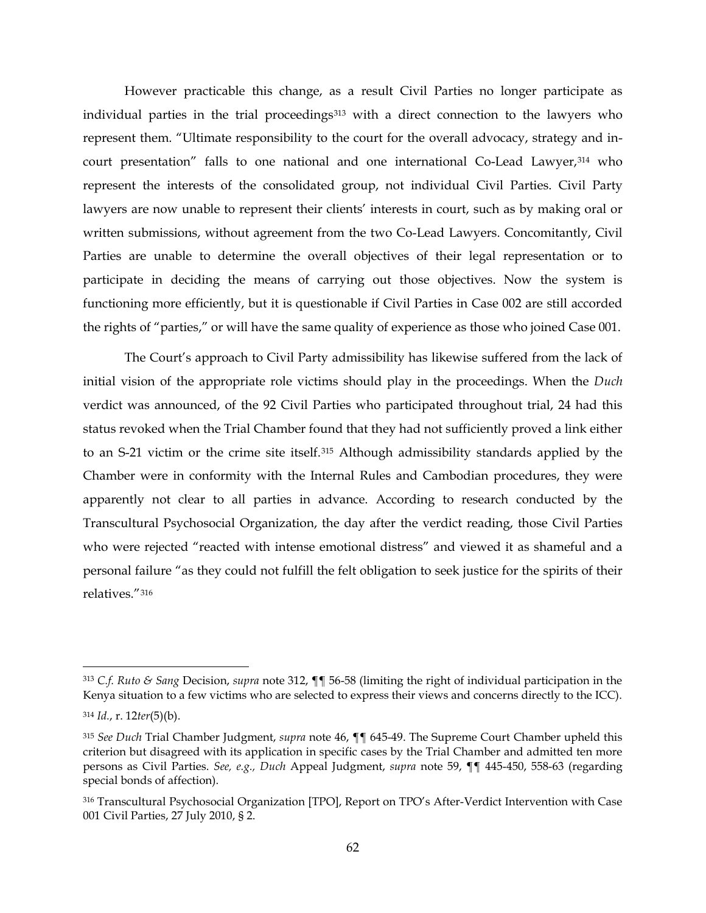However practicable this change, as a result Civil Parties no longer participate as individual parties in the trial proceedings<sup>[313](#page-61-0)</sup> with a direct connection to the lawyers who represent them. "Ultimate responsibility to the court for the overall advocacy, strategy and in-court presentation" falls to one national and one international Co-Lead Lawyer,<sup>[314](#page-61-1)</sup> who represent the interests of the consolidated group, not individual Civil Parties. Civil Party lawyers are now unable to represent their clients' interests in court, such as by making oral or written submissions, without agreement from the two Co-Lead Lawyers. Concomitantly, Civil Parties are unable to determine the overall objectives of their legal representation or to participate in deciding the means of carrying out those objectives. Now the system is functioning more efficiently, but it is questionable if Civil Parties in Case 002 are still accorded the rights of "parties," or will have the same quality of experience as those who joined Case 001.

The Court's approach to Civil Party admissibility has likewise suffered from the lack of initial vision of the appropriate role victims should play in the proceedings. When the *Duch* verdict was announced, of the 92 Civil Parties who participated throughout trial, 24 had this status revoked when the Trial Chamber found that they had not sufficiently proved a link either to an S-21 victim or the crime site itself.[315](#page-61-2) Although admissibility standards applied by the Chamber were in conformity with the Internal Rules and Cambodian procedures, they were apparently not clear to all parties in advance. According to research conducted by the Transcultural Psychosocial Organization, the day after the verdict reading, those Civil Parties who were rejected "reacted with intense emotional distress" and viewed it as shameful and a personal failure "as they could not fulfill the felt obligation to seek justice for the spirits of their relatives."[316](#page-61-3)

<span id="page-61-0"></span> <sup>313</sup> *C.f. Ruto & Sang* Decision, *supra* note [312,](#page-60-6) ¶¶ 56-58 (limiting the right of individual participation in the Kenya situation to a few victims who are selected to express their views and concerns directly to the ICC).

<span id="page-61-1"></span><sup>314</sup> *Id.*, r. 12*ter*(5)(b).

<span id="page-61-2"></span><sup>315</sup> *See Duch* Trial Chamber Judgment, *supra* note [46,](#page-13-0) ¶¶ 645-49. The Supreme Court Chamber upheld this criterion but disagreed with its application in specific cases by the Trial Chamber and admitted ten more persons as Civil Parties. *See, e.g., Duch* Appeal Judgment, *supra* note [59,](#page-15-0) ¶¶ 445-450, 558-63 (regarding special bonds of affection).

<span id="page-61-3"></span><sup>316</sup> Transcultural Psychosocial Organization [TPO], Report on TPO's After-Verdict Intervention with Case 001 Civil Parties, 27 July 2010, § 2.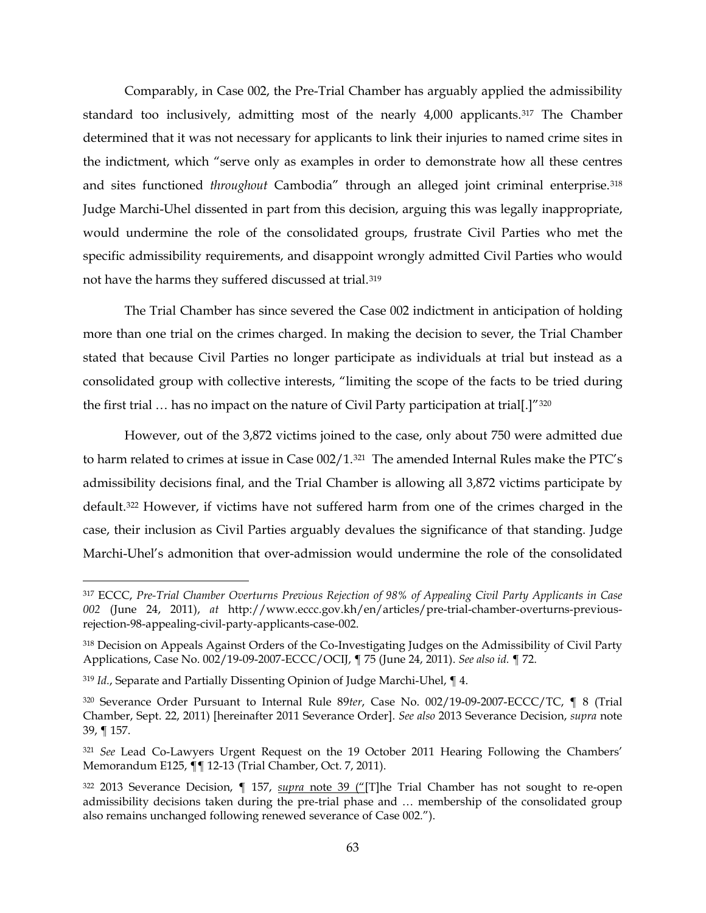Comparably, in Case 002, the Pre-Trial Chamber has arguably applied the admissibility standard too inclusively, admitting most of the nearly 4,000 applicants.<sup>[317](#page-62-0)</sup> The Chamber determined that it was not necessary for applicants to link their injuries to named crime sites in the indictment, which "serve only as examples in order to demonstrate how all these centres and sites functioned *throughout* Cambodia" through an alleged joint criminal enterprise.[318](#page-62-1) Judge Marchi-Uhel dissented in part from this decision, arguing this was legally inappropriate, would undermine the role of the consolidated groups, frustrate Civil Parties who met the specific admissibility requirements, and disappoint wrongly admitted Civil Parties who would not have the harms they suffered discussed at trial.[319](#page-62-2)

The Trial Chamber has since severed the Case 002 indictment in anticipation of holding more than one trial on the crimes charged. In making the decision to sever, the Trial Chamber stated that because Civil Parties no longer participate as individuals at trial but instead as a consolidated group with collective interests, "limiting the scope of the facts to be tried during the first trial ... has no impact on the nature of Civil Party participation at trial[.]"[320](#page-62-3)

However, out of the 3,872 victims joined to the case, only about 750 were admitted due to harm related to crimes at issue in Case 002/1.[321](#page-62-4) The amended Internal Rules make the PTC's admissibility decisions final, and the Trial Chamber is allowing all 3,872 victims participate by default.[322](#page-62-5) However, if victims have not suffered harm from one of the crimes charged in the case, their inclusion as Civil Parties arguably devalues the significance of that standing. Judge Marchi-Uhel's admonition that over-admission would undermine the role of the consolidated

<span id="page-62-0"></span> <sup>317</sup> ECCC, *Pre-Trial Chamber Overturns Previous Rejection of 98% of Appealing Civil Party Applicants in Case 002* (June 24, 2011), *at* http://www.eccc.gov.kh/en/articles/pre-trial-chamber-overturns-previousrejection-98-appealing-civil-party-applicants-case-002.

<span id="page-62-1"></span><sup>318</sup> Decision on Appeals Against Orders of the Co-Investigating Judges on the Admissibility of Civil Party Applications, Case No. 002/19-09-2007-ECCC/OCIJ, ¶ 75 (June 24, 2011). *See also id.* ¶ 72.

<span id="page-62-2"></span><sup>319</sup> *Id.*, Separate and Partially Dissenting Opinion of Judge Marchi-Uhel, ¶ 4.

<span id="page-62-3"></span><sup>320</sup> Severance Order Pursuant to Internal Rule 89*ter*, Case No. 002/19-09-2007-ECCC/TC, ¶ 8 (Trial Chamber, Sept. 22, 2011) [hereinafter 2011 Severance Order]. *See also* 2013 Severance Decision, *supra* note [39,](#page-10-1) ¶ 157.

<span id="page-62-4"></span><sup>321</sup> *See* Lead Co-Lawyers Urgent Request on the 19 October 2011 Hearing Following the Chambers' Memorandum E125, ¶¶ 12-13 (Trial Chamber, Oct. 7, 2011).

<span id="page-62-5"></span><sup>322</sup> 2013 Severance Decision, ¶ 157, *supra* note [39](#page-10-1) ("[T]he Trial Chamber has not sought to re-open admissibility decisions taken during the pre-trial phase and … membership of the consolidated group also remains unchanged following renewed severance of Case 002.").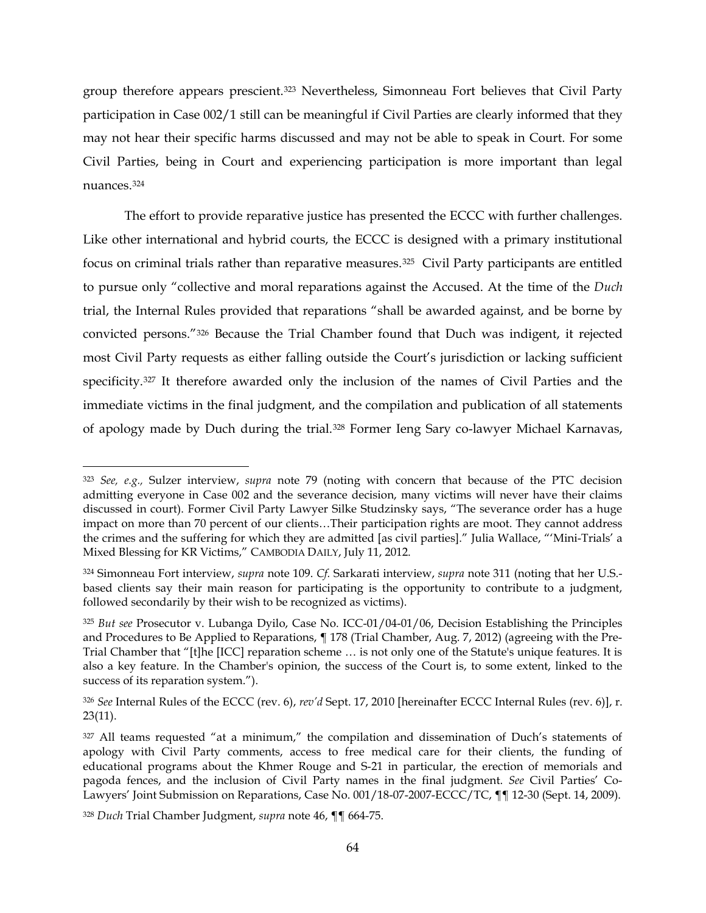group therefore appears prescient.[323](#page-63-0) Nevertheless, Simonneau Fort believes that Civil Party participation in Case 002/1 still can be meaningful if Civil Parties are clearly informed that they may not hear their specific harms discussed and may not be able to speak in Court. For some Civil Parties, being in Court and experiencing participation is more important than legal nuances.[324](#page-63-1)

<span id="page-63-6"></span>The effort to provide reparative justice has presented the ECCC with further challenges. Like other international and hybrid courts, the ECCC is designed with a primary institutional focus on criminal trials rather than reparative measures.<sup>325</sup> Civil Party participants are entitled to pursue only "collective and moral reparations against the Accused. At the time of the *Duch*  trial, the Internal Rules provided that reparations "shall be awarded against, and be borne by convicted persons."[326](#page-63-3) Because the Trial Chamber found that Duch was indigent, it rejected most Civil Party requests as either falling outside the Court's jurisdiction or lacking sufficient specificity.<sup>[327](#page-63-4)</sup> It therefore awarded only the inclusion of the names of Civil Parties and the immediate victims in the final judgment, and the compilation and publication of all statements of apology made by Duch during the trial.[328](#page-63-5) Former Ieng Sary co-lawyer Michael Karnavas,

<span id="page-63-0"></span> <sup>323</sup> *See, e.g.,* Sulzer interview, *supra* note [79](#page-20-0) (noting with concern that because of the PTC decision admitting everyone in Case 002 and the severance decision, many victims will never have their claims discussed in court). Former Civil Party Lawyer Silke Studzinsky says, "The severance order has a huge impact on more than 70 percent of our clients…Their participation rights are moot. They cannot address the crimes and the suffering for which they are admitted [as civil parties]." Julia Wallace, "'Mini-Trials' a Mixed Blessing for KR Victims," CAMBODIA DAILY, July 11, 2012.

<span id="page-63-1"></span><sup>324</sup> Simonneau Fort interview, *supra* note [109.](#page-25-0) *Cf.* Sarkarati interview, *supra* note [311](#page-60-7) (noting that her U.S. based clients say their main reason for participating is the opportunity to contribute to a judgment, followed secondarily by their wish to be recognized as victims).

<span id="page-63-2"></span><sup>325</sup> *But see* Prosecutor v. Lubanga Dyilo, Case No. ICC-01/04-01/06, Decision Establishing the Principles and Procedures to Be Applied to Reparations, ¶ 178 (Trial Chamber, Aug. 7, 2012) (agreeing with the Pre-Trial Chamber that "[t]he [ICC] reparation scheme … is not only one of the Statute's unique features. It is also a key feature. In the Chamber's opinion, the success of the Court is, to some extent, linked to the success of its reparation system.").

<span id="page-63-3"></span><sup>326</sup> *See* Internal Rules of the ECCC (rev. 6), *rev'd* Sept. 17, 2010 [hereinafter ECCC Internal Rules (rev. 6)], r. 23(11).

<span id="page-63-4"></span><sup>327</sup> All teams requested "at a minimum," the compilation and dissemination of Duch's statements of apology with Civil Party comments, access to free medical care for their clients, the funding of educational programs about the Khmer Rouge and S-21 in particular, the erection of memorials and pagoda fences, and the inclusion of Civil Party names in the final judgment. *See* Civil Parties' Co-Lawyers' Joint Submission on Reparations, Case No. 001/18-07-2007-ECCC/TC, ¶¶ 12-30 (Sept. 14, 2009).

<span id="page-63-5"></span><sup>328</sup> *Duch* Trial Chamber Judgment, *supra* note [46,](#page-13-0) ¶¶ 664-75.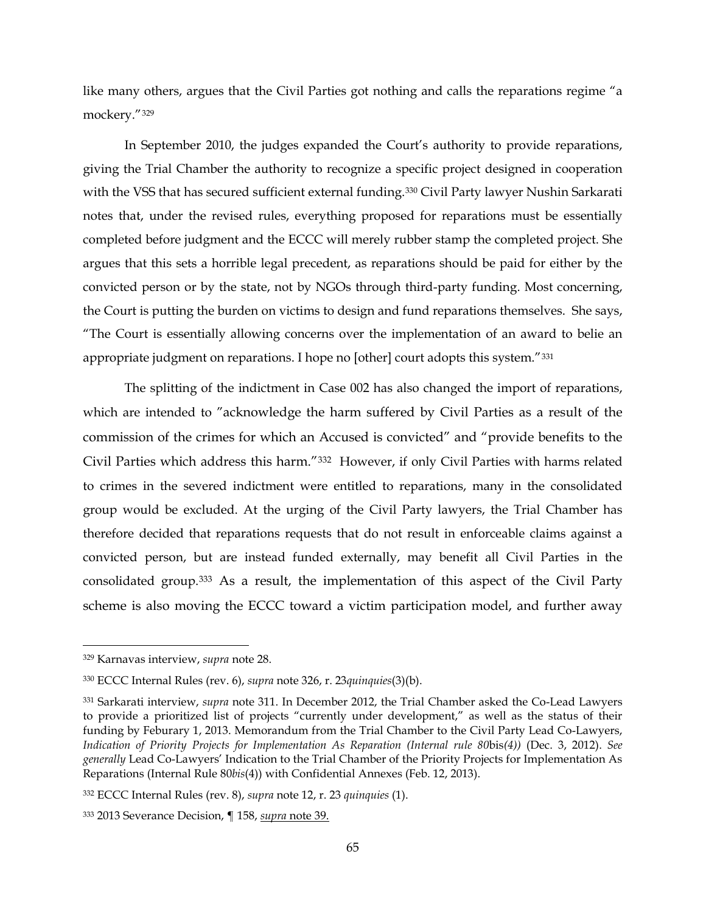like many others, argues that the Civil Parties got nothing and calls the reparations regime "a mockery."[329](#page-64-0)

In September 2010, the judges expanded the Court's authority to provide reparations, giving the Trial Chamber the authority to recognize a specific project designed in cooperation with the VSS that has secured sufficient external funding.[330](#page-64-1) Civil Party lawyer Nushin Sarkarati notes that, under the revised rules, everything proposed for reparations must be essentially completed before judgment and the ECCC will merely rubber stamp the completed project. She argues that this sets a horrible legal precedent, as reparations should be paid for either by the convicted person or by the state, not by NGOs through third-party funding. Most concerning, the Court is putting the burden on victims to design and fund reparations themselves. She says, "The Court is essentially allowing concerns over the implementation of an award to belie an appropriate judgment on reparations. I hope no [other] court adopts this system."[331](#page-64-2)

The splitting of the indictment in Case 002 has also changed the import of reparations, which are intended to "acknowledge the harm suffered by Civil Parties as a result of the commission of the crimes for which an Accused is convicted" and "provide benefits to the Civil Parties which address this harm."[332](#page-64-3) However, if only Civil Parties with harms related to crimes in the severed indictment were entitled to reparations, many in the consolidated group would be excluded. At the urging of the Civil Party lawyers, the Trial Chamber has therefore decided that reparations requests that do not result in enforceable claims against a convicted person, but are instead funded externally, may benefit all Civil Parties in the consolidated group.[333](#page-64-4) As a result, the implementation of this aspect of the Civil Party scheme is also moving the ECCC toward a victim participation model, and further away

<span id="page-64-0"></span> <sup>329</sup> Karnavas interview, *supra* note [28.](#page-8-0)

<span id="page-64-1"></span><sup>330</sup> ECCC Internal Rules (rev. 6), *supra* note [326,](#page-63-6) r. 23*quinquies*(3)(b).

<span id="page-64-2"></span><sup>331</sup> Sarkarati interview, *supra* note [311.](#page-60-7) In December 2012, the Trial Chamber asked the Co-Lead Lawyers to provide a prioritized list of projects "currently under development," as well as the status of their funding by Feburary 1, 2013. Memorandum from the Trial Chamber to the Civil Party Lead Co-Lawyers, *Indication of Priority Projects for Implementation As Reparation (Internal rule 80*bis*(4))* (Dec. 3, 2012). *See generally* Lead Co-Lawyers' Indication to the Trial Chamber of the Priority Projects for Implementation As Reparations (Internal Rule 80*bis*(4)) with Confidential Annexes (Feb. 12, 2013).

<span id="page-64-3"></span><sup>332</sup> ECCC Internal Rules (rev. 8), *supra* note [12,](#page-4-0) r. 23 *quinquies* (1).

<span id="page-64-4"></span><sup>333</sup> 2013 Severance Decision, ¶ 158, *supra* note [39.](#page-10-1)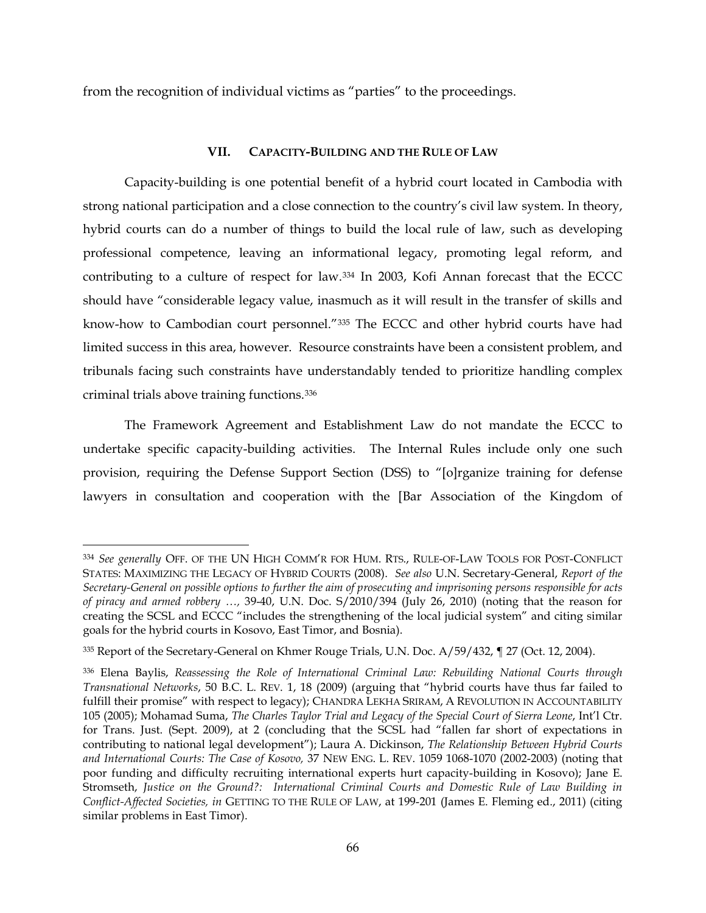from the recognition of individual victims as "parties" to the proceedings.

# **VII. CAPACITY-BUILDING AND THE RULE OF LAW**

Capacity-building is one potential benefit of a hybrid court located in Cambodia with strong national participation and a close connection to the country's civil law system. In theory, hybrid courts can do a number of things to build the local rule of law, such as developing professional competence, leaving an informational legacy, promoting legal reform, and contributing to a culture of respect for law.[334](#page-65-0) In 2003, Kofi Annan forecast that the ECCC should have "considerable legacy value, inasmuch as it will result in the transfer of skills and know-how to Cambodian court personnel."[335](#page-65-1) The ECCC and other hybrid courts have had limited success in this area, however. Resource constraints have been a consistent problem, and tribunals facing such constraints have understandably tended to prioritize handling complex criminal trials above training functions[.336](#page-65-2) 

The Framework Agreement and Establishment Law do not mandate the ECCC to undertake specific capacity-building activities. The Internal Rules include only one such provision, requiring the Defense Support Section (DSS) to "[o]rganize training for defense lawyers in consultation and cooperation with the [Bar Association of the Kingdom of

<span id="page-65-0"></span> <sup>334</sup> *See generally* OFF. OF THE UN HIGH COMM'R FOR HUM. RTS., RULE-OF-LAW TOOLS FOR POST-CONFLICT STATES: MAXIMIZING THE LEGACY OF HYBRID COURTS (2008). *See also* U.N. Secretary-General, *Report of the Secretary-General on possible options to further the aim of prosecuting and imprisoning persons responsible for acts of piracy and armed robbery …,* 39-40, U.N. Doc. S/2010/394 (July 26, 2010) (noting that the reason for creating the SCSL and ECCC "includes the strengthening of the local judicial system" and citing similar goals for the hybrid courts in Kosovo, East Timor, and Bosnia).

<span id="page-65-1"></span><sup>335</sup> Report of the Secretary-General on Khmer Rouge Trials, U.N. Doc. A/59/432, ¶ 27 (Oct. 12, 2004).

<span id="page-65-2"></span><sup>336</sup> Elena Baylis, *Reassessing the Role of International Criminal Law: Rebuilding National Courts through Transnational Networks*, 50 B.C. L. REV. 1, 18 (2009) (arguing that "hybrid courts have thus far failed to fulfill their promise" with respect to legacy); CHANDRA LEKHA SRIRAM, A REVOLUTION IN ACCOUNTABILITY 105 (2005); Mohamad Suma, *The Charles Taylor Trial and Legacy of the Special Court of Sierra Leone*, Int'l Ctr. for Trans. Just. (Sept. 2009), at 2 (concluding that the SCSL had "fallen far short of expectations in contributing to national legal development"); Laura A. Dickinson, *The Relationship Between Hybrid Courts and International Courts: The Case of Kosovo,* 37 NEW ENG. L. REV. 1059 1068-1070 (2002-2003) (noting that poor funding and difficulty recruiting international experts hurt capacity-building in Kosovo); Jane E. Stromseth, *Justice on the Ground?: International Criminal Courts and Domestic Rule of Law Building in Conflict-Affected Societies, in* GETTING TO THE RULE OF LAW, at 199-201 (James E. Fleming ed., 2011) (citing similar problems in East Timor).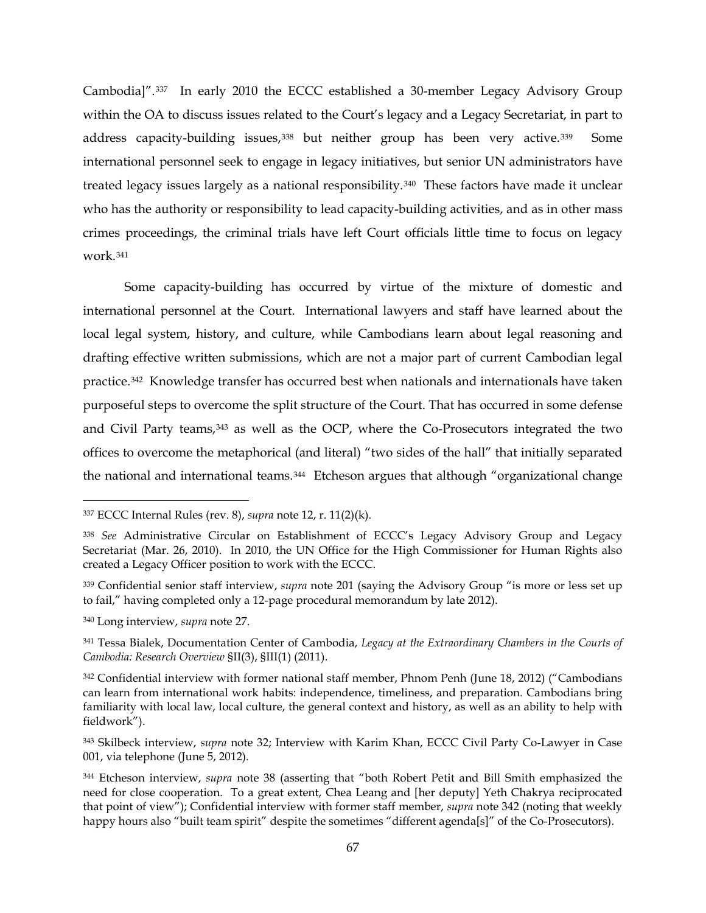Cambodia]".[337](#page-66-1) In early 2010 the ECCC established a 30-member Legacy Advisory Group within the OA to discuss issues related to the Court's legacy and a Legacy Secretariat, in part to address capacity-building issues,<sup>[338](#page-66-2)</sup> but neither group has been very active.<sup>339</sup> Some international personnel seek to engage in legacy initiatives, but senior UN administrators have treated legacy issues largely as a national responsibility.[340](#page-66-4) These factors have made it unclear who has the authority or responsibility to lead capacity-building activities, and as in other mass crimes proceedings, the criminal trials have left Court officials little time to focus on legacy work.[341](#page-66-5)

<span id="page-66-9"></span><span id="page-66-0"></span>Some capacity-building has occurred by virtue of the mixture of domestic and international personnel at the Court. International lawyers and staff have learned about the local legal system, history, and culture, while Cambodians learn about legal reasoning and drafting effective written submissions, which are not a major part of current Cambodian legal practice.[342](#page-66-6) Knowledge transfer has occurred best when nationals and internationals have taken purposeful steps to overcome the split structure of the Court. That has occurred in some defense and Civil Party teams, [343](#page-66-7) as well as the OCP, where the Co-Prosecutors integrated the two offices to overcome the metaphorical (and literal) "two sides of the hall" that initially separated the national and international teams.<sup>[344](#page-66-8)</sup> Etcheson argues that although "organizational change

<span id="page-66-1"></span> <sup>337</sup> ECCC Internal Rules (rev. 8), *supra* note [12,](#page-4-0) r. 11(2)(k).

<span id="page-66-2"></span><sup>338</sup> *See* Administrative Circular on Establishment of ECCC's Legacy Advisory Group and Legacy Secretariat (Mar. 26, 2010). In 2010, the UN Office for the High Commissioner for Human Rights also created a Legacy Officer position to work with the ECCC.

<span id="page-66-3"></span><sup>339</sup> Confidential senior staff interview, *supra* note [201](#page-41-6) (saying the Advisory Group "is more or less set up to fail," having completed only a 12-page procedural memorandum by late 2012).

<span id="page-66-4"></span><sup>340</sup> Long interview, *supra* note [27.](#page-8-1)

<span id="page-66-5"></span><sup>341</sup> Tessa Bialek, Documentation Center of Cambodia, *Legacy at the Extraordinary Chambers in the Courts of Cambodia: Research Overview* §II(3), §III(1) (2011).

<span id="page-66-6"></span><sup>&</sup>lt;sup>342</sup> Confidential interview with former national staff member, Phnom Penh (June 18, 2012) ("Cambodians can learn from international work habits: independence, timeliness, and preparation. Cambodians bring familiarity with local law, local culture, the general context and history, as well as an ability to help with fieldwork").

<span id="page-66-7"></span><sup>343</sup> Skilbeck interview, *supra* note [32;](#page-9-1) Interview with Karim Khan, ECCC Civil Party Co-Lawyer in Case 001, via telephone (June 5, 2012).

<span id="page-66-8"></span><sup>344</sup> Etcheson interview, *supra* note [38](#page-10-0) (asserting that "both Robert Petit and Bill Smith emphasized the need for close cooperation. To a great extent, Chea Leang and [her deputy] Yeth Chakrya reciprocated that point of view"); Confidential interview with former staff member, *supra* note [342](#page-66-0) (noting that weekly happy hours also "built team spirit" despite the sometimes "different agenda[s]" of the Co-Prosecutors).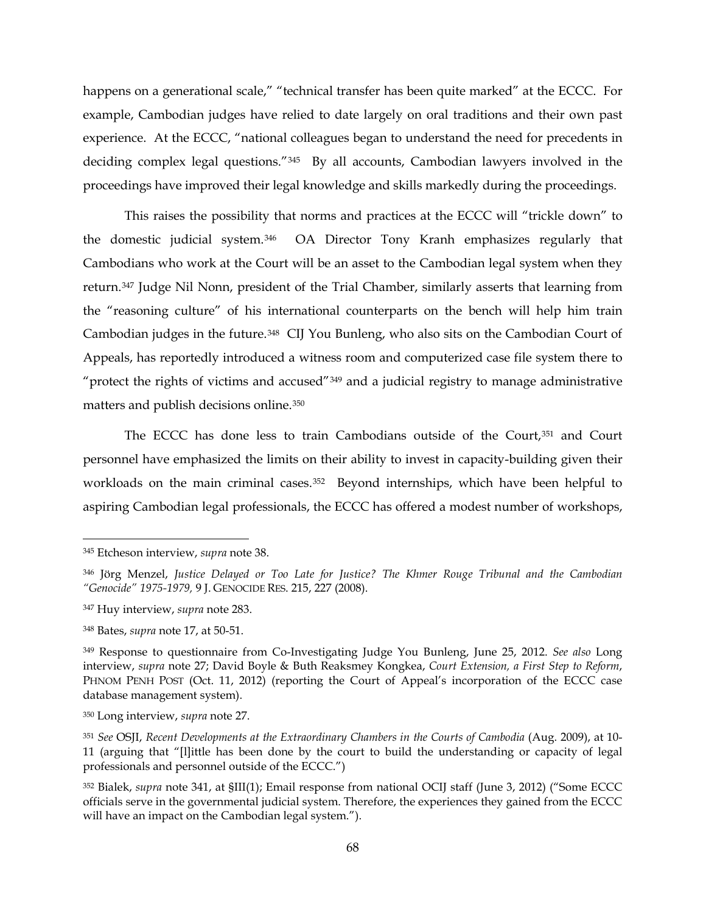happens on a generational scale," "technical transfer has been quite marked" at the ECCC. For example, Cambodian judges have relied to date largely on oral traditions and their own past experience. At the ECCC, "national colleagues began to understand the need for precedents in deciding complex legal questions."[345](#page-67-0) By all accounts, Cambodian lawyers involved in the proceedings have improved their legal knowledge and skills markedly during the proceedings.

This raises the possibility that norms and practices at the ECCC will "trickle down" to the domestic judicial system.[346](#page-67-1) OA Director Tony Kranh emphasizes regularly that Cambodians who work at the Court will be an asset to the Cambodian legal system when they return.[347](#page-67-2) Judge Nil Nonn, president of the Trial Chamber, similarly asserts that learning from the "reasoning culture" of his international counterparts on the bench will help him train Cambodian judges in the future.[348](#page-67-3) CIJ You Bunleng, who also sits on the Cambodian Court of Appeals, has reportedly introduced a witness room and computerized case file system there to "protect the rights of victims and accused"<sup>[349](#page-67-4)</sup> and a judicial registry to manage administrative matters and publish decisions online.[350](#page-67-5)

The ECCC has done less to train Cambodians outside of the Court, [351](#page-67-6) and Court personnel have emphasized the limits on their ability to invest in capacity-building given their workloads on the main criminal cases.<sup>352</sup> Beyond internships, which have been helpful to aspiring Cambodian legal professionals, the ECCC has offered a modest number of workshops,

<span id="page-67-0"></span> <sup>345</sup> Etcheson interview, *supra* note [38.](#page-10-0)

<span id="page-67-1"></span><sup>346</sup> Jörg Menzel, *Justice Delayed or Too Late for Justice? The Khmer Rouge Tribunal and the Cambodian "Genocide" 1975-1979,* 9 J. GENOCIDE RES. 215, 227 (2008).

<span id="page-67-2"></span><sup>347</sup> Huy interview, *supra* note [283.](#page-55-0)

<span id="page-67-3"></span><sup>348</sup> Bates, *supra* note [17,](#page-6-0) at 50-51.

<span id="page-67-4"></span><sup>349</sup> Response to questionnaire from Co-Investigating Judge You Bunleng, June 25, 2012. *See also* Long interview, *supra* note [27;](#page-8-1) David Boyle & Buth Reaksmey Kongkea, *Court Extension, a First Step to Reform*, PHNOM PENH POST (Oct. 11, 2012) (reporting the Court of Appeal's incorporation of the ECCC case database management system).

<span id="page-67-5"></span><sup>350</sup> Long interview, *supra* note [27.](#page-8-1)

<span id="page-67-6"></span><sup>351</sup> *See* OSJI, *Recent Developments at the Extraordinary Chambers in the Courts of Cambodia* (Aug. 2009), at 10- 11 (arguing that "[l]ittle has been done by the court to build the understanding or capacity of legal professionals and personnel outside of the ECCC.")

<span id="page-67-7"></span><sup>352</sup> Bialek, *supra* note [341,](#page-66-9) at §III(1); Email response from national OCIJ staff (June 3, 2012) ("Some ECCC officials serve in the governmental judicial system. Therefore, the experiences they gained from the ECCC will have an impact on the Cambodian legal system.").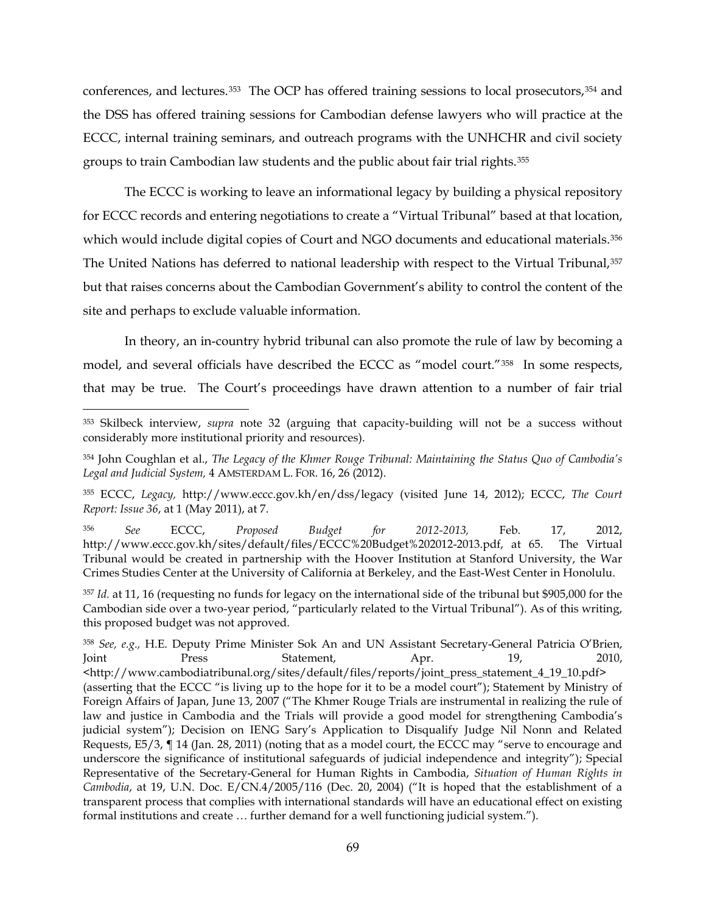<span id="page-68-6"></span>conferences, and lectures.[353](#page-68-0) The OCP has offered training sessions to local prosecutors,[354](#page-68-1) and the DSS has offered training sessions for Cambodian defense lawyers who will practice at the ECCC, internal training seminars, and outreach programs with the UNHCHR and civil society groups to train Cambodian law students and the public about fair trial rights.[355](#page-68-2)

The ECCC is working to leave an informational legacy by building a physical repository for ECCC records and entering negotiations to create a "Virtual Tribunal" based at that location, which would include digital copies of Court and NGO documents and educational materials.<sup>[356](#page-68-3)</sup> The United Nations has deferred to national leadership with respect to the Virtual Tribunal,[357](#page-68-4) but that raises concerns about the Cambodian Government's ability to control the content of the site and perhaps to exclude valuable information.

In theory, an in-country hybrid tribunal can also promote the rule of law by becoming a model, and several officials have described the ECCC as "model court."[358](#page-68-5) In some respects, that may be true. The Court's proceedings have drawn attention to a number of fair trial

<span id="page-68-0"></span> <sup>353</sup> Skilbeck interview, *supra* note [32](#page-9-1) (arguing that capacity-building will not be a success without considerably more institutional priority and resources).

<span id="page-68-1"></span><sup>354</sup> John Coughlan et al., *The Legacy of the Khmer Rouge Tribunal: Maintaining the Status Quo of Cambodia's Legal and Judicial System,* 4 AMSTERDAM L. FOR. 16, 26 (2012).

<span id="page-68-2"></span><sup>355</sup> ECCC, *Legacy,* http://www.eccc.gov.kh/en/dss/legacy (visited June 14, 2012); ECCC, *The Court Report: Issue 36*, at 1 (May 2011), at 7.

<span id="page-68-3"></span><sup>356</sup> *See* ECCC, *Proposed Budget for 2012-2013,* Feb. 17, 2012, http://www.eccc.gov.kh/sites/default/files/ECCC%20Budget%202012-2013.pdf, at 65. The Virtual Tribunal would be created in partnership with the Hoover Institution at Stanford University, the War Crimes Studies Center at the University of California at Berkeley, and the East-West Center in Honolulu.

<span id="page-68-4"></span><sup>357</sup> *Id.* at 11, 16 (requesting no funds for legacy on the international side of the tribunal but \$905,000 for the Cambodian side over a two-year period, "particularly related to the Virtual Tribunal"). As of this writing, this proposed budget was not approved.

<span id="page-68-5"></span><sup>358</sup> *See, e.g.,* H.E. Deputy Prime Minister Sok An and UN Assistant Secretary-General Patricia O'Brien, Joint Press Statement, Apr. 19, 2010, <http://www.cambodiatribunal.org/sites/default/files/reports/joint\_press\_statement\_4\_19\_10.pdf> (asserting that the ECCC "is living up to the hope for it to be a model court"); Statement by Ministry of Foreign Affairs of Japan, June 13, 2007 ("The Khmer Rouge Trials are instrumental in realizing the rule of law and justice in Cambodia and the Trials will provide a good model for strengthening Cambodia's judicial system"); Decision on IENG Sary's Application to Disqualify Judge Nil Nonn and Related Requests, E5/3, ¶ 14 (Jan. 28, 2011) (noting that as a model court, the ECCC may "serve to encourage and underscore the significance of institutional safeguards of judicial independence and integrity"); Special Representative of the Secretary-General for Human Rights in Cambodia, *Situation of Human Rights in Cambodia*, at 19, U.N. Doc. E/CN.4/2005/116 (Dec. 20, 2004) ("It is hoped that the establishment of a transparent process that complies with international standards will have an educational effect on existing formal institutions and create … further demand for a well functioning judicial system.").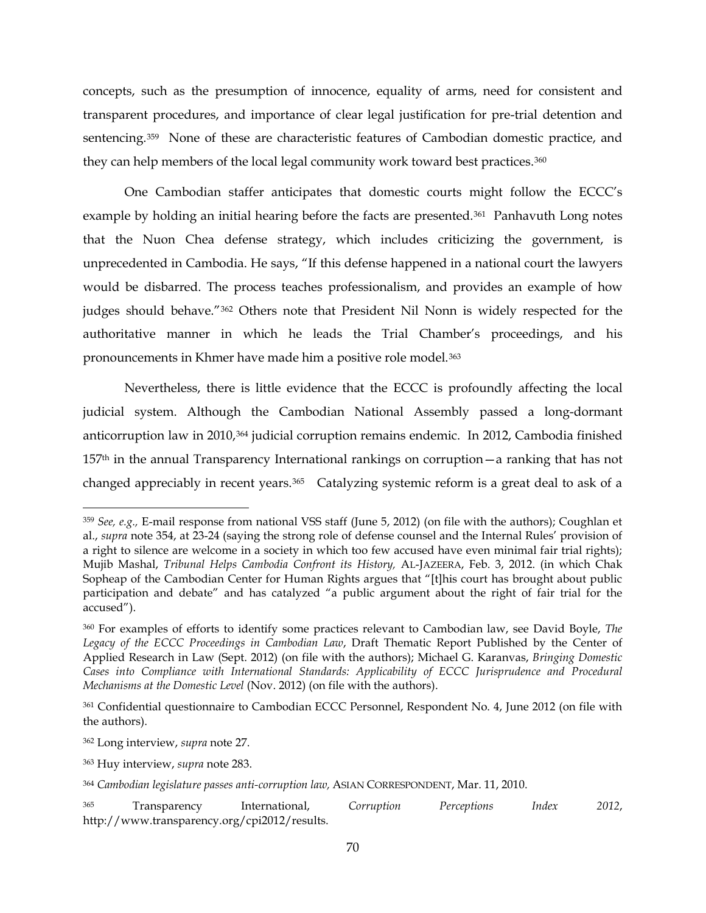concepts, such as the presumption of innocence, equality of arms, need for consistent and transparent procedures, and importance of clear legal justification for pre-trial detention and sentencing[.359](#page-69-0) None of these are characteristic features of Cambodian domestic practice, and they can help members of the local legal community work toward best practices.[360](#page-69-1)

One Cambodian staffer anticipates that domestic courts might follow the ECCC's example by holding an initial hearing before the facts are presented.<sup>[361](#page-69-2)</sup> Panhavuth Long notes that the Nuon Chea defense strategy, which includes criticizing the government, is unprecedented in Cambodia. He says, "If this defense happened in a national court the lawyers would be disbarred. The process teaches professionalism, and provides an example of how judges should behave."[362](#page-69-3) Others note that President Nil Nonn is widely respected for the authoritative manner in which he leads the Trial Chamber's proceedings, and his pronouncements in Khmer have made him a positive role model.[363](#page-69-4) 

Nevertheless, there is little evidence that the ECCC is profoundly affecting the local judicial system. Although the Cambodian National Assembly passed a long-dormant anticorruption law in 2010,[364](#page-69-5) judicial corruption remains endemic. In 2012, Cambodia finished  $157<sup>th</sup>$  in the annual Transparency International rankings on corruption — a ranking that has not changed appreciably in recent years.<sup>[365](#page-69-6)</sup> Catalyzing systemic reform is a great deal to ask of a

<span id="page-69-0"></span> <sup>359</sup> *See, e.g.,* E-mail response from national VSS staff (June 5, 2012) (on file with the authors); Coughlan et al., *supra* note [354,](#page-68-6) at 23-24 (saying the strong role of defense counsel and the Internal Rules' provision of a right to silence are welcome in a society in which too few accused have even minimal fair trial rights); Mujib Mashal, *Tribunal Helps Cambodia Confront its History,* AL-JAZEERA, Feb. 3, 2012. (in which Chak Sopheap of the Cambodian Center for Human Rights argues that "[t]his court has brought about public participation and debate" and has catalyzed "a public argument about the right of fair trial for the accused").

<span id="page-69-1"></span><sup>360</sup> For examples of efforts to identify some practices relevant to Cambodian law, see David Boyle, *The Legacy of the ECCC Proceedings in Cambodian Law*, Draft Thematic Report Published by the Center of Applied Research in Law (Sept. 2012) (on file with the authors); Michael G. Karanvas, *Bringing Domestic Cases into Compliance with International Standards: Applicability of ECCC Jurisprudence and Procedural Mechanisms at the Domestic Level* (Nov. 2012) (on file with the authors).

<span id="page-69-2"></span><sup>361</sup> Confidential questionnaire to Cambodian ECCC Personnel, Respondent No. 4, June 2012 (on file with the authors).

<span id="page-69-3"></span><sup>362</sup> Long interview, *supra* note [27.](#page-8-1)

<span id="page-69-4"></span><sup>363</sup> Huy interview, *supra* note [283.](#page-55-0)

<span id="page-69-5"></span><sup>364</sup> *Cambodian legislature passes anti-corruption law,* ASIAN CORRESPONDENT, Mar. 11, 2010.

<span id="page-69-6"></span><sup>365</sup> Transparency International, *Corruption Perceptions Index 2012*, http://www.transparency.org/cpi2012/results.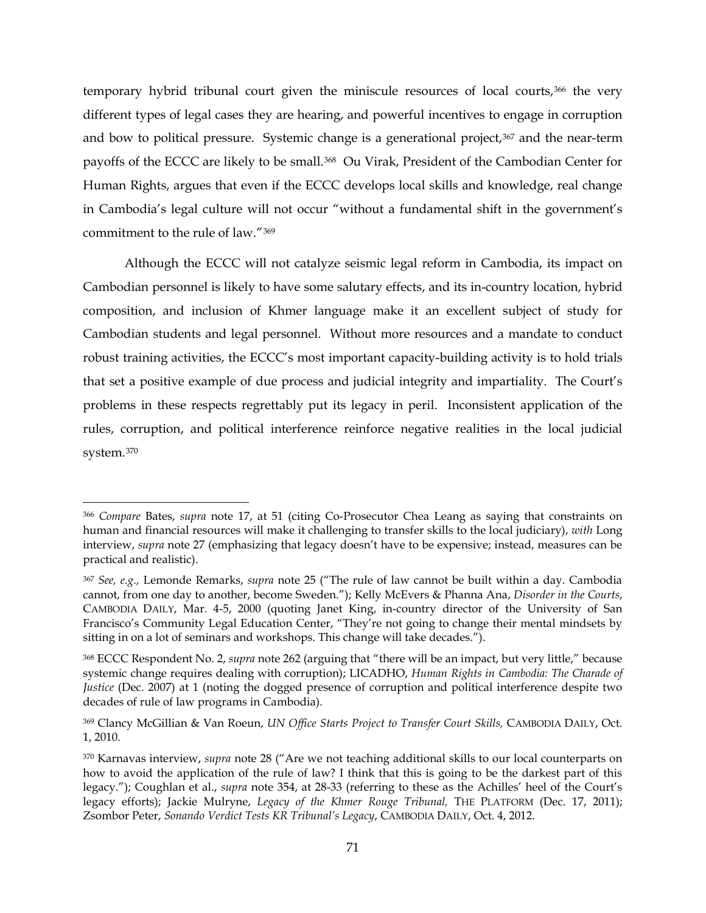temporary hybrid tribunal court given the miniscule resources of local courts,<sup>[366](#page-70-0)</sup> the very different types of legal cases they are hearing, and powerful incentives to engage in corruption and bow to political pressure. Systemic change is a generational project,<sup>[367](#page-70-1)</sup> and the near-term payoffs of the ECCC are likely to be small.[368](#page-70-2) Ou Virak, President of the Cambodian Center for Human Rights, argues that even if the ECCC develops local skills and knowledge, real change in Cambodia's legal culture will not occur "without a fundamental shift in the government's commitment to the rule of law."[369](#page-70-3)

Although the ECCC will not catalyze seismic legal reform in Cambodia, its impact on Cambodian personnel is likely to have some salutary effects, and its in-country location, hybrid composition, and inclusion of Khmer language make it an excellent subject of study for Cambodian students and legal personnel. Without more resources and a mandate to conduct robust training activities, the ECCC's most important capacity-building activity is to hold trials that set a positive example of due process and judicial integrity and impartiality. The Court's problems in these respects regrettably put its legacy in peril. Inconsistent application of the rules, corruption, and political interference reinforce negative realities in the local judicial system.[370](#page-70-4) 

<span id="page-70-0"></span> <sup>366</sup> *Compare* Bates, *supra* note [17,](#page-6-0) at 51 (citing Co-Prosecutor Chea Leang as saying that constraints on human and financial resources will make it challenging to transfer skills to the local judiciary), *with* Long interview, *supra* note [27](#page-8-1) (emphasizing that legacy doesn't have to be expensive; instead, measures can be practical and realistic).

<span id="page-70-1"></span><sup>367</sup> *See, e.g.,* Lemonde Remarks, *supra* note [25](#page-7-1) ("The rule of law cannot be built within a day. Cambodia cannot, from one day to another, become Sweden."); Kelly McEvers & Phanna Ana, *Disorder in the Courts*, CAMBODIA DAILY, Mar. 4-5, 2000 (quoting Janet King, in-country director of the University of San Francisco's Community Legal Education Center, "They're not going to change their mental mindsets by sitting in on a lot of seminars and workshops. This change will take decades.").

<span id="page-70-2"></span><sup>368</sup> ECCC Respondent No. 2, *supra* not[e 262](#page-50-7) (arguing that "there will be an impact, but very little," because systemic change requires dealing with corruption); LICADHO, *Human Rights in Cambodia: The Charade of Justice* (Dec. 2007) at 1 (noting the dogged presence of corruption and political interference despite two decades of rule of law programs in Cambodia).

<span id="page-70-3"></span><sup>369</sup> Clancy McGillian & Van Roeun, *UN Office Starts Project to Transfer Court Skills,* CAMBODIA DAILY, Oct. 1, 2010.

<span id="page-70-4"></span><sup>370</sup> Karnavas interview, *supra* note [28](#page-8-0) ("Are we not teaching additional skills to our local counterparts on how to avoid the application of the rule of law? I think that this is going to be the darkest part of this legacy."); Coughlan et al., *supra* note [354,](#page-68-6) at 28-33 (referring to these as the Achilles' heel of the Court's legacy efforts); Jackie Mulryne, *Legacy of the Khmer Rouge Tribunal,* THE PLATFORM (Dec. 17, 2011); Zsombor Peter, *Sonando Verdict Tests KR Tribunal's Legacy*, CAMBODIA DAILY, Oct. 4, 2012.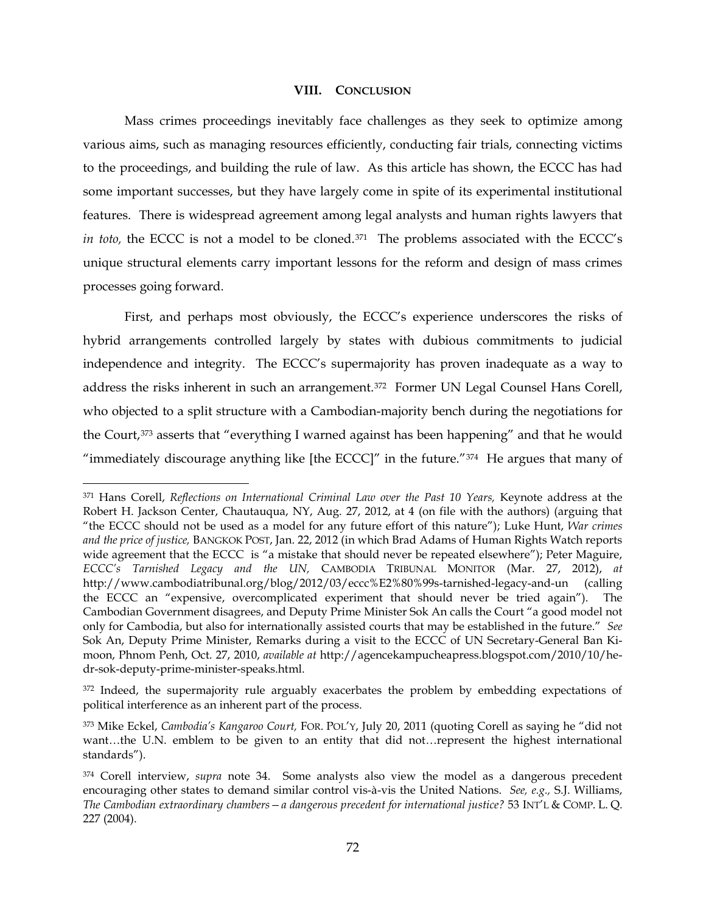#### **VIII. CONCLUSION**

Mass crimes proceedings inevitably face challenges as they seek to optimize among various aims, such as managing resources efficiently, conducting fair trials, connecting victims to the proceedings, and building the rule of law. As this article has shown, the ECCC has had some important successes, but they have largely come in spite of its experimental institutional features. There is widespread agreement among legal analysts and human rights lawyers that *in toto,* the ECCC is not a model to be cloned.<sup>371</sup> The problems associated with the ECCC's unique structural elements carry important lessons for the reform and design of mass crimes processes going forward.

First, and perhaps most obviously, the ECCC's experience underscores the risks of hybrid arrangements controlled largely by states with dubious commitments to judicial independence and integrity. The ECCC's supermajority has proven inadequate as a way to address the risks inherent in such an arrangement.[372](#page-71-1) Former UN Legal Counsel Hans Corell, who objected to a split structure with a Cambodian-majority bench during the negotiations for the Court,<sup>[373](#page-71-2)</sup> asserts that "everything I warned against has been happening" and that he would "immediately discourage anything like [the ECCC]" in the future."[374](#page-71-3) He argues that many of

<span id="page-71-0"></span> <sup>371</sup> Hans Corell, *Reflections on International Criminal Law over the Past 10 Years,* Keynote address at the Robert H. Jackson Center, Chautauqua, NY, Aug. 27, 2012, at 4 (on file with the authors) (arguing that "the ECCC should not be used as a model for any future effort of this nature"); Luke Hunt, *War crimes and the price of justice,* BANGKOK POST, Jan. 22, 2012 (in which Brad Adams of Human Rights Watch reports wide agreement that the ECCC is "a mistake that should never be repeated elsewhere"); Peter Maguire, *ECCC's Tarnished Legacy and the UN,* CAMBODIA TRIBUNAL MONITOR (Mar. 27, 2012), *at*  http://www.cambodiatribunal.org/blog/2012/03/eccc%E2%80%99s-tarnished-legacy-and-un (calling the ECCC an "expensive, overcomplicated experiment that should never be tried again"). The Cambodian Government disagrees, and Deputy Prime Minister Sok An calls the Court "a good model not only for Cambodia, but also for internationally assisted courts that may be established in the future." *See*  Sok An, Deputy Prime Minister, Remarks during a visit to the ECCC of UN Secretary-General Ban Kimoon, Phnom Penh, Oct. 27, 2010, *available at* http://agencekampucheapress.blogspot.com/2010/10/hedr-sok-deputy-prime-minister-speaks.html.

<span id="page-71-1"></span><sup>&</sup>lt;sup>372</sup> Indeed, the supermajority rule arguably exacerbates the problem by embedding expectations of political interference as an inherent part of the process.

<span id="page-71-2"></span><sup>373</sup> Mike Eckel, *Cambodia's Kangaroo Court,* FOR. POL'Y, July 20, 2011 (quoting Corell as saying he "did not want…the U.N. emblem to be given to an entity that did not…represent the highest international standards").

<span id="page-71-3"></span><sup>374</sup> Corell interview, *supra* note [34.](#page-9-0) Some analysts also view the model as a dangerous precedent encouraging other states to demand similar control vis-à-vis the United Nations. *See, e.g.,* S.J. Williams, *The Cambodian extraordinary chambers—a dangerous precedent for international justice?* 53 INT'L & COMP. L. Q. 227 (2004).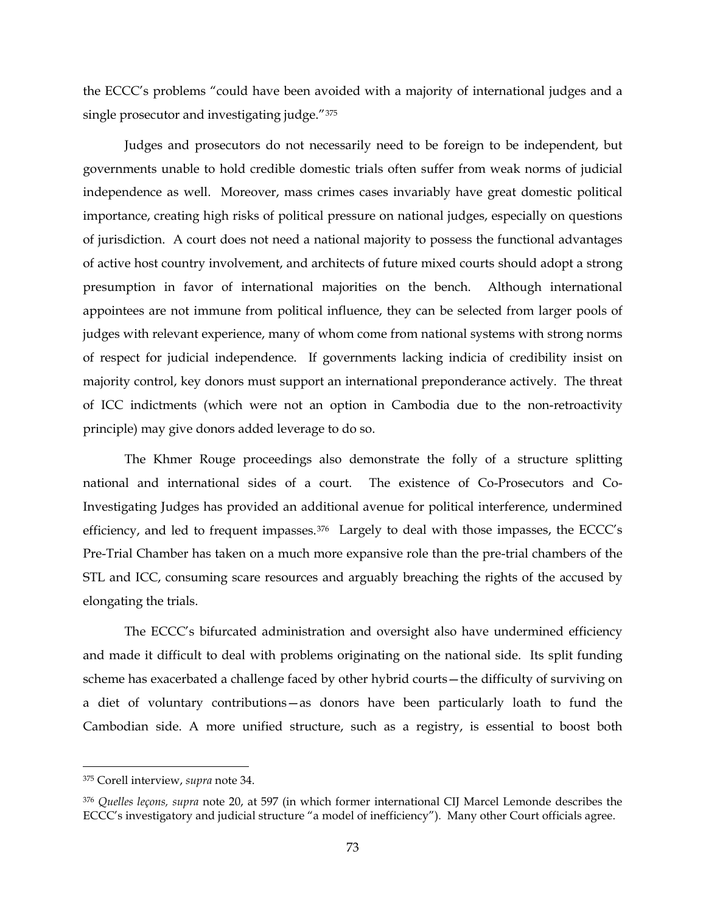the ECCC's problems "could have been avoided with a majority of international judges and a single prosecutor and investigating judge."[375](#page-72-0) 

Judges and prosecutors do not necessarily need to be foreign to be independent, but governments unable to hold credible domestic trials often suffer from weak norms of judicial independence as well. Moreover, mass crimes cases invariably have great domestic political importance, creating high risks of political pressure on national judges, especially on questions of jurisdiction. A court does not need a national majority to possess the functional advantages of active host country involvement, and architects of future mixed courts should adopt a strong presumption in favor of international majorities on the bench. Although international appointees are not immune from political influence, they can be selected from larger pools of judges with relevant experience, many of whom come from national systems with strong norms of respect for judicial independence. If governments lacking indicia of credibility insist on majority control, key donors must support an international preponderance actively. The threat of ICC indictments (which were not an option in Cambodia due to the non-retroactivity principle) may give donors added leverage to do so.

The Khmer Rouge proceedings also demonstrate the folly of a structure splitting national and international sides of a court. The existence of Co-Prosecutors and Co-Investigating Judges has provided an additional avenue for political interference, undermined efficiency, and led to frequent impasses.[376](#page-72-1) Largely to deal with those impasses, the ECCC's Pre-Trial Chamber has taken on a much more expansive role than the pre-trial chambers of the STL and ICC, consuming scare resources and arguably breaching the rights of the accused by elongating the trials.

The ECCC's bifurcated administration and oversight also have undermined efficiency and made it difficult to deal with problems originating on the national side. Its split funding scheme has exacerbated a challenge faced by other hybrid courts—the difficulty of surviving on a diet of voluntary contributions—as donors have been particularly loath to fund the Cambodian side. A more unified structure, such as a registry, is essential to boost both

<span id="page-72-0"></span> <sup>375</sup> Corell interview, *supra* note [34.](#page-9-0)

<span id="page-72-1"></span><sup>376</sup> *Quelles leçons, supra* note [20,](#page-7-0) at 597 (in which former international CIJ Marcel Lemonde describes the ECCC's investigatory and judicial structure "a model of inefficiency")*.* Many other Court officials agree.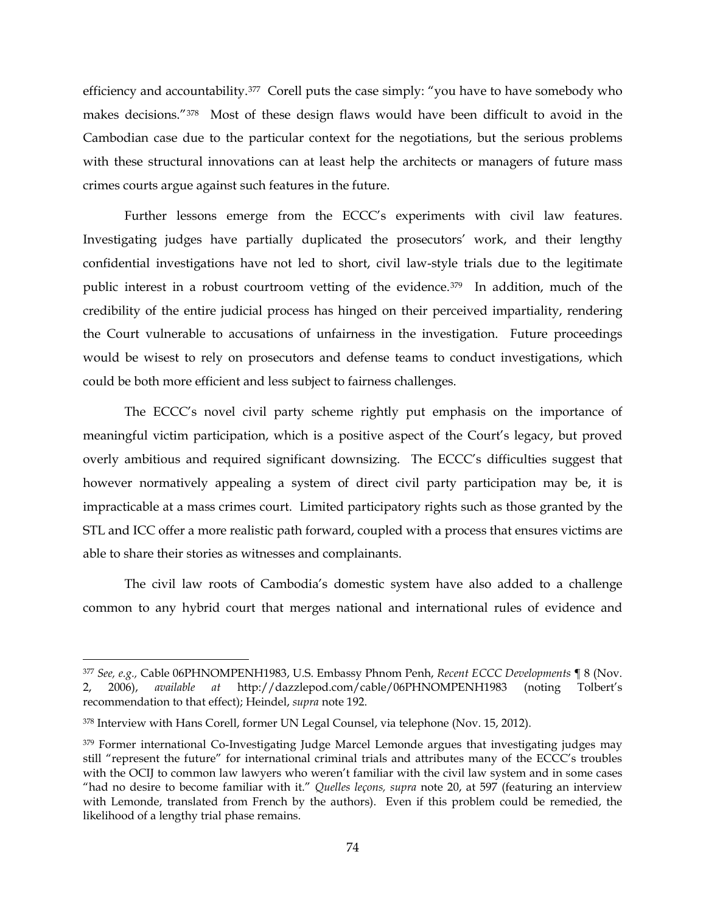efficiency and accountability.<sup>377</sup> Corell puts the case simply: "you have to have somebody who makes decisions."[378](#page-73-1) Most of these design flaws would have been difficult to avoid in the Cambodian case due to the particular context for the negotiations, but the serious problems with these structural innovations can at least help the architects or managers of future mass crimes courts argue against such features in the future.

Further lessons emerge from the ECCC's experiments with civil law features. Investigating judges have partially duplicated the prosecutors' work, and their lengthy confidential investigations have not led to short, civil law-style trials due to the legitimate public interest in a robust courtroom vetting of the evidence.<sup>[379](#page-73-2)</sup> In addition, much of the credibility of the entire judicial process has hinged on their perceived impartiality, rendering the Court vulnerable to accusations of unfairness in the investigation. Future proceedings would be wisest to rely on prosecutors and defense teams to conduct investigations, which could be both more efficient and less subject to fairness challenges.

The ECCC's novel civil party scheme rightly put emphasis on the importance of meaningful victim participation, which is a positive aspect of the Court's legacy, but proved overly ambitious and required significant downsizing. The ECCC's difficulties suggest that however normatively appealing a system of direct civil party participation may be, it is impracticable at a mass crimes court. Limited participatory rights such as those granted by the STL and ICC offer a more realistic path forward, coupled with a process that ensures victims are able to share their stories as witnesses and complainants.

The civil law roots of Cambodia's domestic system have also added to a challenge common to any hybrid court that merges national and international rules of evidence and

<span id="page-73-0"></span> <sup>377</sup> *See, e.g.,* Cable 06PHNOMPENH1983, U.S. Embassy Phnom Penh, *Recent ECCC Developments* ¶ 8 (Nov. 2, 2006), *available at* http://dazzlepod.com/cable/06PHNOMPENH1983 (noting Tolbert's recommendation to that effect); Heindel, *supra* note [192.](#page-39-0)

<span id="page-73-1"></span><sup>378</sup> Interview with Hans Corell, former UN Legal Counsel, via telephone (Nov. 15, 2012).

<span id="page-73-2"></span><sup>&</sup>lt;sup>379</sup> Former international Co-Investigating Judge Marcel Lemonde argues that investigating judges may still "represent the future" for international criminal trials and attributes many of the ECCC's troubles with the OCIJ to common law lawyers who weren't familiar with the civil law system and in some cases "had no desire to become familiar with it." *Quelles leçons, supra* note [20,](#page-7-0) at 597 (featuring an interview with Lemonde, translated from French by the authors). Even if this problem could be remedied, the likelihood of a lengthy trial phase remains.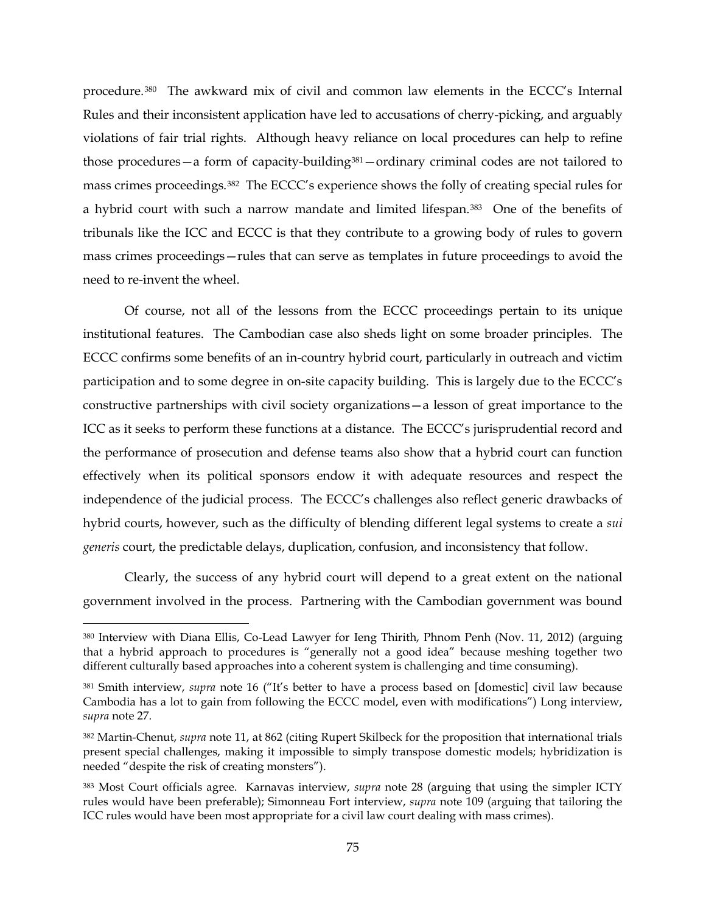procedure.[380](#page-74-0) The awkward mix of civil and common law elements in the ECCC's Internal Rules and their inconsistent application have led to accusations of cherry-picking, and arguably violations of fair trial rights. Although heavy reliance on local procedures can help to refine those procedures—a form of capacity-building[381](#page-74-1)—ordinary criminal codes are not tailored to mass crimes proceedings.[382](#page-74-2) The ECCC's experience shows the folly of creating special rules for a hybrid court with such a narrow mandate and limited lifespan.[383](#page-74-3) One of the benefits of tribunals like the ICC and ECCC is that they contribute to a growing body of rules to govern mass crimes proceedings—rules that can serve as templates in future proceedings to avoid the need to re-invent the wheel.

Of course, not all of the lessons from the ECCC proceedings pertain to its unique institutional features. The Cambodian case also sheds light on some broader principles. The ECCC confirms some benefits of an in-country hybrid court, particularly in outreach and victim participation and to some degree in on-site capacity building. This is largely due to the ECCC's constructive partnerships with civil society organizations—a lesson of great importance to the ICC as it seeks to perform these functions at a distance. The ECCC's jurisprudential record and the performance of prosecution and defense teams also show that a hybrid court can function effectively when its political sponsors endow it with adequate resources and respect the independence of the judicial process. The ECCC's challenges also reflect generic drawbacks of hybrid courts, however, such as the difficulty of blending different legal systems to create a *sui generis* court, the predictable delays, duplication, confusion, and inconsistency that follow.

Clearly, the success of any hybrid court will depend to a great extent on the national government involved in the process. Partnering with the Cambodian government was bound

<span id="page-74-0"></span> <sup>380</sup> Interview with Diana Ellis, Co-Lead Lawyer for Ieng Thirith, Phnom Penh (Nov. 11, 2012) (arguing that a hybrid approach to procedures is "generally not a good idea" because meshing together two different culturally based approaches into a coherent system is challenging and time consuming).

<span id="page-74-1"></span><sup>381</sup> Smith interview, *supra* note [16](#page-5-0) ("It's better to have a process based on [domestic] civil law because Cambodia has a lot to gain from following the ECCC model, even with modifications") Long interview, *supra* note [27.](#page-8-0)

<span id="page-74-2"></span><sup>382</sup> Martin-Chenut, *supra* note [11,](#page-4-0) at 862 (citing Rupert Skilbeck for the proposition that international trials present special challenges, making it impossible to simply transpose domestic models; hybridization is needed "despite the risk of creating monsters").

<span id="page-74-3"></span><sup>383</sup> Most Court officials agree. Karnavas interview, *supra* note [28](#page-8-1) (arguing that using the simpler ICTY rules would have been preferable); Simonneau Fort interview, *supra* note [109](#page-25-0) (arguing that tailoring the ICC rules would have been most appropriate for a civil law court dealing with mass crimes).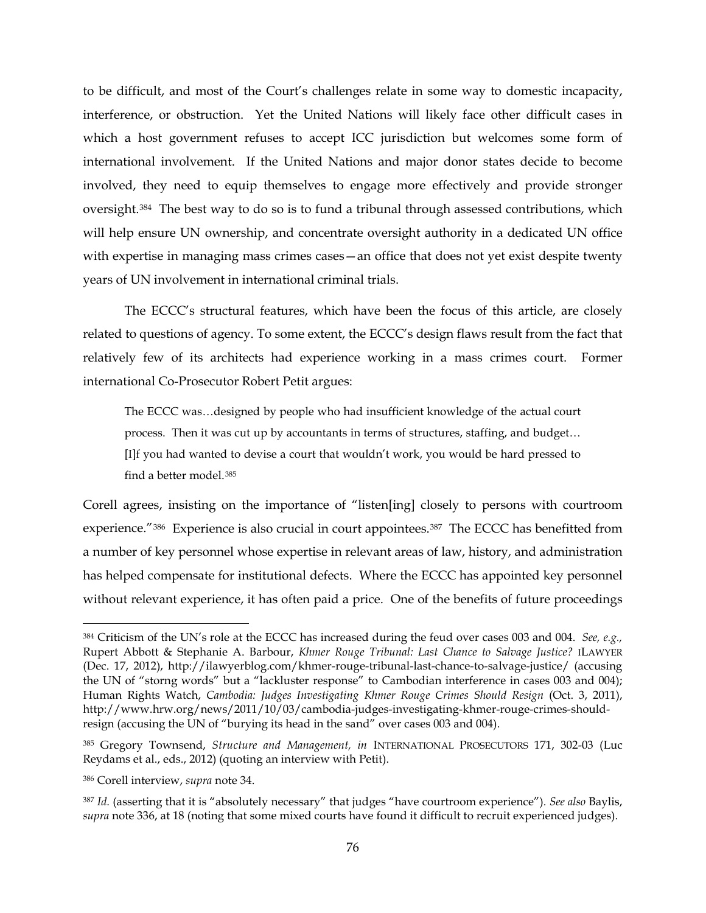to be difficult, and most of the Court's challenges relate in some way to domestic incapacity, interference, or obstruction. Yet the United Nations will likely face other difficult cases in which a host government refuses to accept ICC jurisdiction but welcomes some form of international involvement. If the United Nations and major donor states decide to become involved, they need to equip themselves to engage more effectively and provide stronger oversight.[384](#page-75-0) The best way to do so is to fund a tribunal through assessed contributions, which will help ensure UN ownership, and concentrate oversight authority in a dedicated UN office with expertise in managing mass crimes cases—an office that does not yet exist despite twenty years of UN involvement in international criminal trials.

The ECCC's structural features, which have been the focus of this article, are closely related to questions of agency. To some extent, the ECCC's design flaws result from the fact that relatively few of its architects had experience working in a mass crimes court. Former international Co-Prosecutor Robert Petit argues:

The ECCC was…designed by people who had insufficient knowledge of the actual court process. Then it was cut up by accountants in terms of structures, staffing, and budget… [I]f you had wanted to devise a court that wouldn't work, you would be hard pressed to find a better model.[385](#page-75-1)

Corell agrees, insisting on the importance of "listen[ing] closely to persons with courtroom experience."<sup>[386](#page-75-2)</sup> Experience is also crucial in court appointees.<sup>387</sup> The ECCC has benefitted from a number of key personnel whose expertise in relevant areas of law, history, and administration has helped compensate for institutional defects. Where the ECCC has appointed key personnel without relevant experience, it has often paid a price. One of the benefits of future proceedings

<span id="page-75-0"></span> <sup>384</sup> Criticism of the UN's role at the ECCC has increased during the feud over cases 003 and 004. *See, e.g.,*  Rupert Abbott & Stephanie A. Barbour, *Khmer Rouge Tribunal: Last Chance to Salvage Justice?* ILAWYER (Dec. 17, 2012), http://ilawyerblog.com/khmer-rouge-tribunal-last-chance-to-salvage-justice/ (accusing the UN of "storng words" but a "lackluster response" to Cambodian interference in cases 003 and 004); Human Rights Watch, *Cambodia: Judges Investigating Khmer Rouge Crimes Should Resign* (Oct. 3, 2011), http://www.hrw.org/news/2011/10/03/cambodia-judges-investigating-khmer-rouge-crimes-shouldresign (accusing the UN of "burying its head in the sand" over cases 003 and 004).

<span id="page-75-1"></span><sup>385</sup> Gregory Townsend, *Structure and Management, in* INTERNATIONAL PROSECUTORS 171, 302-03 (Luc Reydams et al., eds., 2012) (quoting an interview with Petit).

<span id="page-75-2"></span><sup>386</sup> Corell interview, *supra* note [34.](#page-9-0)

<span id="page-75-3"></span><sup>387</sup> *Id.* (asserting that it is "absolutely necessary" that judges "have courtroom experience")*. See also* Baylis, *supra* note [336,](#page-65-0) at 18 (noting that some mixed courts have found it difficult to recruit experienced judges).